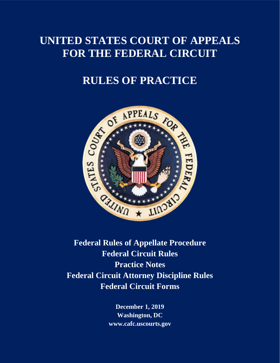# **UNITED STATES COURT OF APPEALS FOR THE FEDERAL CIRCUIT**

# **RULES OF PRACTICE**



**Federal Rules of Appellate Procedure Federal Circuit Rules Practice Notes Federal Circuit Attorney Discipline Rules Federal Circuit Forms**

> **December 1, 2019 Washington, DC www.cafc.uscourts.gov**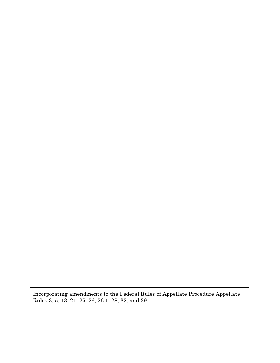Incorporating amendments to the Federal Rules of Appellate Procedure Appellate Rules 3, 5, 13, 21, 25, 26, 26.1, 28, 32, and 39.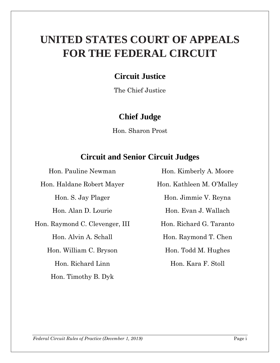# **UNITED STATES COURT OF APPEALS FOR THE FEDERAL CIRCUIT**

# **Circuit Justice**

The Chief Justice

# **Chief Judge**

Hon. Sharon Prost

# **Circuit and Senior Circuit Judges**

Hon. Pauline Newman Hon. Haldane Robert Mayer Hon. S. Jay Plager Hon. Alan D. Lourie Hon. Raymond C. Clevenger, III Hon. Alvin A. Schall Hon. William C. Bryson Hon. Richard Linn Hon. Timothy B. Dyk

| Hon. Kimberly A. Moore    |
|---------------------------|
| Hon. Kathleen M. O'Malley |
| Hon. Jimmie V. Reyna      |
| Hon. Evan J. Wallach      |
| Hon. Richard G. Taranto   |
| Hon. Raymond T. Chen      |
| Hon. Todd M. Hughes       |
| Hon. Kara F. Stoll        |
|                           |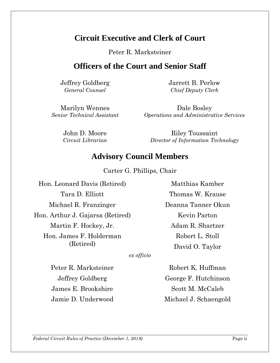# **Circuit Executive and Clerk of Court**

Peter R. Marksteiner

# **Officers of the Court and Senior Staff**

Jeffrey Goldberg *General Counsel*

Jarrett B. Perlow *Chief Deputy Clerk*

Marilyn Wennes *Senior Technical Assistant*

Dale Bosley *Operations and Administrative Services*

John D. Moore *Circuit Librarian*

Riley Toussaint *Director of Information Technology*

# **Advisory Council Members**

Carter G. Phillips, Chair

Hon. Leonard Davis (Retired) Tara D. Elliott Michael R. Franzinger Hon. Arthur J. Gajarsa (Retired) Martin F. Hockey, Jr. Hon. James F. Holderman (Retired)

Matthias Kamber Thomas W. Krause Deanna Tanner Okun Kevin Parton Adam R. Shartzer Robert L. Stoll David O. Taylor

*ex officio*

Peter R. Marksteiner Jeffrey Goldberg James E. Brookshire Jamie D. Underwood

Robert K. Huffman George F. Hutchinson Scott M. McCaleb Michael J. Schaengold

*Federal Circuit Rules of Practice (December 1, 2019)* Page ii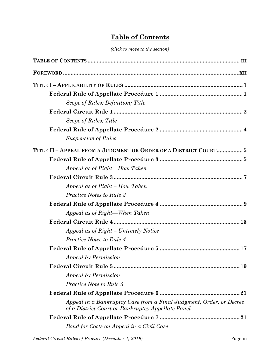# **Table of Contents**

*(click to move to the section)*

<span id="page-4-0"></span>

| Scope of Rules; Definition; Title                                                                                        |
|--------------------------------------------------------------------------------------------------------------------------|
|                                                                                                                          |
| Scope of Rules; Title                                                                                                    |
|                                                                                                                          |
| <b>Suspension of Rules</b>                                                                                               |
| TITLE II - APPEAL FROM A JUDGMENT OR ORDER OF A DISTRICT COURT 5                                                         |
|                                                                                                                          |
| Appeal as of Right-How Taken                                                                                             |
|                                                                                                                          |
| Appeal as of Right – How Taken                                                                                           |
| <b>Practice Notes to Rule 3</b>                                                                                          |
|                                                                                                                          |
| Appeal as of Right—When Taken                                                                                            |
|                                                                                                                          |
| Appeal as of Right – Untimely Notice                                                                                     |
| <i>Practice Notes to Rule 4</i>                                                                                          |
|                                                                                                                          |
| <i>Appeal by Permission</i>                                                                                              |
|                                                                                                                          |
| <i>Appeal by Permission</i>                                                                                              |
| <i>Practice Note to Rule 5</i>                                                                                           |
|                                                                                                                          |
| Appeal in a Bankruptcy Case from a Final Judgment, Order, or Decree<br>of a District Court or Bankruptcy Appellate Panel |
|                                                                                                                          |
| Bond for Costs on Appeal in a Civil Case                                                                                 |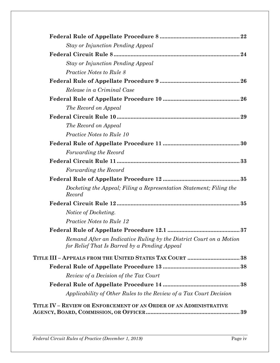| Stay or Injunction Pending Appeal                                                                                    |
|----------------------------------------------------------------------------------------------------------------------|
|                                                                                                                      |
| Stay or Injunction Pending Appeal                                                                                    |
| <i>Practice Notes to Rule 8</i>                                                                                      |
|                                                                                                                      |
| Release in a Criminal Case                                                                                           |
|                                                                                                                      |
| The Record on Appeal                                                                                                 |
|                                                                                                                      |
| The Record on Appeal                                                                                                 |
| <i>Practice Notes to Rule 10</i>                                                                                     |
|                                                                                                                      |
| Forwarding the Record                                                                                                |
|                                                                                                                      |
| Forwarding the Record                                                                                                |
|                                                                                                                      |
| Docketing the Appeal; Filing a Representation Statement; Filing the<br>Record                                        |
|                                                                                                                      |
| Notice of Docketing.                                                                                                 |
| <i>Practice Notes to Rule 12</i>                                                                                     |
|                                                                                                                      |
| Remand After an Indicative Ruling by the District Court on a Motion<br>for Relief That Is Barred by a Pending Appeal |
| TITLE III - APPEALS FROM THE UNITED STATES TAX COURT  38                                                             |
|                                                                                                                      |
| Review of a Decision of the Tax Court                                                                                |
|                                                                                                                      |
| Applicability of Other Rules to the Review of a Tax Court Decision                                                   |
| TITLE IV - REVIEW OR ENFORCEMENT OF AN ORDER OF AN ADMINISTRATIVE<br>39                                              |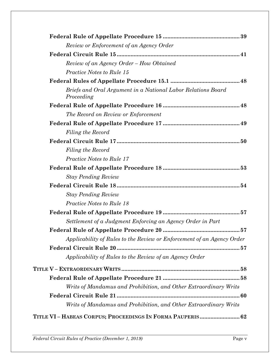| Review or Enforcement of an Agency Order                                   |  |
|----------------------------------------------------------------------------|--|
|                                                                            |  |
| Review of an Agency Order – How Obtained                                   |  |
| <i>Practice Notes to Rule 15</i>                                           |  |
|                                                                            |  |
| Briefs and Oral Argument in a National Labor Relations Board<br>Proceeding |  |
|                                                                            |  |
| The Record on Review or Enforcement                                        |  |
|                                                                            |  |
| Filing the Record                                                          |  |
|                                                                            |  |
| Filing the Record                                                          |  |
| Practice Notes to Rule 17                                                  |  |
|                                                                            |  |
| <b>Stay Pending Review</b>                                                 |  |
|                                                                            |  |
| <b>Stay Pending Review</b>                                                 |  |
| <i>Practice Notes to Rule 18</i>                                           |  |
|                                                                            |  |
| Settlement of a Judgment Enforcing an Agency Order in Part                 |  |
|                                                                            |  |
| Applicability of Rules to the Review or Enforcement of an Agency Order     |  |
|                                                                            |  |
| Applicability of Rules to the Review of an Agency Order                    |  |
|                                                                            |  |
|                                                                            |  |
| Writs of Mandamus and Prohibition, and Other Extraordinary Writs           |  |
| <b>Federal Circuit Rule 21.</b>                                            |  |
| Writs of Mandamus and Prohibition, and Other Extraordinary Writs           |  |
| TITLE VI - HABEAS CORPUS; PROCEEDINGS IN FORMA PAUPERIS 62                 |  |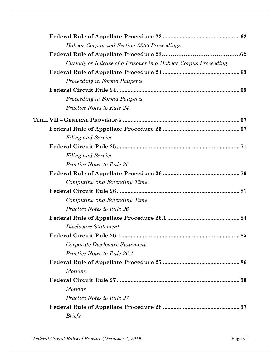| Habeas Corpus and Section 2255 Proceedings                     |  |
|----------------------------------------------------------------|--|
|                                                                |  |
| Custody or Release of a Prisoner in a Habeas Corpus Proceeding |  |
|                                                                |  |
| Proceeding in Forma Pauperis                                   |  |
|                                                                |  |
| Proceeding in Forma Pauperis                                   |  |
| <i>Practice Notes to Rule 24</i>                               |  |
|                                                                |  |
|                                                                |  |
| Filing and Service                                             |  |
|                                                                |  |
| Filing and Service                                             |  |
| <b>Practice Notes to Rule 25</b>                               |  |
|                                                                |  |
| Computing and Extending Time                                   |  |
|                                                                |  |
| Computing and Extending Time                                   |  |
| <b>Practice Notes to Rule 26</b>                               |  |
|                                                                |  |
| Disclosure Statement                                           |  |
|                                                                |  |
| Corporate Disclosure Statement                                 |  |
| Practice Notes to Rule 26.1                                    |  |
|                                                                |  |
| <b>Motions</b>                                                 |  |
|                                                                |  |
| <b>Motions</b>                                                 |  |
| <i>Practice Notes to Rule 27</i>                               |  |
|                                                                |  |
| <b>Briefs</b>                                                  |  |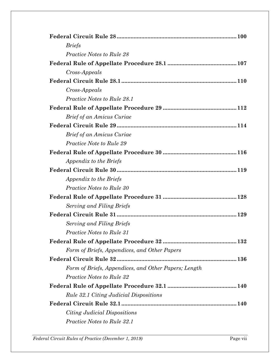| <b>Briefs</b>                                        |  |  |
|------------------------------------------------------|--|--|
| <i>Practice Notes to Rule 28</i>                     |  |  |
|                                                      |  |  |
| Cross-Appeals                                        |  |  |
|                                                      |  |  |
| Cross-Appeals                                        |  |  |
| <i>Practice Notes to Rule 28.1</i>                   |  |  |
|                                                      |  |  |
| <b>Brief of an Amicus Curiae</b>                     |  |  |
|                                                      |  |  |
| <b>Brief of an Amicus Curiae</b>                     |  |  |
| Practice Note to Rule 29                             |  |  |
|                                                      |  |  |
| <i>Appendix to the Briefs</i>                        |  |  |
|                                                      |  |  |
| Appendix to the Briefs                               |  |  |
| <i>Practice Notes to Rule 30</i>                     |  |  |
|                                                      |  |  |
| Serving and Filing Briefs                            |  |  |
|                                                      |  |  |
| Serving and Filing Briefs                            |  |  |
| <i>Practice Notes to Rule 31</i>                     |  |  |
|                                                      |  |  |
| Form of Briefs, Appendices, and Other Papers         |  |  |
|                                                      |  |  |
| Form of Briefs, Appendices, and Other Papers; Length |  |  |
| <i>Practice Notes to Rule 32</i>                     |  |  |
|                                                      |  |  |
| <b>Rule 32.1 Citing Judicial Dispositions</b>        |  |  |
|                                                      |  |  |
| Citing Judicial Dispositions                         |  |  |
| <i>Practice Notes to Rule 32.1</i>                   |  |  |

*Federal Circuit Rules of Practice (December 1, 2019)* Page vii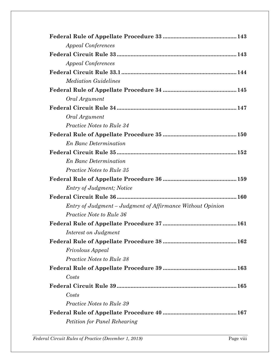| <i>Appeal Conferences</i>                                  |
|------------------------------------------------------------|
|                                                            |
| <i>Appeal Conferences</i>                                  |
|                                                            |
| <b>Mediation Guidelines</b>                                |
|                                                            |
| Oral Argument                                              |
|                                                            |
| Oral Argument                                              |
| <i>Practice Notes to Rule 34</i>                           |
|                                                            |
| <b>En Banc Determination</b>                               |
|                                                            |
| <b>En Banc Determination</b>                               |
| <i>Practice Notes to Rule 35</i>                           |
|                                                            |
| <i>Entry of Judgment; Notice</i>                           |
|                                                            |
| Entry of Judgment – Judgment of Affirmance Without Opinion |
| <i>Practice Note to Rule 36</i>                            |
|                                                            |
| Interest on Judgment                                       |
|                                                            |
| <i>Frivolous Appeal</i>                                    |
| <i>Practice Notes to Rule 38</i>                           |
|                                                            |
| Costs                                                      |
|                                                            |
| Costs                                                      |
| <i>Practice Notes to Rule 39</i>                           |
|                                                            |
| <b>Petition for Panel Rehearing</b>                        |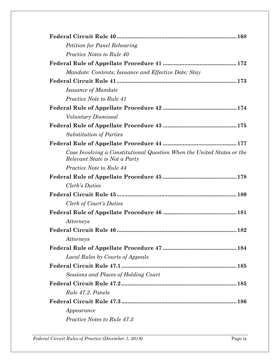| <b>Petition for Panel Rehearing</b>                                                                     |
|---------------------------------------------------------------------------------------------------------|
| <i>Practice Notes to Rule 40</i>                                                                        |
|                                                                                                         |
| Mandate: Contents; Issuance and Effective Date; Stay                                                    |
|                                                                                                         |
| <i><b>Issuance of Mandate</b></i>                                                                       |
| <i>Practice Note to Rule 41</i>                                                                         |
|                                                                                                         |
| Voluntary Dismissal                                                                                     |
|                                                                                                         |
| <b>Substitution of Parties</b>                                                                          |
|                                                                                                         |
| Case Involving a Constitutional Question When the United States or the<br>Relevant State is Not a Party |
| Practice Note to Rule 44                                                                                |
|                                                                                                         |
| Clerk's Duties                                                                                          |
|                                                                                                         |
| <b>Clerk of Court's Duties</b>                                                                          |
|                                                                                                         |
| Attorneys                                                                                               |
|                                                                                                         |
| <i>Attorneys</i>                                                                                        |
|                                                                                                         |
| Local Rules by Courts of Appeals                                                                        |
|                                                                                                         |
| Sessions and Places of Holding Court                                                                    |
|                                                                                                         |
| Rule 47.2. Panels                                                                                       |
|                                                                                                         |
| Appearance                                                                                              |
| <i>Practice Notes to Rule 47.3</i>                                                                      |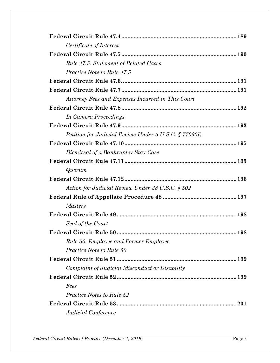| Certificate of Interest                               |  |
|-------------------------------------------------------|--|
|                                                       |  |
| <i>Rule 47.5. Statement of Related Cases</i>          |  |
| Practice Note to Rule 47.5                            |  |
|                                                       |  |
|                                                       |  |
| Attorney Fees and Expenses Incurred in This Court     |  |
|                                                       |  |
| In Camera Proceedings                                 |  |
|                                                       |  |
| Petition for Judicial Review Under 5 U.S.C. § 7703(d) |  |
|                                                       |  |
| Dismissal of a Bankruptcy Stay Case                   |  |
|                                                       |  |
| Quorum                                                |  |
|                                                       |  |
|                                                       |  |
| Action for Judicial Review Under 38 U.S.C. § 502      |  |
|                                                       |  |
| <i>Masters</i>                                        |  |
|                                                       |  |
| Seal of the Court                                     |  |
|                                                       |  |
| Rule 50. Employee and Former Employee                 |  |
| Practice Note to Rule 50                              |  |
|                                                       |  |
| Complaint of Judicial Misconduct or Disability        |  |
|                                                       |  |
| Fees                                                  |  |
| Practice Notes to Rule 52                             |  |
|                                                       |  |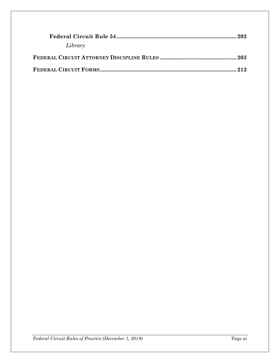| Library |  |
|---------|--|
|         |  |
|         |  |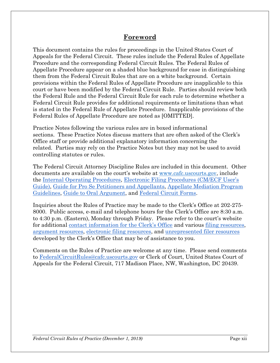# **Foreword**

<span id="page-13-0"></span>This document contains the rules for proceedings in the United States Court of Appeals for the Federal Circuit. These rules include the Federal Rules of Appellate Procedure and the corresponding Federal Circuit Rules. The Federal Rules of Appellate Procedure appear on a shaded blue background for ease in distinguishing them from the Federal Circuit Rules that are on a white background. Certain provisions within the Federal Rules of Appellate Procedure are inapplicable to this court or have been modified by the Federal Circuit Rule. Parties should review both the Federal Rule and the Federal Circuit Rule for each rule to determine whether a Federal Circuit Rule provides for additional requirements or limitations than what is stated in the Federal Rule of Appellate Procedure. Inapplicable provisions of the Federal Rules of Appellate Procedure are noted as [OMITTED].

Practice Notes following the various rules are in boxed informational sections. These Practice Notes discuss matters that are often asked of the Clerk's Office staff or provide additional explanatory information concerning the related. Parties may rely on the Practice Notes but they may not be used to avoid controlling statutes or rules.

The Federal Circuit Attorney Discipline Rules are included in this document. Other documents are available on the court's website at [www.cafc.uscourts.gov,](http://www.cafc.uscourts.gov/) include the [Internal Operating Procedures,](http://www.cafc.uscourts.gov/rules-of-practice/internal-operating-procedures) [Electronic Filing Procedures \(CM/ECF User's](http://www.cafc.uscourts.gov/sites/default/files/cmecf/ElectronicFilingProcedures.pdf)  [Guide\),](http://www.cafc.uscourts.gov/sites/default/files/cmecf/ElectronicFilingProcedures.pdf) Guide for Pro Se [Petitioners and Appellants,](http://www.cafc.uscourts.gov/pro-se) [Appellate Mediation Program](http://www.cafc.uscourts.gov/mediation/mediation)  [Guidelines,](http://www.cafc.uscourts.gov/mediation/mediation) Guide to Oral Argument, and [Federal Circuit Forms.](http://www.cafc.uscourts.gov/rules-of-practice/forms)

Inquiries about the Rules of Practice may be made to the Clerk's Office at 202-275- 8000. Public access, e-mail and telephone hours for the Clerk's Office are 8:30 a.m. to 4:30 p.m. (Eastern), Monday through Friday. Please refer to the court's website for additional <u>contact information</u> for the Clerk's Office and various [filing resources,](http://www.cafc.uscourts.gov/contact/clerks-office/filing-resources) [argument resources,](http://www.cafc.uscourts.gov/argument/argument-resources) [electronic filing resources,](http://www.cafc.uscourts.gov/cm/ecf/case-management/electronic-case-files) and [unrepresented filer resources](http://www.cafc.uscourts.gov/pro-se) developed by the Clerk's Office that may be of assistance to you.

Comments on the Rules of Practice are welcome at any time. Please send comments to [FederalCircuitRules@cafc.uscourts.gov](mailto:FederalCircuitRules@cafc.uscourts.gov) or Clerk of Court, United States Court of Appeals for the Federal Circuit, 717 Madison Place, NW, Washington, DC 20439.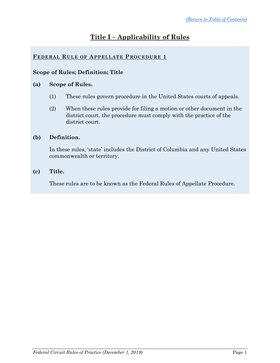# **Title I – Applicability of Rules**

# <span id="page-14-1"></span><span id="page-14-0"></span>**FEDERAL RULE OF APPELLATE PROCEDURE 1**

#### <span id="page-14-2"></span>**Scope of Rules; Definition; Title**

#### **(a) Scope of Rules.**

- (1) These rules govern procedure in the United States courts of appeals.
- (2) When these rules provide for filing a motion or other document in the district court, the procedure must comply with the practice of the district court.

#### **(b) Definition.**

In these rules, 'state' includes the District of Columbia and any United States commonwealth or territory.

#### **(c) Title.**

These rules are to be known as the Federal Rules of Appellate Procedure.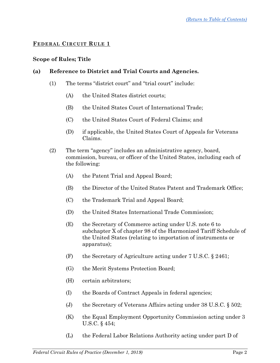### <span id="page-15-0"></span>**FEDERAL CIRCUIT RULE 1**

#### <span id="page-15-1"></span>**Scope of Rules; Title**

#### **(a) Reference to District and Trial Courts and Agencies.**

- (1) The terms "district court" and "trial court" include:
	- (A) the United States district courts;
	- (B) the United States Court of International Trade;
	- (C) the United States Court of Federal Claims; and
	- (D) if applicable, the United States Court of Appeals for Veterans Claims.
- (2) The term "agency" includes an administrative agency, board, commission, bureau, or officer of the United States, including each of the following:
	- (A) the Patent Trial and Appeal Board;
	- (B) the Director of the United States Patent and Trademark Office;
	- (C) the Trademark Trial and Appeal Board;
	- (D) the United States International Trade Commission;
	- (E) the Secretary of Commerce acting under U.S. note 6 to subchapter X of chapter 98 of the Harmonized Tariff Schedule of the United States (relating to importation of instruments or apparatus);
	- (F) the Secretary of Agriculture acting under 7 U.S.C. § 2461;
	- (G) the Merit Systems Protection Board;
	- (H) certain arbitrators;
	- (I) the Boards of Contract Appeals in federal agencies;
	- (J) the Secretary of Veterans Affairs acting under 38 U.S.C. § 502;
	- (K) the Equal Employment Opportunity Commission acting under 3 U.S.C. § 454;
	- (L) the Federal Labor Relations Authority acting under part D of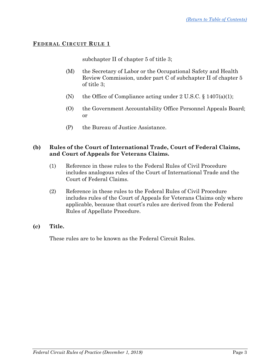#### **FEDERAL CIRCUIT RULE 1**

subchapter II of chapter 5 of title 3;

- (M) the Secretary of Labor or the Occupational Safety and Health Review Commission, under part C of subchapter II of chapter 5 of title 3;
- (N) the Office of Compliance acting under  $2 \text{ U.S.C.} \$   $1407(a)(1)$ ;
- (O) the Government Accountability Office Personnel Appeals Board; or
- (P) the Bureau of Justice Assistance.

#### **(b) Rules of the Court of International Trade, Court of Federal Claims, and Court of Appeals for Veterans Claims.**

- (1) Reference in these rules to the Federal Rules of Civil Procedure includes analogous rules of the Court of International Trade and the Court of Federal Claims.
- (2) Reference in these rules to the Federal Rules of Civil Procedure includes rules of the Court of Appeals for Veterans Claims only where applicable, because that court's rules are derived from the Federal Rules of Appellate Procedure.

# **(c) Title.**

These rules are to be known as the Federal Circuit Rules.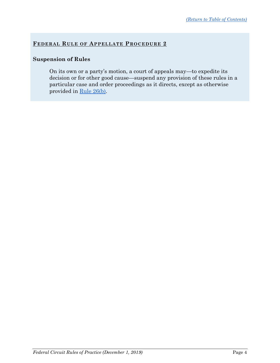#### <span id="page-17-1"></span><span id="page-17-0"></span>**Suspension of Rules**

On its own or a party's motion, a court of appeals may—to expedite its decision or for other good cause—suspend any provision of these rules in a particular case and order proceedings as it directs, except as otherwise provided in [Rule 26\(b\).](#page-93-0)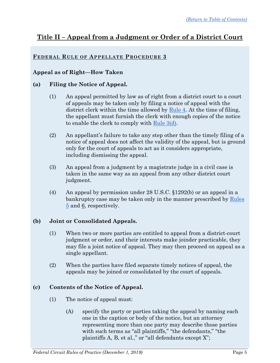# <span id="page-18-0"></span>**Title II – Appeal from a Judgment or Order of a District Court**

# <span id="page-18-1"></span>**FEDERAL RULE OF APPELLATE PROCEDURE 3**

### <span id="page-18-2"></span>**Appeal as of Right—How Taken**

### **(a) Filing the Notice of Appeal.**

- (1) An appeal permitted by law as of right from a district court to a court of appeals may be taken only by filing a notice of appeal with the district clerk within the time allowed by [Rule 4.](#page-22-0) At the time of filing, the appellant must furnish the clerk with enough copies of the notice to enable the clerk to comply with [Rule 3\(d\).](#page-19-0)
- (2) An appellant's failure to take any step other than the timely filing of a notice of appeal does not affect the validity of the appeal, but is ground only for the court of appeals to act as it considers appropriate, including dismissing the appeal.
- (3) An appeal from a judgment by a magistrate judge in a civil case is taken in the same way as an appeal from any other district court judgment.
- (4) An appeal by permission under 28 U.S.C. §1292(b) or an appeal in a bankruptcy case may be taken only in the manner prescribed by [Rules](#page-31-0)  [5](#page-31-0) and 6, respectively.

# **(b) Joint or Consolidated Appeals.**

- (1) When two or more parties are entitled to appeal from a district-court judgment or order, and their interests make joinder practicable, they may file a joint notice of appeal. They may then proceed on appeal as a single appellant.
- (2) When the parties have filed separate timely notices of appeal, the appeals may be joined or consolidated by the court of appeals.

# <span id="page-18-3"></span>**(c) Contents of the Notice of Appeal.**

- (1) The notice of appeal must:
	- (A) specify the party or parties taking the appeal by naming each one in the caption or body of the notice, but an attorney representing more than one party may describe those parties with such terms as "all plaintiffs," "the defendants," "the plaintiffs A, B, et al.," or "all defendants except X";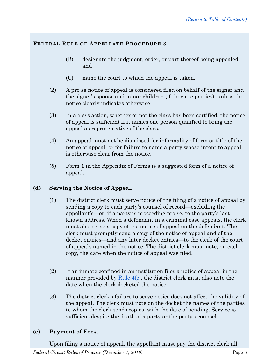- (B) designate the judgment, order, or part thereof being appealed; and
- (C) name the court to which the appeal is taken.
- (2) A pro se notice of appeal is considered filed on behalf of the signer and the signer's spouse and minor children (if they are parties), unless the notice clearly indicates otherwise.
- (3) In a class action, whether or not the class has been certified, the notice of appeal is sufficient if it names one person qualified to bring the appeal as representative of the class.
- (4) An appeal must not be dismissed for informality of form or title of the notice of appeal, or for failure to name a party whose intent to appeal is otherwise clear from the notice.
- (5) Form 1 in the Appendix of Forms is a suggested form of a notice of appeal.

# <span id="page-19-0"></span>**(d) Serving the Notice of Appeal.**

- (1) The district clerk must serve notice of the filing of a notice of appeal by sending a copy to each party's counsel of record—excluding the appellant's—or, if a party is proceeding pro se, to the party's last known address. When a defendant in a criminal case appeals, the clerk must also serve a copy of the notice of appeal on the defendant. The clerk must promptly send a copy of the notice of appeal and of the docket entries—and any later docket entries—to the clerk of the court of appeals named in the notice. The district clerk must note, on each copy, the date when the notice of appeal was filed.
- (2) If an inmate confined in an institution files a notice of appeal in the manner provided by Rule  $4(c)$ , the district clerk must also note the date when the clerk docketed the notice.
- (3) The district clerk's failure to serve notice does not affect the validity of the appeal. The clerk must note on the docket the names of the parties to whom the clerk sends copies, with the date of sending. Service is sufficient despite the death of a party or the party's counsel.

# **(e) Payment of Fees.**

Upon filing a notice of appeal, the appellant must pay the district clerk all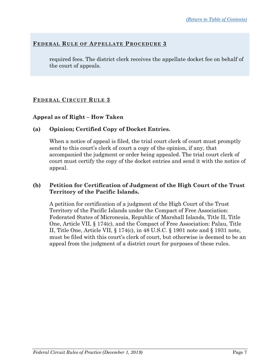required fees. The district clerk receives the appellate docket fee on behalf of the court of appeals.

# <span id="page-20-0"></span>**FEDERAL CIRCUIT RULE 3**

#### <span id="page-20-1"></span>**Appeal as of Right – How Taken**

#### **(a) Opinion; Certified Copy of Docket Entries.**

When a notice of appeal is filed, the trial court clerk of court must promptly send to this court's clerk of court a copy of the opinion, if any, that accompanied the judgment or order being appealed. The trial court clerk of court must certify the copy of the docket entries and send it with the notice of appeal.

#### **(b) Petition for Certification of Judgment of the High Court of the Trust Territory of the Pacific Islands.**

A petition for certification of a judgment of the High Court of the Trust Territory of the Pacific Islands under the Compact of Free Association: Federated States of Micronesia, Republic of Marshall Islands, Title II, Title One, Article VII, § 174(c), and the Compact of Free Association: Palau, Title II, Title One, Article VII, § 174(c), in 48 U.S.C. § 1901 note and § 1931 note, must be filed with this court's clerk of court, but otherwise is deemed to be an appeal from the judgment of a district court for purposes of these rules.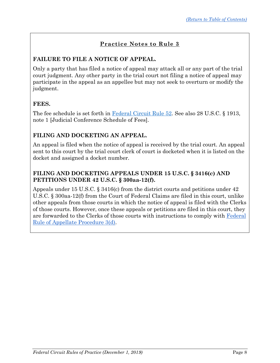# **Practice Notes to Rule 3**

# <span id="page-21-0"></span>**FAILURE TO FILE A NOTICE OF APPEAL.**

Only a party that has filed a notice of appeal may attack all or any part of the trial court judgment. Any other party in the trial court not filing a notice of appeal may participate in the appeal as an appellee but may not seek to overturn or modify the judgment.

# **FEES.**

The fee schedule is set forth in [Federal Circuit Rule 52.](#page-212-2) See also 28 U.S.C. § 1913, note 1 [Judicial Conference Schedule of Fees].

# **FILING AND DOCKETING AN APPEAL.**

An appeal is filed when the notice of appeal is received by the trial court. An appeal sent to this court by the trial court clerk of court is docketed when it is listed on the docket and assigned a docket number.

# **FILING AND DOCKETING APPEALS UNDER 15 U.S.C. § 3416(c) AND PETITIONS UNDER 42 U.S.C. § 300aa-12(f).**

Appeals under 15 U.S.C. § 3416(c) from the district courts and petitions under 42 U.S.C. § 300aa-12(f) from the Court of Federal Claims are filed in this court, unlike other appeals from those courts in which the notice of appeal is filed with the Clerks of those courts. However, once these appeals or petitions are filed in this court, they are forwarded to the Clerks of those courts with instructions to comply with [Federal](#page-19-0)  [Rule of Appellate Procedure 3\(d\).](#page-19-0)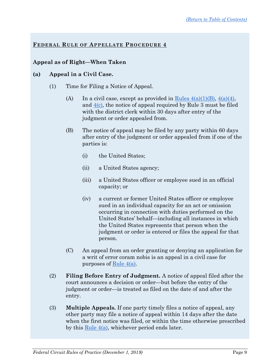#### <span id="page-22-1"></span><span id="page-22-0"></span>**Appeal as of Right—When Taken**

#### <span id="page-22-2"></span>**(a) Appeal in a Civil Case.**

- (1) Time for Filing a Notice of Appeal.
	- (A) In a civil case, except as provided in Rules  $4(a)(1)(B)$ ,  $4(a)(4)$ , and  $4(c)$ , the notice of appeal required by Rule 3 must be filed with the district clerk within 30 days after entry of the judgment or order appealed from.
	- (B) The notice of appeal may be filed by any party within 60 days after entry of the judgment or order appealed from if one of the parties is:
		- (i) the United States;
		- (ii) a United States agency;
		- (iii) a United States officer or employee sued in an official capacity; or
		- (iv) a current or former United States officer or employee sued in an individual capacity for an act or omission occurring in connection with duties performed on the United States' behalf—including all instances in which the United States represents that person when the judgment or order is entered or files the appeal for that person.
	- (C) An appeal from an order granting or denying an application for a writ of error coram nobis is an appeal in a civil case for purposes of [Rule 4\(a\).](#page-22-2)
- (2) **Filing Before Entry of Judgment.** A notice of appeal filed after the court announces a decision or order—but before the entry of the judgment or order—is treated as filed on the date of and after the entry.
- (3) **Multiple Appeals.** If one party timely files a notice of appeal, any other party may file a notice of appeal within 14 days after the date when the first notice was filed, or within the time otherwise prescribed by this Rule  $4(a)$ , whichever period ends later.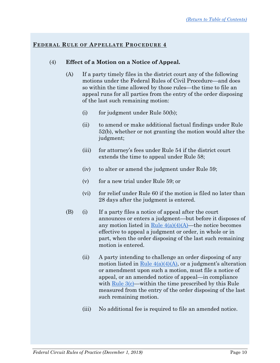#### (4) **Effect of a Motion on a Notice of Appeal.**

- (A) If a party timely files in the district court any of the following motions under the Federal Rules of Civil Procedure—and does so within the time allowed by those rules—the time to file an appeal runs for all parties from the entry of the order disposing of the last such remaining motion:
	- (i) for judgment under Rule  $50(b)$ ;
	- (ii) to amend or make additional factual findings under Rule 52(b), whether or not granting the motion would alter the judgment;
	- (iii) for attorney's fees under Rule 54 if the district court extends the time to appeal under Rule 58;
	- (iv) to alter or amend the judgment under Rule 59;
	- (v) for a new trial under Rule 59; or
	- (vi) for relief under Rule 60 if the motion is filed no later than 28 days after the judgment is entered.
- (B) (i) If a party files a notice of appeal after the court announces or enters a judgment—but before it disposes of any motion listed in Rule  $4(a)(4)(A)$ —the notice becomes effective to appeal a judgment or order, in whole or in part, when the order disposing of the last such remaining motion is entered.
	- (ii) A party intending to challenge an order disposing of any motion listed in Rule  $4(a)(4)(A)$ , or a judgment's alteration or amendment upon such a motion, must file a notice of appeal, or an amended notice of appeal—in compliance with Rule  $3(c)$ —within the time prescribed by this Rule measured from the entry of the order disposing of the last such remaining motion.
	- (iii) No additional fee is required to file an amended notice.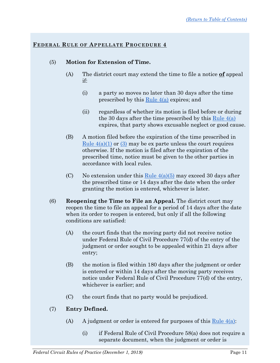#### (5) **Motion for Extension of Time.**

- (A) The district court may extend the time to file a notice **of** appeal if:
	- (i) a party so moves no later than 30 days after the time prescribed by this  $Rule 4(a)$  expires; and
	- (ii) regardless of whether its motion is filed before or during the 30 days after the time prescribed by this Rule  $4(a)$ expires, that party shows excusable neglect or good cause.
- (B) A motion filed before the expiration of the time prescribed in Rule  $4(a)(1)$  or  $(3)$  may be ex parte unless the court requires otherwise. If the motion is filed after the expiration of the prescribed time, notice must be given to the other parties in accordance with local rules.
- (C) No extension under this  $Rule 4(a)(5)$  may exceed 30 days after</u> the prescribed time or 14 days after the date when the order granting the motion is entered, whichever is later.
- (6) **Reopening the Time to File an Appeal.** The district court may reopen the time to file an appeal for a period of 14 days after the date when its order to reopen is entered, but only if all the following conditions are satisfied:
	- (A) the court finds that the moving party did not receive notice under Federal Rule of Civil Procedure 77(d) of the entry of the judgment or order sought to be appealed within 21 days after entry;
	- (B) the motion is filed within 180 days after the judgment or order is entered or within 14 days after the moving party receives notice under Federal Rule of Civil Procedure 77(d) of the entry, whichever is earlier; and
	- (C) the court finds that no party would be prejudiced.

# (7) **Entry Defined.**

- (A) A judgment or order is entered for purposes of this Rule  $4(a)$ :
	- (i) if Federal Rule of Civil Procedure 58(a) does not require a separate document, when the judgment or order is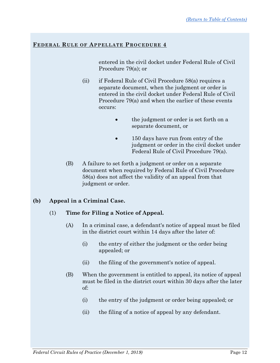entered in the civil docket under Federal Rule of Civil Procedure 79(a); or

- (ii) if Federal Rule of Civil Procedure 58(a) requires a separate document, when the judgment or order is entered in the civil docket under Federal Rule of Civil Procedure 79(a) and when the earlier of these events occurs:
	- the judgment or order is set forth on a separate document, or
	- 150 days have run from entry of the judgment or order in the civil docket under Federal Rule of Civil Procedure 79(a).
- (B) A failure to set forth a judgment or order on a separate document when required by Federal Rule of Civil Procedure 58(a) does not affect the validity of an appeal from that judgment or order.

# **(b) Appeal in a Criminal Case.**

# (1) **Time for Filing a Notice of Appeal.**

- <span id="page-25-0"></span>(A) In a criminal case, a defendant's notice of appeal must be filed in the district court within 14 days after the later of:
	- (i) the entry of either the judgment or the order being appealed; or
	- (ii) the filing of the government's notice of appeal.
- (B) When the government is entitled to appeal, its notice of appeal must be filed in the district court within 30 days after the later of:
	- (i) the entry of the judgment or order being appealed; or
	- (ii) the filing of a notice of appeal by any defendant.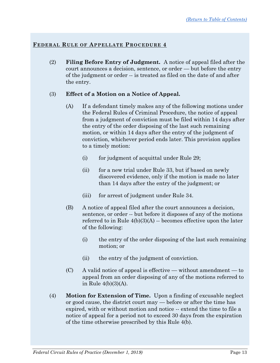(2) **Filing Before Entry of Judgment.** A notice of appeal filed after the court announces a decision, sentence, or order — but before the entry of the judgment or order -- is treated as filed on the date of and after the entry.

#### (3) **Effect of a Motion on a Notice of Appeal.**

- (A) If a defendant timely makes any of the following motions under the Federal Rules of Criminal Procedure, the notice of appeal from a judgment of conviction must be filed within 14 days after the entry of the order disposing of the last such remaining motion, or within 14 days after the entry of the judgment of conviction, whichever period ends later. This provision applies to a timely motion:
	- (i) for judgment of acquittal under Rule 29;
	- (ii) for a new trial under Rule 33, but if based on newly discovered evidence, only if the motion is made no later than 14 days after the entry of the judgment; or
	- (iii) for arrest of judgment under Rule 34.
- (B) A notice of appeal filed after the court announces a decision, sentence, or order -- but before it disposes of any of the motions referred to in Rule  $4(b)(3)(A)$  -- becomes effective upon the later of the following:
	- (i) the entry of the order disposing of the last such remaining motion; or
	- (ii) the entry of the judgment of conviction.
- $(C)$  A valid notice of appeal is effective without amendment to appeal from an order disposing of any of the motions referred to in Rule  $4(b)(3)(A)$ .
- (4) **Motion for Extension of Time.** Upon a finding of excusable neglect or good cause, the district court may — before or after the time has expired, with or without motion and notice -- extend the time to file a notice of appeal for a period not to exceed 30 days from the expiration of the time otherwise prescribed by this Rule 4(b).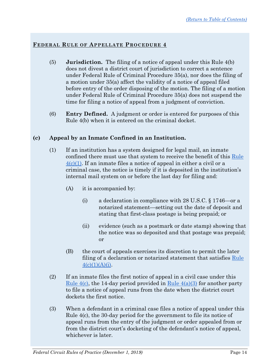- (5) **Jurisdiction.** The filing of a notice of appeal under this Rule 4(b) does not divest a district court of jurisdiction to correct a sentence under Federal Rule of Criminal Procedure 35(a), nor does the filing of a motion under 35(a) affect the validity of a notice of appeal filed before entry of the order disposing of the motion. The filing of a motion under Federal Rule of Criminal Procedure 35(a) does not suspend the time for filing a notice of appeal from a judgment of conviction.
- (6) **Entry Defined.** A judgment or order is entered for purposes of this Rule 4(b) when it is entered on the criminal docket.

#### **(c) Appeal by an Inmate Confined in an Institution.**

- (1) If an institution has a system designed for legal mail, an inmate confined there must use that system to receive the benefit of this [Rule](#page-25-0)   $4(c)(1)$ . If an inmate files a notice of appeal in either a civil or a criminal case, the notice is timely if it is deposited in the institution's internal mail system on or before the last day for filing and:
	- (A) it is accompanied by:
		- (i) a declaration in compliance with 28 U.S.C. § 1746—or a notarized statement—setting out the date of deposit and stating that first-class postage is being prepaid; or
		- (ii) evidence (such as a postmark or date stamp) showing that the notice was so deposited and that postage was prepaid; or
	- (B) the court of appeals exercises its discretion to permit the later filing of a declaration or notarized statement that satisfies [Rule](#page-25-0)   $4(c)(1)(A)(i)$ .
- (2) If an inmate files the first notice of appeal in a civil case under this Rule  $4(c)$ , the 14-day period provided in Rule  $4(a)(3)$  for another party to file a notice of appeal runs from the date when the district court dockets the first notice.
- (3) When a defendant in a criminal case files a notice of appeal under this Rule 4(c), the 30-day period for the government to file its notice of appeal runs from the entry of the judgment or order appealed from or from the district court's docketing of the defendant's notice of appeal, whichever is later.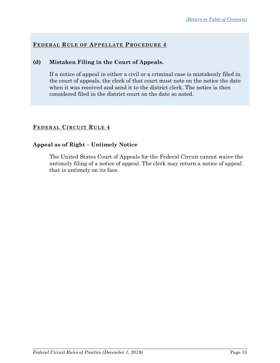#### **(d) Mistaken Filing in the Court of Appeals.**

If a notice of appeal in either a civil or a criminal case is mistakenly filed in the court of appeals, the clerk of that court must note on the notice the date when it was received and send it to the district clerk. The notice is then considered filed in the district court on the date so noted.

# <span id="page-28-0"></span>**FEDERAL CIRCUIT RULE 4**

#### <span id="page-28-1"></span>**Appeal as of Right – Untimely Notice**

The United States Court of Appeals for the Federal Circuit cannot waive the untimely filing of a notice of appeal. The clerk may return a notice of appeal that is untimely on its face.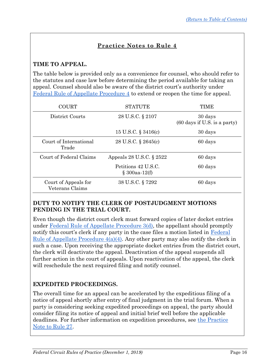# **Practice Notes to Rule 4**

# <span id="page-29-0"></span>**TIME TO APPEAL.**

The table below is provided only as a convenience for counsel, who should refer to the statutes and case law before determining the period available for taking an appeal. Counsel should also be aware of the district court's authority under [Federal Rule of Appellate Procedure 4](#page-22-0) to extend or reopen the time for appeal.

| <b>COURT</b>                            | <b>STATUTE</b>                        | TIME                                              |
|-----------------------------------------|---------------------------------------|---------------------------------------------------|
| District Courts                         | 28 U.S.C. § 2107                      | 30 days<br>$(60 \text{ days if U.S. is a party})$ |
|                                         | 15 U.S.C. § 3416(c)                   | 30 days                                           |
| Court of International<br>Trade         | 28 U.S.C. § 2645(c)                   | 60 days                                           |
| Court of Federal Claims                 | Appeals $28$ U.S.C. $\S 2522$         | 60 days                                           |
|                                         | Petitions 42 U.S.C.<br>$$300aa-12(f)$ | 60 days                                           |
| Court of Appeals for<br>Veterans Claims | 38 U.S.C. § 7292                      | 60 days                                           |

# **DUTY TO NOTIFY THE CLERK OF POSTJUDGMENT MOTIONS PENDING IN THE TRIAL COURT.**

Even though the district court clerk must forward copies of later docket entries under Federal Rule of Appellate Procedure  $3(d)$ , the appellant should promptly notify this court's clerk if any party in the case files a motion listed in [Federal](#page-22-2)  Rule of Appellate Procedure  $4(a)(4)$ . Any other party may also notify the clerk in such a case. Upon receiving the appropriate docket entries from the district court, the clerk will deactivate the appeal. Deactivation of the appeal suspends all further action in the court of appeals. Upon reactivation of the appeal, the clerk will reschedule the next required filing and notify counsel.

# **EXPEDITED PROCEEDINGS.**

The overall time for an appeal can be accelerated by the expeditious filing of a notice of appeal shortly after entry of final judgment in the trial forum. When a party is considering seeking expedited proceedings on appeal, the party should consider filing its notice of appeal and initial brief well before the applicable deadlines. For further information on expedition procedures, see [the Practice](#page-108-1)  [Note to Rule 27.](#page-108-1)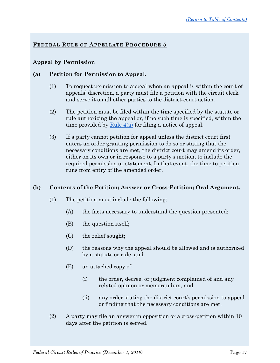#### <span id="page-30-1"></span><span id="page-30-0"></span>**Appeal by Permission**

#### **(a) Petition for Permission to Appeal.**

- (1) To request permission to appeal when an appeal is within the court of appeals' discretion, a party must file a petition with the circuit clerk and serve it on all other parties to the district-court action.
- (2) The petition must be filed within the time specified by the statute or rule authorizing the appeal or, if no such time is specified, within the time provided by  $Rule 4(a)$  for filing a notice of appeal.</u>
- (3) If a party cannot petition for appeal unless the district court first enters an order granting permission to do so or stating that the necessary conditions are met, the district court may amend its order, either on its own or in response to a party's motion, to include the required permission or statement. In that event, the time to petition runs from entry of the amended order.

#### <span id="page-30-2"></span>**(b) Contents of the Petition; Answer or Cross-Petition; Oral Argument.**

- (1) The petition must include the following:
	- (A) the facts necessary to understand the question presented;
	- (B) the question itself;
	- (C) the relief sought;
	- (D) the reasons why the appeal should be allowed and is authorized by a statute or rule; and
	- (E) an attached copy of:
		- (i) the order, decree, or judgment complained of and any related opinion or memorandum, and
		- (ii) any order stating the district court's permission to appeal or finding that the necessary conditions are met.
- (2) A party may file an answer in opposition or a cross-petition within 10 days after the petition is served.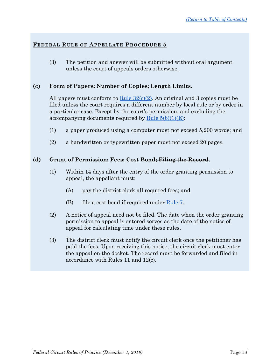(3) The petition and answer will be submitted without oral argument unless the court of appeals orders otherwise.

#### **(c) Form of Papers; Number of Copies; Length Limits.**

All papers must conform to Rule  $32(c)(2)$ . An original and 3 copies must be filed unless the court requires a different number by local rule or by order in a particular case. Except by the court's permission, and excluding the accompanying documents required by Rule  $5(b)(1)(E)$ :

- (1) a paper produced using a computer must not exceed 5,200 words; and
- (2) a handwritten or typewritten paper must not exceed 20 pages.

#### **(d) Grant of Permission; Fees; Cost Bond; Filing the Record.**

- (1) Within 14 days after the entry of the order granting permission to appeal, the appellant must:
	- (A) pay the district clerk all required fees; and
	- (B) file a cost bond if required under [Rule 7.](#page-34-2)
- (2) A notice of appeal need not be filed. The date when the order granting permission to appeal is entered serves as the date of the notice of appeal for calculating time under these rules.
- <span id="page-31-0"></span>(3) The district clerk must notify the circuit clerk once the petitioner has paid the fees. Upon receiving this notice, the circuit clerk must enter the appeal on the docket. The record must be forwarded and filed in accordance with Rules 11 and 12(c).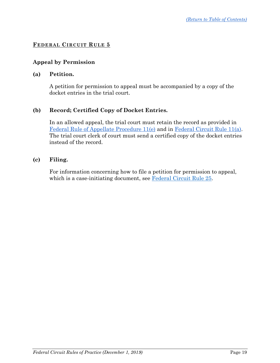### <span id="page-32-0"></span>**FEDERAL CIRCUIT RULE 5**

#### <span id="page-32-1"></span>**Appeal by Permission**

#### **(a) Petition.**

A petition for permission to appeal must be accompanied by a copy of the docket entries in the trial court.

#### **(b) Record; Certified Copy of Docket Entries.**

In an allowed appeal, the trial court must retain the record as provided in [Federal Rule of Appellate Procedure 11\(e\)](#page-44-0) and in [Federal Circuit Rule 11\(a\).](#page-46-2) The trial court clerk of court must send a certified copy of the docket entries instead of the record.

#### **(c) Filing.**

For information concerning how to file a petition for permission to appeal, which is a case-initiating document, see [Federal Circuit Rule 25.](#page-84-0)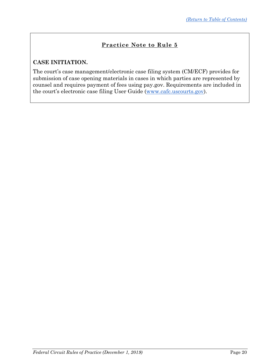# **Practice Note to Rule 5**

# <span id="page-33-0"></span>**CASE INITIATION.**

The court's case management/electronic case filing system (CM/ECF) provides for submission of case opening materials in cases in which parties are represented by counsel and requires payment of fees using pay.gov. Requirements are included in the court's electronic case filing User Guide [\(www.cafc.uscourts.gov\)](http://www.cafc.uscourts.gov/).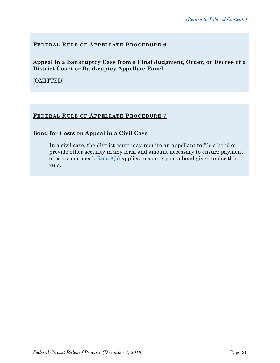#### <span id="page-34-1"></span><span id="page-34-0"></span>**Appeal in a Bankruptcy Case from a Final Judgment, Order, or Decree of a District Court or Bankruptcy Appellate Panel**

[OMITTED]

#### <span id="page-34-2"></span>**FEDERAL RULE OF APPELLATE PROCEDURE 7**

#### <span id="page-34-3"></span>**Bond for Costs on Appeal in a Civil Case**

In a civil case, the district court may require an appellant to file a bond or provide other security in any form and amount necessary to ensure payment of costs on appeal.  $\frac{\text{Rule } 8(b)}{\text{applies to a surely on a bond given under this}}$ rule.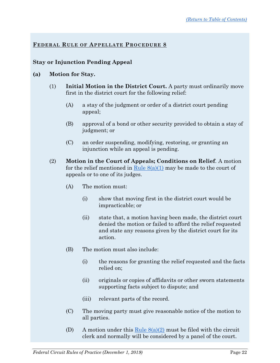#### <span id="page-35-1"></span><span id="page-35-0"></span>**Stay or Injunction Pending Appeal**

#### <span id="page-35-2"></span>**(a) Motion for Stay.**

- (1) **Initial Motion in the District Court.** A party must ordinarily move first in the district court for the following relief:
	- (A) a stay of the judgment or order of a district court pending appeal;
	- (B) approval of a bond or other security provided to obtain a stay of judgment; or
	- (C) an order suspending, modifying, restoring, or granting an injunction while an appeal is pending.
- (2) **Motion in the Court of Appeals; Conditions on Relief***.* A motion for the relief mentioned in Rule  $8(a)(1)$  may be made to the court of appeals or to one of its judges.
	- (A) The motion must:
		- (i) show that moving first in the district court would be impracticable; or
		- (ii) state that, a motion having been made, the district court denied the motion or failed to afford the relief requested and state any reasons given by the district court for its action.
	- (B) The motion must also include:
		- (i) the reasons for granting the relief requested and the facts relied on;
		- (ii) originals or copies of affidavits or other sworn statements supporting facts subject to dispute; and
		- (iii) relevant parts of the record.
	- (C) The moving party must give reasonable notice of the motion to all parties.
	- (D) A motion under this Rule  $8(a)(2)$  must be filed with the circuit clerk and normally will be considered by a panel of the court.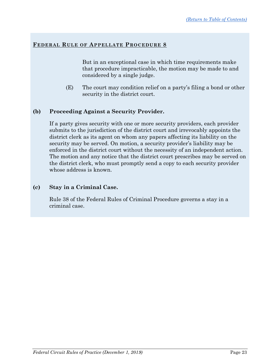But in an exceptional case in which time requirements make that procedure impracticable, the motion may be made to and considered by a single judge.

(E) The court may condition relief on a party's filing a bond or other security in the district court.

## **(b) Proceeding Against a Security Provider.**

If a party gives security with one or more security providers, each provider submits to the jurisdiction of the district court and irrevocably appoints the district clerk as its agent on whom any papers affecting its liability on the security may be served. On motion, a security provider's liability may be enforced in the district court without the necessity of an independent action. The motion and any notice that the district court prescribes may be served on the district clerk, who must promptly send a copy to each security provider whose address is known.

#### **(c) Stay in a Criminal Case.**

Rule 38 of the Federal Rules of Criminal Procedure governs a stay in a criminal case.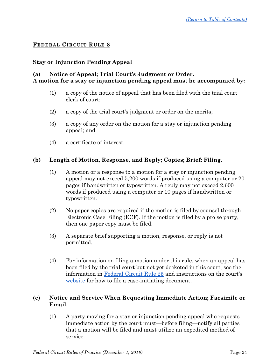## **Stay or Injunction Pending Appeal**

## **(a) Notice of Appeal; Trial Court's Judgment or Order. A motion for a stay or injunction pending appeal must be accompanied by:**

- (1) a copy of the notice of appeal that has been filed with the trial court clerk of court;
- (2) a copy of the trial court's judgment or order on the merits;
- (3) a copy of any order on the motion for a stay or injunction pending appeal; and
- (4) a certificate of interest.

## **(b) Length of Motion, Response, and Reply; Copies; Brief; Filing.**

- (1) A motion or a response to a motion for a stay or injunction pending appeal may not exceed 5,200 words if produced using a computer or 20 pages if handwritten or typewritten. A reply may not exceed 2,600 words if produced using a computer or 10 pages if handwritten or typewritten.
- (2) No paper copies are required if the motion is filed by counsel through Electronic Case Filing (ECF). If the motion is filed by a pro se party, then one paper copy must be filed.
- (3) A separate brief supporting a motion, response, or reply is not permitted.
- (4) For information on filing a motion under this rule, when an appeal has been filed by the trial court but not yet docketed in this court, see the information in [Federal Circuit Rule 25](#page-84-0) and instructions on the court's [website](http://www.cafc.uscourts.gov/) for how to file a case-initiating document.

## **(c) Notice and Service When Requesting Immediate Action; Facsimile or Email.**

(1) A party moving for a stay or injunction pending appeal who requests immediate action by the court must—before filing—notify all parties that a motion will be filed and must utilize an expedited method of service.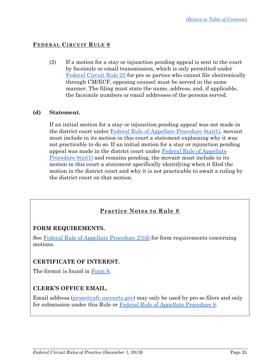(2) If a motion for a stay or injunction pending appeal is sent to the court by facsimile or email transmission, which is only permitted under [Federal Circuit Rule 25](#page-84-0) for pro se parties who cannot file electronically through CM/ECF, opposing counsel must be served in the same manner. The filing must state the name, address, and, if applicable, the facsimile numbers or email addresses of the persons served.

#### **(d) Statement.**

If an initial motion for a stay or injunction pending appeal was not made in the district court under Federal Rule of Appellate Procedure  $8(a)(1)$ , movant must include in its motion in this court a statement explaining why it was not practicable to do so. If an initial motion for a stay or injunction pending appeal was made in the district court under [Federal Rule of Appellate](#page-35-0)  Procedure  $8(a)(1)$  and remains pending, the movant must include in its motion in this court a statement specifically identifying when it filed the motion in the district court and why it is not practicable to await a ruling by the district court on that motion.

## **Practice Notes to Rule 8**

#### **FORM REQUIREMENTS.**

See [Federal Rule of Appellate Procedure 27\(d\)](#page-101-0) for form requirements concerning motions.

#### **CERTIFICATE OF INTEREST.**

The format is found in [Form 9.](http://www.cafc.uscourts.gov/rules-of-practice/forms)

## **CLERK'S OFFICE EMAIL.**

Email address [\(prose@cafc.uscourts.gov\)](mailto:prose@cafc.uscourts.gov) may only be used by pro se filers and only for submission under this Rule or [Federal Rule of Appellate Procedure 8.](#page-35-1)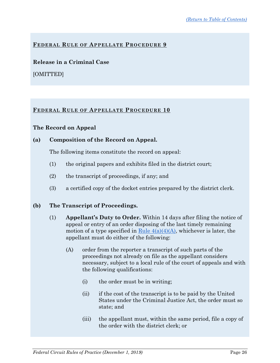#### **Release in a Criminal Case**

[OMITTED]

#### **FEDERAL RULE OF APPELLATE PROCEDURE 10**

#### **The Record on Appeal**

## <span id="page-39-1"></span>**(a) Composition of the Record on Appeal.**

The following items constitute the record on appeal:

- (1) the original papers and exhibits filed in the district court;
- (2) the transcript of proceedings, if any; and
- (3) a certified copy of the docket entries prepared by the district clerk.

#### <span id="page-39-0"></span>**(b) The Transcript of Proceedings.**

- (1) **Appellant's Duty to Order.** Within 14 days after filing the notice of appeal or entry of an order disposing of the last timely remaining motion of a type specified in Rule  $4(a)(4)(A)$ , whichever is later, the appellant must do either of the following:
	- (A) order from the reporter a transcript of such parts of the proceedings not already on file as the appellant considers necessary, subject to a local rule of the court of appeals and with the following qualifications:
		- (i) the order must be in writing;
		- (ii) if the cost of the transcript is to be paid by the United States under the Criminal Justice Act, the order must so state; and
		- (iii) the appellant must, within the same period, file a copy of the order with the district clerk; or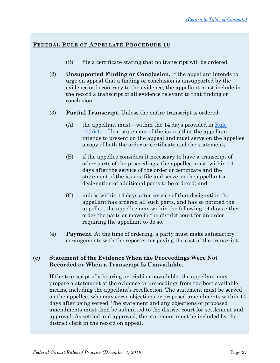- (B) file a certificate stating that no transcript will be ordered.
- (2) **Unsupported Finding or Conclusion.** If the appellant intends to urge on appeal that a finding or conclusion is unsupported by the evidence or is contrary to the evidence, the appellant must include in the record a transcript of all evidence relevant to that finding or conclusion.
- (3) **Partial Transcript.** Unless the entire transcript is ordered:
	- (A) the appellant must—within the 14 days provided in [Rule](#page-39-0)   $10(b)(1)$ —file a statement of the issues that the appellant intends to present on the appeal and must serve on the appellee a copy of both the order or certificate and the statement;
	- (B) if the appellee considers it necessary to have a transcript of other parts of the proceedings, the appellee must, within 14 days after the service of the order or certificate and the statement of the issues, file and serve on the appellant a designation of additional parts to be ordered; and
	- (C) unless within 14 days after service of that designation the appellant has ordered all such parts, and has so notified the appellee, the appellee may within the following 14 days either order the parts or move in the district court for an order requiring the appellant to do so.
- (4) **Payment.** At the time of ordering, a party must make satisfactory arrangements with the reporter for paying the cost of the transcript.

## <span id="page-40-0"></span>**(c) Statement of the Evidence When the Proceedings Were Not Recorded or When a Transcript Is Unavailable.**

If the transcript of a hearing or trial is unavailable, the appellant may prepare a statement of the evidence or proceedings from the best available means, including the appellant's recollection. The statement must be served on the appellee, who may serve objections or proposed amendments within 14 days after being served. The statement and any objections or proposed amendments must then be submitted to the district court for settlement and approval. As settled and approved, the statement must be included by the district clerk in the record on appeal.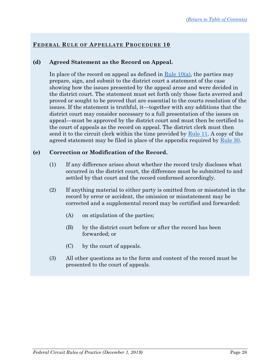#### <span id="page-41-0"></span>**(d) Agreed Statement as the Record on Appeal.**

In place of the record on appeal as defined in  $Rule 10(a)$ , the parties may prepare, sign, and submit to the district court a statement of the case showing how the issues presented by the appeal arose and were decided in the district court. The statement must set forth only those facts averred and proved or sought to be proved that are essential to the courts resolution of the issues. If the statement is truthful, it—together with any additions that the district court may consider necessary to a full presentation of the issues on appeal—must be approved by the district court and must then be certified to the court of appeals as the record on appeal. The district clerk must then send it to the circuit clerk within the time provided by [Rule 11.](#page-43-0) A copy of the agreed statement may be filed in place of the appendix required by [Rule 30.](#page-129-0)

#### **(e) Correction or Modification of the Record.**

- (1) If any difference arises about whether the record truly discloses what occurred in the district court, the difference must be submitted to and settled by that court and the record conformed accordingly.
- (2) If anything material to either party is omitted from or misstated in the record by error or accident, the omission or misstatement may be corrected and a supplemental record may be certified and forwarded:
	- (A) on stipulation of the parties;
	- (B) by the district court before or after the record has been forwarded; or
	- (C) by the court of appeals.
- (3) All other questions as to the form and content of the record must be presented to the court of appeals.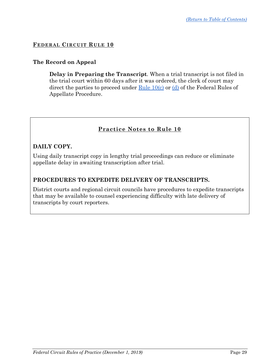## **The Record on Appeal**

**Delay in Preparing the Transcript***.* When a trial transcript is not filed in the trial court within 60 days after it was ordered, the clerk of court may direct the parties to proceed under  $\frac{\text{Rule }10(c)}{\text{or }(d)}$  of the Federal Rules of Appellate Procedure.

## **Practice Notes to Rule 10**

## **DAILY COPY.**

Using daily transcript copy in lengthy trial proceedings can reduce or eliminate appellate delay in awaiting transcription after trial.

## **PROCEDURES TO EXPEDITE DELIVERY OF TRANSCRIPTS.**

District courts and regional circuit councils have procedures to expedite transcripts that may be available to counsel experiencing difficulty with late delivery of transcripts by court reporters.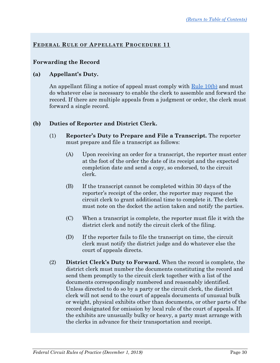## <span id="page-43-0"></span>**Forwarding the Record**

## **(a) Appellant's Duty.**

An appellant filing a notice of appeal must comply with  $Rule 10(b)$  and must do whatever else is necessary to enable the clerk to assemble and forward the record. If there are multiple appeals from a judgment or order, the clerk must forward a single record.

## **(b) Duties of Reporter and District Clerk.**

- (1) **Reporter's Duty to Prepare and File a Transcript.** The reporter must prepare and file a transcript as follows:
	- (A) Upon receiving an order for a transcript, the reporter must enter at the foot of the order the date of its receipt and the expected completion date and send a copy, so endorsed, to the circuit clerk.
	- (B) If the transcript cannot be completed within 30 days of the reporter's receipt of the order, the reporter may request the circuit clerk to grant additional time to complete it. The clerk must note on the docket the action taken and notify the parties.
	- (C) When a transcript is complete, the reporter must file it with the district clerk and notify the circuit clerk of the filing.
	- (D) If the reporter fails to file the transcript on time, the circuit clerk must notify the district judge and do whatever else the court of appeals directs.
- (2) **District Clerk's Duty to Forward.** When the record is complete, the district clerk must number the documents constituting the record and send them promptly to the circuit clerk together with a list of the documents correspondingly numbered and reasonably identified. Unless directed to do so by a party or the circuit clerk, the district clerk will not send to the court of appeals documents of unusual bulk or weight, physical exhibits other than documents, or other parts of the record designated for omission by local rule of the court of appeals. If the exhibits are unusually bulky or heavy, a party must arrange with the clerks in advance for their transportation and receipt.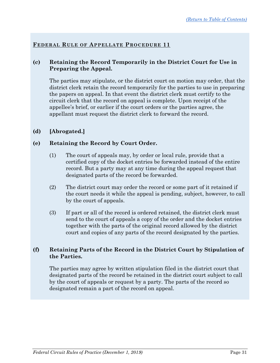#### **(c) Retaining the Record Temporarily in the District Court for Use in Preparing the Appeal.**

The parties may stipulate, or the district court on motion may order, that the district clerk retain the record temporarily for the parties to use in preparing the papers on appeal. In that event the district clerk must certify to the circuit clerk that the record on appeal is complete. Upon receipt of the appellee's brief, or earlier if the court orders or the parties agree, the appellant must request the district clerk to forward the record.

## **(d) [Abrogated.]**

## **(e) Retaining the Record by Court Order.**

- (1) The court of appeals may, by order or local rule, provide that a certified copy of the docket entries be forwarded instead of the entire record. But a party may at any time during the appeal request that designated parts of the record be forwarded.
- (2) The district court may order the record or some part of it retained if the court needs it while the appeal is pending, subject, however, to call by the court of appeals.
- (3) If part or all of the record is ordered retained, the district clerk must send to the court of appeals a copy of the order and the docket entries together with the parts of the original record allowed by the district court and copies of any parts of the record designated by the parties.

## **(f) Retaining Parts of the Record in the District Court by Stipulation of the Parties.**

The parties may agree by written stipulation filed in the district court that designated parts of the record be retained in the district court subject to call by the court of appeals or request by a party. The parts of the record so designated remain a part of the record on appeal.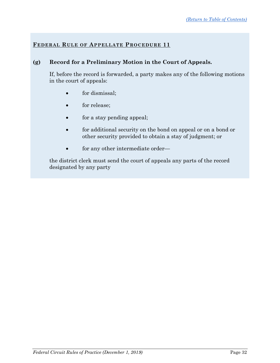#### **(g) Record for a Preliminary Motion in the Court of Appeals.**

If, before the record is forwarded, a party makes any of the following motions in the court of appeals:

- for dismissal;
- for release;
- for a stay pending appeal;
- for additional security on the bond on appeal or on a bond or other security provided to obtain a stay of judgment; or
- for any other intermediate order—

the district clerk must send the court of appeals any parts of the record designated by any party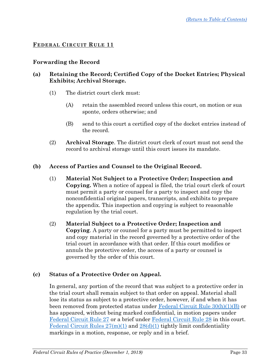## **Forwarding the Record**

## **(a) Retaining the Record; Certified Copy of the Docket Entries; Physical Exhibits; Archival Storage.**

- (1) The district court clerk must:
	- (A) retain the assembled record unless this court, on motion or sua sponte, orders otherwise; and
	- (B) send to this court a certified copy of the docket entries instead of the record.
- (2) **Archival Storage**. The district court clerk of court must not send the record to archival storage until this court issues its mandate.

#### **(b) Access of Parties and Counsel to the Original Record.**

- (1) **Material Not Subject to a Protective Order; Inspection and Copying.** When a notice of appeal is filed, the trial court clerk of court must permit a party or counsel for a party to inspect and copy the nonconfidential original papers, transcripts, and exhibits to prepare the appendix. This inspection and copying is subject to reasonable regulation by the trial court.
- (2) **Material Subject to a Protective Order; Inspection and Copying**. A party or counsel for a party must be permitted to inspect and copy material in the record governed by a protective order of the trial court in accordance with that order. If this court modifies or annuls the protective order, the access of a party or counsel is governed by the order of this court.

#### **(c) Status of a Protective Order on Appeal.**

In general, any portion of the record that was subject to a protective order in the trial court shall remain subject to that order on appeal. Material shall lose its status as subject to a protective order, however, if and when it has been removed from protected status under [Federal Circuit Rule 30\(h\)\(1\)\(B\)](#page-137-0) or has appeared, without being marked confidential, in motion papers under [Federal Circuit Rule 27](#page-103-0) or a brief under [Federal Circuit Rule 28](#page-113-0) in this court. Federal Circuit Rules  $27(m)(1)$  and  $28(d)(1)$  tightly limit confidentiality markings in a motion, response, or reply and in a brief.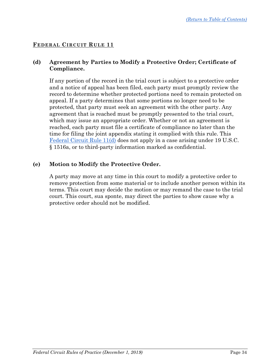#### <span id="page-47-0"></span>**(d) Agreement by Parties to Modify a Protective Order; Certificate of Compliance.**

If any portion of the record in the trial court is subject to a protective order and a notice of appeal has been filed, each party must promptly review the record to determine whether protected portions need to remain protected on appeal. If a party determines that some portions no longer need to be protected, that party must seek an agreement with the other party. Any agreement that is reached must be promptly presented to the trial court, which may issue an appropriate order. Whether or not an agreement is reached, each party must file a certificate of compliance no later than the time for filing the joint appendix stating it complied with this rule. This [Federal Circuit Rule 11\(d\)](#page-47-0) does not apply in a case arising under 19 U.S.C. § 1516a, or to third-party information marked as confidential.

## **(e) Motion to Modify the Protective Order.**

A party may move at any time in this court to modify a protective order to remove protection from some material or to include another person within its terms. This court may decide the motion or may remand the case to the trial court. This court, sua sponte, may direct the parties to show cause why a protective order should not be modified.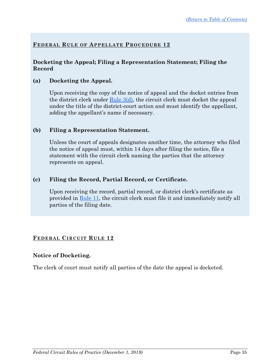#### **Docketing the Appeal; Filing a Representation Statement; Filing the Record**

#### **(a) Docketing the Appeal.**

Upon receiving the copy of the notice of appeal and the docket entries from the district clerk under  $\frac{\text{Rule } 3(d)}{\text{The circuit clerk}}$  must docket the appeal under the title of the district-court action and must identify the appellant, adding the appellant's name if necessary.

#### <span id="page-48-0"></span>**(b) Filing a Representation Statement.**

Unless the court of appeals designates another time, the attorney who filed the notice of appeal must, within 14 days after filing the notice, file a statement with the circuit clerk naming the parties that the attorney represents on appeal.

#### **(c) Filing the Record, Partial Record, or Certificate.**

Upon receiving the record, partial record, or district clerk's certificate as provided in <u>Rule 11</u>, the circuit clerk must file it and immediately notify all parties of the filing date.

## **FEDERAL CIRCUIT RULE 12**

#### **Notice of Docketing***.*

The clerk of court must notify all parties of the date the appeal is docketed.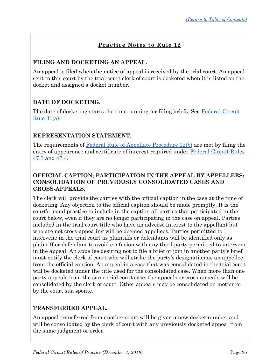# **Practice Notes to Rule 12**

## **FILING AND DOCKETING AN APPEAL.**

An appeal is filed when the notice of appeal is received by the trial court. An appeal sent to this court by the trial court clerk of court is docketed when it is listed on the docket and assigned a docket number.

## **DATE OF DOCKETING.**

The date of docketing starts the time running for filing briefs. See Federal Circuit Rule  $31(a)$ .

## **REPRESENTATION STATEMENT.**

The requirements of [Federal Rule of Appellate Procedure 12\(b\)](#page-48-0) are met by filing the entry of appearance and certificate of interest required under [Federal Circuit Rules](#page-199-0)  [47.3](#page-199-0) and [47.4.](#page-202-0)

## **OFFICIAL CAPTION; PARTICIPATION IN THE APPEAL BY APPELLEES; CONSOLIDATION OF PREVIOUSLY CONSOLIDATED CASES AND CROSS-APPEALS.**

The clerk will provide the parties with the official caption in the case at the time of docketing. Any objection to the official caption should be made promptly. It is the court's usual practice to include in the caption all parties that participated in the court below, even if they are no longer participating in the case on appeal. Parties included in the trial court title who have an adverse interest to the appellant but who are not cross-appealing will be deemed appellees. Parties permitted to intervene in the trial court as plaintiffs or defendants will be identified only as plaintiff or defendant to avoid confusion with any third party permitted to intervene in the appeal. An appellee desiring not to file a brief or join in another party's brief must notify the clerk of court who will strike the party's designation as an appellee from the official caption. An appeal in a case that was consolidated in the trial court will be docketed under the title used for the consolidated case. When more than one party appeals from the same trial court case, the appeals or cross-appeals will be consolidated by the clerk of court. Other appeals may be consolidated on motion or by the court sua sponte.

## **TRANSFERRED APPEAL.**

An appeal transferred from another court will be given a new docket number and will be consolidated by the clerk of court with any previously docketed appeal from the same judgment or order.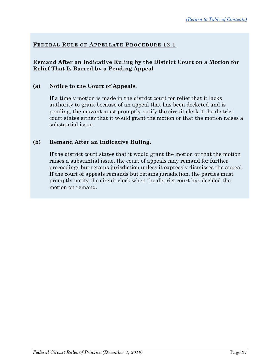## **Remand After an Indicative Ruling by the District Court on a Motion for Relief That Is Barred by a Pending Appeal**

#### **(a) Notice to the Court of Appeals.**

If a timely motion is made in the district court for relief that it lacks authority to grant because of an appeal that has been docketed and is pending, the movant must promptly notify the circuit clerk if the district court states either that it would grant the motion or that the motion raises a substantial issue.

## **(b) Remand After an Indicative Ruling.**

If the district court states that it would grant the motion or that the motion raises a substantial issue, the court of appeals may remand for further proceedings but retains jurisdiction unless it expressly dismisses the appeal. If the court of appeals remands but retains jurisdiction, the parties must promptly notify the circuit clerk when the district court has decided the motion on remand.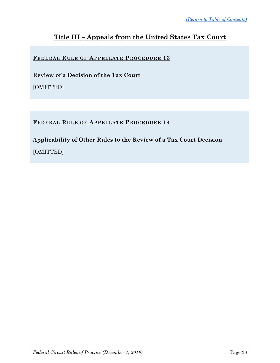# **Title III – Appeals from the United States Tax Court**

**FEDERAL RULE OF APPELLATE PROCEDURE 13**

**Review of a Decision of the Tax Court**

[OMITTED]

## **FEDERAL RULE OF APPELLATE PROCEDURE 14**

**Applicability of Other Rules to the Review of a Tax Court Decision** [OMITTED]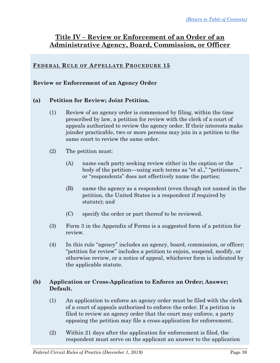# **Title IV – Review or Enforcement of an Order of an Administrative Agency, Board, Commission, or Officer**

## **FEDERAL RULE OF APPELLATE PROCEDURE 15**

#### **Review or Enforcement of an Agency Order**

#### **(a) Petition for Review; Joint Petition.**

- (1) Review of an agency order is commenced by filing, within the time prescribed by law, a petition for review with the clerk of a court of appeals authorized to review the agency order. If their interests make joinder practicable, two or more persons may join in a petition to the same court to review the same order.
- (2) The petition must:
	- (A) name each party seeking review either in the caption or the body of the petition—using such terms as "et al.," "petitioners," or "respondents" does not effectively name the parties;
	- (B) name the agency as a respondent (even though not named in the petition, the United States is a respondent if required by statute); and
	- (C) specify the order or part thereof to be reviewed.
- (3) Form 3 in the Appendix of Forms is a suggested form of a petition for review.
- (4) In this rule "agency" includes an agency, board, commission, or officer; "petition for review" includes a petition to enjoin, suspend, modify, or otherwise review, or a notice of appeal, whichever form is indicated by the applicable statute.

#### **(b) Application or Cross-Application to Enforce an Order; Answer; Default.**

- (1) An application to enforce an agency order must be filed with the clerk of a court of appeals authorized to enforce the order. If a petition is filed to review an agency order that the court may enforce, a party opposing the petition may file a cross-application for enforcement.
- (2) Within 21 days after the application for enforcement is filed, the respondent must serve on the applicant an answer to the application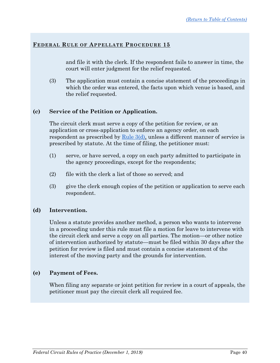and file it with the clerk. If the respondent fails to answer in time, the court will enter judgment for the relief requested.

(3) The application must contain a concise statement of the proceedings in which the order was entered, the facts upon which venue is based, and the relief requested.

## **(c) Service of the Petition or Application.**

The circuit clerk must serve a copy of the petition for review, or an application or cross-application to enforce an agency order, on each respondent as prescribed by Rule  $3(d)$ , unless a different manner of service is prescribed by statute. At the time of filing, the petitioner must:

- (1) serve, or have served, a copy on each party admitted to participate in the agency proceedings, except for the respondents;
- (2) file with the clerk a list of those so served; and
- (3) give the clerk enough copies of the petition or application to serve each respondent.

#### **(d) Intervention.**

Unless a statute provides another method, a person who wants to intervene in a proceeding under this rule must file a motion for leave to intervene with the circuit clerk and serve a copy on all parties. The motion—or other notice of intervention authorized by statute—must be filed within 30 days after the petition for review is filed and must contain a concise statement of the interest of the moving party and the grounds for intervention.

#### **(e) Payment of Fees.**

<span id="page-53-0"></span>When filing any separate or joint petition for review in a court of appeals, the petitioner must pay the circuit clerk all required fee.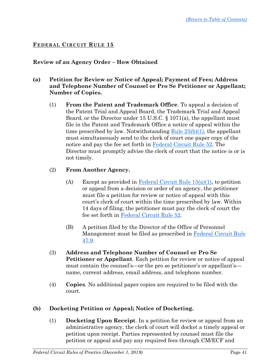## **Review of an Agency Order – How Obtained**

#### <span id="page-54-0"></span>**(a) Petition for Review or Notice of Appeal; Payment of Fees; Address and Telephone Number of Counsel or Pro Se Petitioner or Appellant; Number of Copies.**

(1) **From the Patent and Trademark Office**. To appeal a decision of the Patent Trial and Appeal Board, the Trademark Trial and Appeal Board, or the Director under 15 U.S.C. § 1071(a), the appellant must file in the Patent and Trademark Office a notice of appeal within the time prescribed by law. Notwithstanding Rule  $25(b)(1)$ , the appellant must simultaneously send to the clerk of court one paper copy of the notice and pay the fee set forth in [Federal Circuit Rule 52.](#page-212-0) The Director must promptly advise the clerk of court that the notice is or is not timely.

## (2) **From Another Agency.**

- (A) Except as provided in Federal Circuit Rule  $15(a)(1)$ , to petition or appeal from a decision or order of an agency, the petitioner must file a petition for review or notice of appeal with this court's clerk of court within the time prescribed by law. Within 14 days of filing, the petitioner must pay the clerk of court the fee set forth in [Federal Circuit Rule 52.](#page-212-0)
- (B) A petition filed by the Director of the Office of Personnel Management must be filed as prescribed in [Federal Circuit Rule](#page-206-0)  [47.9.](#page-206-0)
- (3) **Address and Telephone Number of Counsel or Pro Se Petitioner or Appellant***.* Each petition for review or notice of appeal must contain the counsel's—or the pro se petitioner's or appellant's name, current address, email address, and telephone number.
- (4) **Copies***.* No additional paper copies are required to be filed with the court.

## **(b) Docketing Petition or Appeal; Notice of Docketing.**

(1) **Docketing Upon Receipt**. In a petition for review or appeal from an administrative agency, the clerk of court will docket a timely appeal or petition upon receipt. Parties represented by counsel must file the petition or appeal and pay any required fees through CM/ECF and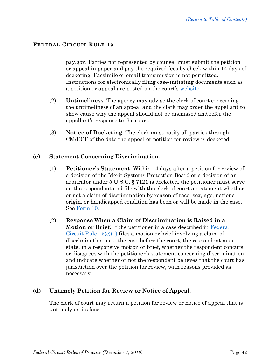pay.gov. Parties not represented by counsel must submit the petition or appeal in paper and pay the required fees by check within 14 days of docketing. Facsimile or email transmission is not permitted. Instructions for electronically filing case-initiating documents such as a petition or appeal are posted on the court's [website.](http://www.cafc.uscourts.gov/)

- (2) **Untimeliness***.* The agency may advise the clerk of court concerning the untimeliness of an appeal and the clerk may order the appellant to show cause why the appeal should not be dismissed and refer the appellant's response to the court.
- (3) **Notice of Docketing**. The clerk must notify all parties through CM/ECF of the date the appeal or petition for review is docketed.

#### **(c) Statement Concerning Discrimination.**

- (1) **Petitioner's Statement**. Within 14 days after a petition for review of a decision of the Merit Systems Protection Board or a decision of an arbitrator under 5 U.S.C. § 7121 is docketed, the petitioner must serve on the respondent and file with the clerk of court a statement whether or not a claim of discrimination by reason of race, sex, age, national origin, or handicapped condition has been or will be made in the case. See [Form 10.](http://www.cafc.uscourts.gov/rules-of-practice/forms)
- (2) **Response When a Claim of Discrimination is Raised in a Motion or Brief***.* If the petitioner in a case described in [Federal](#page-53-0)  [Circuit Rule 15\(c\)\(1\)](#page-53-0) files a motion or brief involving a claim of discrimination as to the case before the court, the respondent must state, in a responsive motion or brief, whether the respondent concurs or disagrees with the petitioner's statement concerning discrimination and indicate whether or not the respondent believes that the court has jurisdiction over the petition for review, with reasons provided as necessary.

#### **(d) Untimely Petition for Review or Notice of Appeal.**

The clerk of court may return a petition for review or notice of appeal that is untimely on its face.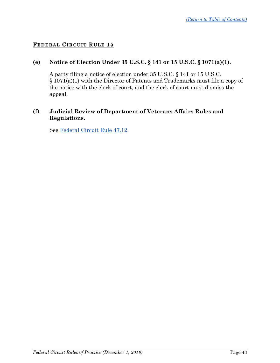## **(e) Notice of Election Under 35 U.S.C. § 141 or 15 U.S.C. § 1071(a)(1).**

A party filing a notice of election under 35 U.S.C. § 141 or 15 U.S.C. § 1071(a)(1) with the Director of Patents and Trademarks must file a copy of the notice with the clerk of court, and the clerk of court must dismiss the appeal.

## **(f) Judicial Review of Department of Veterans Affairs Rules and Regulations.**

See [Federal Circuit Rule 47.12.](#page-209-0)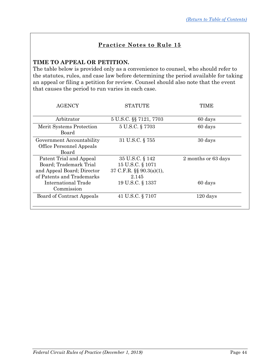## **Practice Notes to Rule 15**

## **TIME TO APPEAL OR PETITION.**

The table below is provided only as a convenience to counsel, who should refer to the statutes, rules, and case law before determining the period available for taking an appeal or filing a petition for review. Counsel should also note that the event that causes the period to run varies in each case.

| <b>AGENCY</b>                                                                                                | STATUTE                                                                  | TIME                |
|--------------------------------------------------------------------------------------------------------------|--------------------------------------------------------------------------|---------------------|
| Arbitrator                                                                                                   | 5 U.S.C. §§ 7121, 7703                                                   | 60 days             |
| Merit Systems Protection<br>Board                                                                            | 5 U.S.C. § 7703                                                          | 60 days             |
| Government Accountability<br>Office Personnel Appeals<br>Board                                               | 31 U.S.C. § 755                                                          | 30 days             |
| Patent Trial and Appeal<br>Board; Trademark Trial<br>and Appeal Board; Director<br>of Patents and Trademarks | 35 U.S.C. § 142<br>15 U.S.C. § 1071<br>37 C.F.R. §§ 90.3(a)(1),<br>2.145 | 2 months or 63 days |
| International Trade<br>Commission                                                                            | 19 U.S.C. § 1337                                                         | 60 days             |
| Board of Contract Appeals                                                                                    | 41 U.S.C. § 7107                                                         | $120$ days          |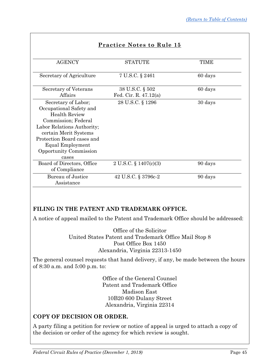| <b>Practice Notes to Rule 15</b>                                                                                                                                                                                                                 |                                            |         |  |
|--------------------------------------------------------------------------------------------------------------------------------------------------------------------------------------------------------------------------------------------------|--------------------------------------------|---------|--|
| <b>AGENCY</b>                                                                                                                                                                                                                                    | <b>STATUTE</b>                             | TIME    |  |
| Secretary of Agriculture                                                                                                                                                                                                                         | 7 U.S.C. § 2461                            | 60 days |  |
| Secretary of Veterans<br>Affairs                                                                                                                                                                                                                 | 38 U.S.C. § 502<br>Fed. Cir. R. $47.12(a)$ | 60 days |  |
| Secretary of Labor;<br>Occupational Safety and<br><b>Health Review</b><br>Commission; Federal<br>Labor Relations Authority;<br>certain Merit Systems<br>Protection Board cases and<br>Equal Employment<br><b>Opportunity Commission</b><br>cases | 28 U.S.C. § 1296                           | 30 days |  |
| Board of Directors, Office<br>of Compliance                                                                                                                                                                                                      | 2 U.S.C. $\S 1407(c)(3)$                   | 90 days |  |
| Bureau of Justice<br>Assistance                                                                                                                                                                                                                  | 42 U.S.C. § 3796c-2                        | 90 days |  |

## **FILING IN THE PATENT AND TRADEMARK OFFICE.**

A notice of appeal mailed to the Patent and Trademark Office should be addressed:

Office of the Solicitor United States Patent and Trademark Office Mail Stop 8 Post Office Box 1450 Alexandria, Virginia 22313-1450

The general counsel requests that hand delivery, if any, be made between the hours of 8:30 a.m. and 5:00 p.m. to:

> Office of the General Counsel Patent and Trademark Office Madison East 10B20 600 Dulany Street Alexandria, Virginia 22314

## **COPY OF DECISION OR ORDER.**

A party filing a petition for review or notice of appeal is urged to attach a copy of the decision or order of the agency for which review is sought.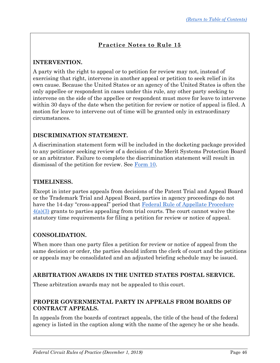## **Practice Notes to Rule 15**

## **INTERVENTION.**

A party with the right to appeal or to petition for review may not, instead of exercising that right, intervene in another appeal or petition to seek relief in its own cause. Because the United States or an agency of the United States is often the only appellee or respondent in cases under this rule, any other party seeking to intervene on the side of the appellee or respondent must move for leave to intervene within 30 days of the date when the petition for review or notice of appeal is filed. A motion for leave to intervene out of time will be granted only in extraordinary circumstances.

## **DISCRIMINATION STATEMENT.**

A discrimination statement form will be included in the docketing package provided to any petitioner seeking review of a decision of the Merit Systems Protection Board or an arbitrator. Failure to complete the discrimination statement will result in dismissal of the petition for review. See [Form 10.](http://www.cafc.uscourts.gov/rules-of-practice/forms)

## **TIMELINESS.**

Except in inter partes appeals from decisions of the Patent Trial and Appeal Board or the Trademark Trial and Appeal Board, parties in agency proceedings do not have the 14-day "cross-appeal" period that [Federal Rule of Appellate Procedure](#page-22-0)  [4\(a\)\(3\)](#page-22-0) grants to parties appealing from trial courts. The court cannot waive the statutory time requirements for filing a petition for review or notice of appeal.

## **CONSOLIDATION.**

When more than one party files a petition for review or notice of appeal from the same decision or order, the parties should inform the clerk of court and the petitions or appeals may be consolidated and an adjusted briefing schedule may be issued.

#### **ARBITRATION AWARDS IN THE UNITED STATES POSTAL SERVICE.**

These arbitration awards may not be appealed to this court.

## **PROPER GOVERNMENTAL PARTY IN APPEALS FROM BOARDS OF CONTRACT APPEALS.**

In appeals from the boards of contract appeals, the title of the head of the federal agency is listed in the caption along with the name of the agency he or she heads.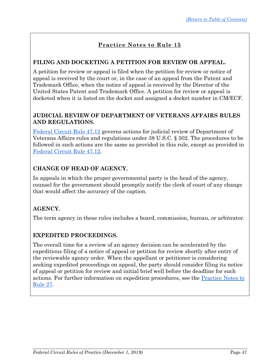# **Practice Notes to Rule 15**

## **FILING AND DOCKETING A PETITION FOR REVIEW OR APPEAL.**

A petition for review or appeal is filed when the petition for review or notice of appeal is received by the court or, in the case of an appeal from the Patent and Trademark Office, when the notice of appeal is received by the Director of the United States Patent and Trademark Office. A petition for review or appeal is docketed when it is listed on the docket and assigned a docket number in CM/ECF.

## **JUDICIAL REVIEW OF DEPARTMENT OF VETERANS AFFAIRS RULES AND REGULATIONS.**

[Federal Circuit Rule 47.12](#page-209-0) governs actions for judicial review of Department of Veterans Affairs rules and regulations under 38 U.S.C. § 502. The procedures to be followed in such actions are the same as provided in this rule, except as provided in [Federal Circuit Rule 47.12.](#page-209-0)

## **CHANGE OF HEAD OF AGENCY.**

In appeals in which the proper governmental party is the head of the agency, counsel for the government should promptly notify the clerk of court of any change that would affect the accuracy of the caption.

## **AGENCY.**

The term agency in these rules includes a board, commission, bureau, or arbitrator.

## **EXPEDITED PROCEEDINGS.**

The overall time for a review of an agency decision can be accelerated by the expeditious filing of a notice of appeal or petition for review shortly after entry of the reviewable agency order. When the appellant or petitioner is considering seeking expedited proceedings on appeal, the party should consider filing its notice of appeal or petition for review and initial brief well before the deadline for such actions. For further information on expedition procedures, see the [Practice Notes to](#page-108-0)  [Rule 27.](#page-108-0)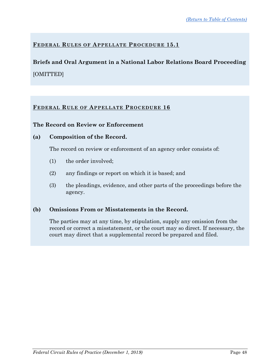# **Briefs and Oral Argument in a National Labor Relations Board Proceeding** [OMITTED]

## **FEDERAL RULE OF APPELLATE PROCEDURE 16**

#### **The Record on Review or Enforcement**

#### **(a) Composition of the Record.**

The record on review or enforcement of an agency order consists of:

- (1) the order involved;
- (2) any findings or report on which it is based; and
- (3) the pleadings, evidence, and other parts of the proceedings before the agency.

#### **(b) Omissions From or Misstatements in the Record.**

The parties may at any time, by stipulation, supply any omission from the record or correct a misstatement, or the court may so direct. If necessary, the court may direct that a supplemental record be prepared and filed.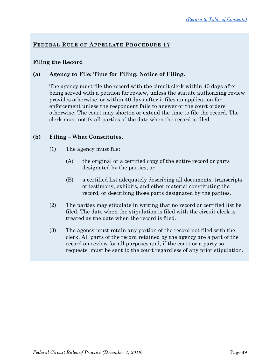## **Filing the Record**

## **(a) Agency to File; Time for Filing; Notice of Filing.**

The agency must file the record with the circuit clerk within 40 days after being served with a petition for review, unless the statute authorizing review provides otherwise, or within 40 days after it files an application for enforcement unless the respondent fails to answer or the court orders otherwise. The court may shorten or extend the time to file the record. The clerk must notify all parties of the date when the record is filed.

## **(b) Filing – What Constitutes.**

- (1) The agency must file:
	- (A) the original or a certified copy of the entire record or parts designated by the parties; or
	- (B) a certified list adequately describing all documents, transcripts of testimony, exhibits, and other material constituting the record, or describing those parts designated by the parties.
- (2) The parties may stipulate in writing that no record or certified list be filed. The date when the stipulation is filed with the circuit clerk is treated as the date when the record is filed.
- (3) The agency must retain any portion of the record not filed with the clerk. All parts of the record retained by the agency are a part of the record on review for all purposes and, if the court or a party so requests, must be sent to the court regardless of any prior stipulation.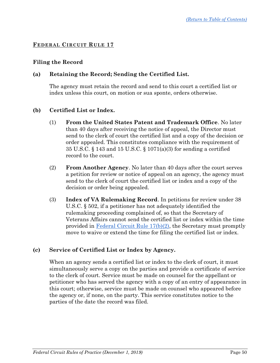#### **Filing the Record**

#### **(a) Retaining the Record; Sending the Certified List.**

The agency must retain the record and send to this court a certified list or index unless this court, on motion or sua sponte, orders otherwise.

#### <span id="page-63-0"></span>**(b) Certified List or Index.**

- (1) **From the United States Patent and Trademark Office**. No later than 40 days after receiving the notice of appeal, the Director must send to the clerk of court the certified list and a copy of the decision or order appealed. This constitutes compliance with the requirement of 35 U.S.C. § 143 and 15 U.S.C. § 1071(a)(3) for sending a certified record to the court.
- (2) **From Another Agency**. No later than 40 days after the court serves a petition for review or notice of appeal on an agency, the agency must send to the clerk of court the certified list or index and a copy of the decision or order being appealed.
- (3) **Index of VA Rulemaking Record**. In petitions for review under 38 U.S.C. § 502, if a petitioner has not adequately identified the rulemaking proceeding complained of, so that the Secretary of Veterans Affairs cannot send the certified list or index within the time provided in Federal Circuit Rule  $17(b)(2)$ , the Secretary must promptly move to waive or extend the time for filing the certified list or index.

#### **(c) Service of Certified List or Index by Agency.**

When an agency sends a certified list or index to the clerk of court, it must simultaneously serve a copy on the parties and provide a certificate of service to the clerk of court. Service must be made on counsel for the appellant or petitioner who has served the agency with a copy of an entry of appearance in this court; otherwise, service must be made on counsel who appeared before the agency or, if none, on the party. This service constitutes notice to the parties of the date the record was filed.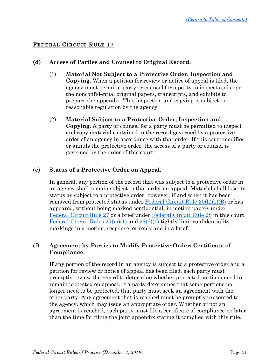## **(d) Access of Parties and Counsel to Original Record.**

- (1) **Material Not Subject to a Protective Order; Inspection and Copying**. When a petition for review or notice of appeal is filed, the agency must permit a party or counsel for a party to inspect and copy the nonconfidential original papers, transcripts, and exhibits to prepare the appendix. This inspection and copying is subject to reasonable regulation by the agency.
- (2) **Material Subject to a Protective Order; Inspection and Copying**. A party or counsel for a party must be permitted to inspect and copy material contained in the record governed by a protective order of an agency in accordance with that order. If this court modifies or annuls the protective order, the access of a party or counsel is governed by the order of this court.

## **(e) Status of a Protective Order on Appeal.**

In general, any portion of the record that was subject to a protective order in an agency shall remain subject to that order on appeal. Material shall lose its status as subject to a protective order, however, if and when it has been removed from protected status under [Federal Circuit Rule 30\(h\)\(1\)\(B\)](#page-137-0) or has appeared, without being marked confidential, in motion papers under [Federal Circuit Rule 27](#page-103-0) or a brief under [Federal Circuit Rule 28](#page-113-0) in this court. Federal Circuit Rules  $27(m)(1)$  and  $28(d)(1)$  tightly limit confidentiality markings in a motion, response, or reply and in a brief.

#### **(f) Agreement by Parties to Modify Protective Order; Certificate of Compliance.**

If any portion of the record in an agency is subject to a protective order and a petition for review or notice of appeal has been filed, each party must promptly review the record to determine whether protected portions need to remain protected on appeal. If a party determines that some portions no longer need to be protected, that party must seek an agreement with the other party. Any agreement that is reached must be promptly presented to the agency, which may issue an appropriate order. Whether or not an agreement is reached, each party must file a certificate of compliance no later than the time for filing the joint appendix stating it complied with this rule.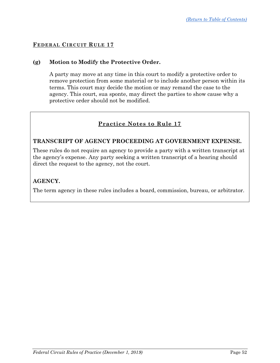## **(g) Motion to Modify the Protective Order.**

A party may move at any time in this court to modify a protective order to remove protection from some material or to include another person within its terms. This court may decide the motion or may remand the case to the agency. This court, sua sponte, may direct the parties to show cause why a protective order should not be modified.

## **Practice Notes to Rule 17**

## **TRANSCRIPT OF AGENCY PROCEEDING AT GOVERNMENT EXPENSE.**

These rules do not require an agency to provide a party with a written transcript at the agency's expense. Any party seeking a written transcript of a hearing should direct the request to the agency, not the court.

## **AGENCY.**

The term agency in these rules includes a board, commission, bureau, or arbitrator.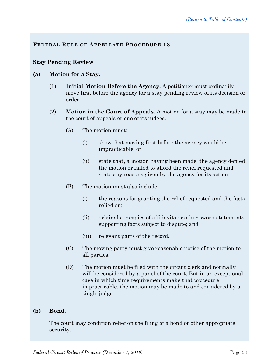## **Stay Pending Review**

#### <span id="page-66-0"></span>**(a) Motion for a Stay.**

- (1) **Initial Motion Before the Agency.** A petitioner must ordinarily move first before the agency for a stay pending review of its decision or order.
- (2) **Motion in the Court of Appeals.** A motion for a stay may be made to the court of appeals or one of its judges.
	- (A) The motion must:
		- (i) show that moving first before the agency would be impracticable; or
		- (ii) state that, a motion having been made, the agency denied the motion or failed to afford the relief requested and state any reasons given by the agency for its action.
	- (B) The motion must also include:
		- (i) the reasons for granting the relief requested and the facts relied on;
		- (ii) originals or copies of affidavits or other sworn statements supporting facts subject to dispute; and
		- (iii) relevant parts of the record.
	- (C) The moving party must give reasonable notice of the motion to all parties.
	- (D) The motion must be filed with the circuit clerk and normally will be considered by a panel of the court. But in an exceptional case in which time requirements make that procedure impracticable, the motion may be made to and considered by a single judge.

## **(b) Bond.**

The court may condition relief on the filing of a bond or other appropriate security.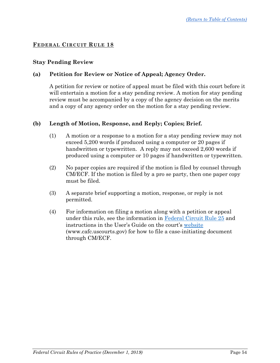#### **Stay Pending Review**

#### **(a) Petition for Review or Notice of Appeal; Agency Order.**

A petition for review or notice of appeal must be filed with this court before it will entertain a motion for a stay pending review. A motion for stay pending review must be accompanied by a copy of the agency decision on the merits and a copy of any agency order on the motion for a stay pending review.

#### **(b) Length of Motion, Response, and Reply; Copies; Brief.**

- (1) A motion or a response to a motion for a stay pending review may not exceed 5,200 words if produced using a computer or 20 pages if handwritten or typewritten. A reply may not exceed 2,600 words if produced using a computer or 10 pages if handwritten or typewritten.
- (2) No paper copies are required if the motion is filed by counsel through CM/ECF. If the motion is filed by a pro se party, then one paper copy must be filed.
- (3) A separate brief supporting a motion, response, or reply is not permitted.
- (4) For information on filing a motion along with a petition or appeal under this rule, see the information in [Federal Circuit Rule 25](#page-84-0) and instructions in the User's Guide on the court's [website](http://www.cafc.uscourts.gov/) (www.cafc.uscourts.gov) for how to file a case-initiating document through CM/ECF.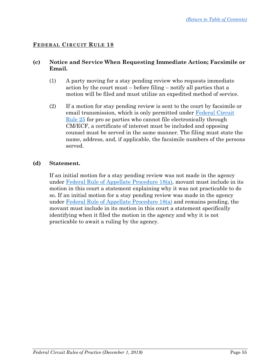#### **(c) Notice and Service When Requesting Immediate Action; Facsimile or Email.**

- (1) A party moving for a stay pending review who requests immediate action by the court must – before filing – notify all parties that a motion will be filed and must utilize an expedited method of service.
- (2) If a motion for stay pending review is sent to the court by facsimile or email transmission, which is only permitted under [Federal Circuit](#page-84-0)  [Rule 25](#page-84-0) for pro se parties who cannot file electronically through CM/ECF, a certificate of interest must be included and opposing counsel must be served in the same manner. The filing must state the name, address, and, if applicable, the facsimile numbers of the persons served.

#### **(d) Statement.**

If an initial motion for a stay pending review was not made in the agency under [Federal Rule of Appellate Procedure 18\(a\),](#page-66-0) movant must include in its motion in this court a statement explaining why it was not practicable to do so. If an initial motion for a stay pending review was made in the agency under [Federal Rule of Appellate Procedure 18\(a\)](#page-66-0) and remains pending, the movant must include in its motion in this court a statement specifically identifying when it filed the motion in the agency and why it is not practicable to await a ruling by the agency.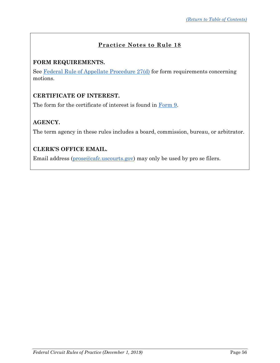# **Practice Notes to Rule 18**

## **FORM REQUIREMENTS.**

See [Federal Rule of Appellate Procedure 27\(d\)](#page-101-0) for form requirements concerning motions.

## **CERTIFICATE OF INTEREST.**

The form for the certificate of interest is found in [Form 9.](http://www.cafc.uscourts.gov/rules-of-practice/forms)

## **AGENCY.**

The term agency in these rules includes a board, commission, bureau, or arbitrator.

## **CLERK'S OFFICE EMAIL.**

Email address [\(prose@cafc.uscourts.gov\)](mailto:prose@cafc.uscourts.gov) may only be used by pro se filers.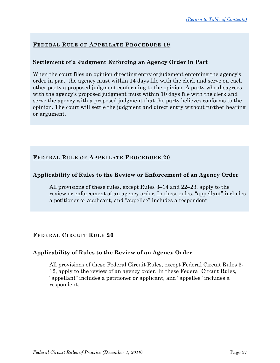## **Settlement of a Judgment Enforcing an Agency Order in Part**

When the court files an opinion directing entry of judgment enforcing the agency's order in part, the agency must within 14 days file with the clerk and serve on each other party a proposed judgment conforming to the opinion. A party who disagrees with the agency's proposed judgment must within 10 days file with the clerk and serve the agency with a proposed judgment that the party believes conforms to the opinion. The court will settle the judgment and direct entry without further hearing or argument.

## **FEDERAL RULE OF APPELLATE PROCEDURE 20**

## **Applicability of Rules to the Review or Enforcement of an Agency Order**

All provisions of these rules, except Rules 3–14 and 22–23, apply to the review or enforcement of an agency order. In these rules, "appellant" includes a petitioner or applicant, and "appellee" includes a respondent.

## **FEDERAL CIRCUIT RULE 20**

#### **Applicability of Rules to the Review of an Agency Order**

All provisions of these Federal Circuit Rules, except Federal Circuit Rules 3- 12, apply to the review of an agency order. In these Federal Circuit Rules, "appellant" includes a petitioner or applicant, and "appellee" includes a respondent.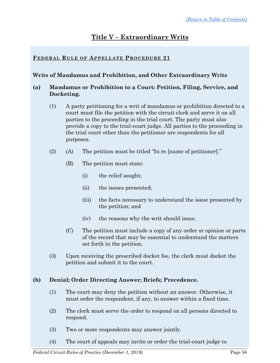# **Title V – Extraordinary Writs**

## **FEDERAL RULE OF APPELLATE PROCEDURE 21**

## **Writs of Mandamus and Prohibition, and Other Extraordinary Writs**

#### **(a) Mandamus or Prohibition to a Court: Petition, Filing, Service, and Docketing.**

- (1) A party petitioning for a writ of mandamus or prohibition directed to a court must file the petition with the circuit clerk and serve it on all parties to the proceeding in the trial court. The party must also provide a copy to the trial-court judge. All parties to the proceeding in the trial court other than the petitioner are respondents for all purposes.
- (2) (A) The petition must be titled "In re [name of petitioner]."
	- (B) The petition must state:
		- (i) the relief sought;
		- (ii) the issues presented;
		- (iii) the facts necessary to understand the issue presented by the petition; and
		- (iv) the reasons why the writ should issue.
	- (C) The petition must include a copy of any order or opinion or parts of the record that may be essential to understand the matters set forth in the petition.
- (3) Upon receiving the prescribed docket fee, the clerk must docket the petition and submit it to the court.

#### **(b) Denial; Order Directing Answer; Briefs; Precedence.**

- (1) The court may deny the petition without an answer. Otherwise, it must order the respondent, if any, to answer within a fixed time.
- (2) The clerk must serve the order to respond on all persons directed to respond.
- (3) Two or more respondents may answer jointly.
- (4) The court of appeals may invite or order the trial-court judge to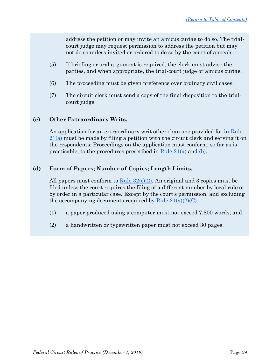address the petition or may invite an amicus curiae to do so. The trialcourt judge may request permission to address the petition but may not do so unless invited or ordered to do so by the court of appeals.

- (5) If briefing or oral argument is required, the clerk must advise the parties, and when appropriate, the trial-court judge or amicus curiae.
- (6) The proceeding must be given preference over ordinary civil cases.
- (7) The circuit clerk must send a copy of the final disposition to the trialcourt judge.

# **(c) Other Extraordinary Writs.**

An application for an extraordinary writ other than one provided for in Rule  $21(a)$  must be made by filing a petition with the circuit clerk and serving it on the respondents. Proceedings on the application must conform, so far as is practicable, to the procedures prescribed in Rule  $21(a)$  and [\(b\).](#page-71-1)

# **(d) Form of Papers; Number of Copies; Length Limits.**

All papers must conform to Rule  $32(c)(2)$ . An original and 3 copies must be filed unless the court requires the filing of a different number by local rule or by order in a particular case. Except by the court's permission, and excluding the accompanying documents required by Rule  $21(a)(2)(C)$ :

- (1) a paper produced using a computer must not exceed 7,800 words; and
- (2) a handwritten or typewritten paper must not exceed 30 pages.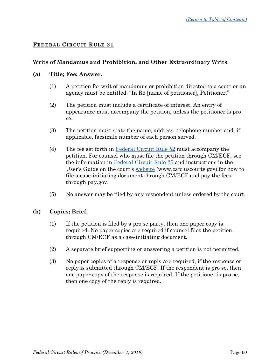#### **Writs of Mandamus and Prohibition, and Other Extraordinary Writs**

#### **(a) Title; Fee; Answer.**

- (1) A petition for writ of mandamus or prohibition directed to a court or an agency must be entitled: "In Re [name of petitioner], Petitioner."
- (2) The petition must include a certificate of interest. An entry of appearance must accompany the petition, unless the petitioner is pro se.
- (3) The petition must state the name, address, telephone number and, if applicable, facsimile number of each person served.
- (4) The fee set forth in [Federal Circuit Rule 52](#page-212-0) must accompany the petition. For counsel who must file the petition through CM/ECF, see the information in [Federal Circuit Rule 25](#page-212-0) and instructions in the User's Guide on the court's [website](http://www.cafc.uscourts.gov/) (www.cafc.uscourts.gov) for how to file a case-initiating document through CM/ECF and pay the fees through pay.gov.
- (5) No answer may be filed by any respondent unless ordered by the court.

#### **(b) Copies; Brief.**

- (1) If the petition is filed by a pro se party, then one paper copy is required. No paper copies are required if counsel files the petition through CM/ECF as a case-initiating document.
- (2) A separate brief supporting or answering a petition is not permitted.
- (3) No paper copies of a response or reply are required, if the response or reply is submitted through CM/ECF. If the respondent is pro se, then one paper copy of the response is required. If the petitioner is pro se, then one copy of the reply is required.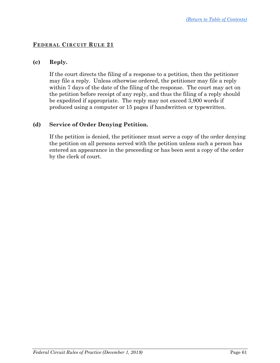#### **(c) Reply.**

If the court directs the filing of a response to a petition, then the petitioner may file a reply. Unless otherwise ordered, the petitioner may file a reply within 7 days of the date of the filing of the response. The court may act on the petition before receipt of any reply, and thus the filing of a reply should be expedited if appropriate. The reply may not exceed 3,900 words if produced using a computer or 15 pages if handwritten or typewritten.

# **(d) Service of Order Denying Petition.**

If the petition is denied, the petitioner must serve a copy of the order denying the petition on all persons served with the petition unless such a person has entered an appearance in the proceeding or has been sent a copy of the order by the clerk of court.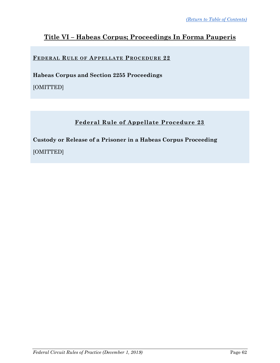# **Title VI – Habeas Corpus; Proceedings In Forma Pauperis**

**FEDERAL RULE OF APPELLATE PROCEDURE 22**

**Habeas Corpus and Section 2255 Proceedings**

[OMITTED]

# **Federal Rule of Appellate Procedure 23**

**Custody or Release of a Prisoner in a Habeas Corpus Proceeding** [OMITTED]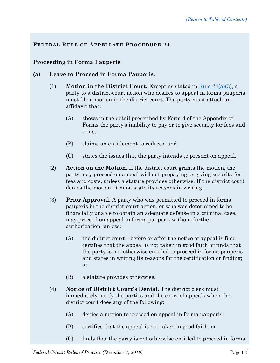### **Proceeding in Forma Pauperis**

### <span id="page-76-0"></span>**(a) Leave to Proceed in Forma Pauperis.**

- (1) **Motion in the District Court.** Except as stated in [Rule 24\(a\)\(3\),](#page-76-0) a party to a district-court action who desires to appeal in forma pauperis must file a motion in the district court. The party must attach an affidavit that:
	- (A) shows in the detail prescribed by Form 4 of the Appendix of Forms the party's inability to pay or to give security for fees and costs;
	- (B) claims an entitlement to redress; and
	- (C) states the issues that the party intends to present on appeal.
- (2) **Action on the Motion.** If the district court grants the motion, the party may proceed on appeal without prepaying or giving security for fees and costs, unless a statute provides otherwise. If the district court denies the motion, it must state its reasons in writing.
- (3) **Prior Approval.** A party who was permitted to proceed in forma pauperis in the district-court action, or who was determined to be financially unable to obtain an adequate defense in a criminal case, may proceed on appeal in forma pauperis without further authorization, unless:
	- (A) the district court—before or after the notice of appeal is filed certifies that the appeal is not taken in good faith or finds that the party is not otherwise entitled to proceed in forma pauperis and states in writing its reasons for the certification or finding; or
	- (B) a statute provides otherwise.
- (4) **Notice of District Court's Denial.** The district clerk must immediately notify the parties and the court of appeals when the district court does any of the following:
	- (A) denies a motion to proceed on appeal in forma pauperis;
	- (B) certifies that the appeal is not taken in good faith; or
	- (C) finds that the party is not otherwise entitled to proceed in forma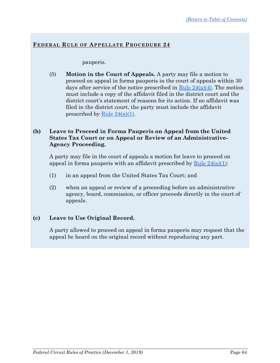pauperis.

(5) **Motion in the Court of Appeals.** A party may file a motion to proceed on appeal in forma pauperis in the court of appeals within 30 days after service of the notice prescribed in Rule  $24(a)(4)$ . The motion must include a copy of the affidavit filed in the district court and the district court's statement of reasons for its action. If no affidavit was filed in the district court, the party must include the affidavit prescribed by [Rule 24\(a\)\(1\).](#page-76-0)

#### **(b) Leave to Proceed in Forma Pauperis on Appeal from the United States Tax Court or on Appeal or Review of an Administrative-Agency Proceeding.**

A party may file in the court of appeals a motion for leave to proceed on appeal in forma pauperis with an affidavit prescribed by  $\frac{\text{Rule }24(a)(1)}{\text{Det}}$ 

- (1) in an appeal from the United States Tax Court; and
- (2) when an appeal or review of a proceeding before an administrative agency, board, commission, or officer proceeds directly in the court of appeals.

# **(c) Leave to Use Original Record.**

A party allowed to proceed on appeal in forma pauperis may request that the appeal be heard on the original record without reproducing any part.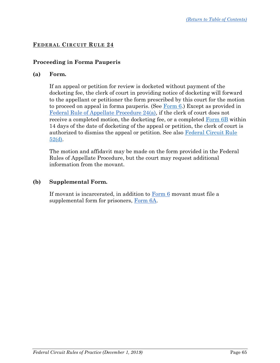#### **Proceeding in Forma Pauperis**

#### **(a) Form.**

If an appeal or petition for review is docketed without payment of the docketing fee, the clerk of court in providing notice of docketing will forward to the appellant or petitioner the form prescribed by this court for the motion to proceed on appeal in forma pauperis. (See [Form 6.](http://www.cafc.uscourts.gov/rules-of-practice/forms)) Except as provided in [Federal Rule of Appellate Procedure 24\(a\),](#page-76-0) if the clerk of court does not receive a completed motion, the docketing fee, or a completed [Form 6B](http://www.cafc.uscourts.gov/rules-of-practice/forms) within 14 days of the date of docketing of the appeal or petition, the clerk of court is authorized to dismiss the appeal or petition. See also [Federal Circuit Rule](#page-213-0)  [52\(d\).](#page-213-0)

The motion and affidavit may be made on the form provided in the Federal Rules of Appellate Procedure, but the court may request additional information from the movant.

#### **(b) Supplemental Form.**

If movant is incarcerated, in addition to [Form 6](http://www.cafc.uscourts.gov/rules-of-practice/forms) movant must file a supplemental form for prisoners, [Form 6A.](http://www.cafc.uscourts.gov/rules-of-practice/forms)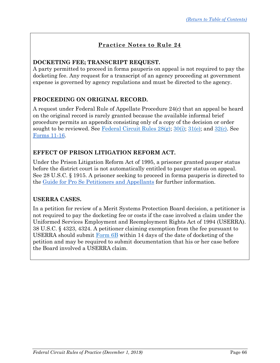# **Practice Notes to Rule 24**

### **DOCKETING FEE; TRANSCRIPT REQUEST.**

A party permitted to proceed in forma pauperis on appeal is not required to pay the docketing fee. Any request for a transcript of an agency proceeding at government expense is governed by agency regulations and must be directed to the agency.

# **PROCEEDING ON ORIGINAL RECORD.**

A request under Federal Rule of Appellate Procedure 24(c) that an appeal be heard on the original record is rarely granted because the available informal brief procedure permits an appendix consisting only of a copy of the decision or order sought to be reviewed. See Federal Circuit Rules  $28(g)$ ;  $30(i)$ ;  $31(e)$ ; and  $32(e)$ . See [Forms 11-16.](http://www.cafc.uscourts.gov/rules-of-practice/forms)

# **EFFECT OF PRISON LITIGATION REFORM ACT.**

Under the Prison Litigation Reform Act of 1995, a prisoner granted pauper status before the district court is not automatically entitled to pauper status on appeal. See 28 U.S.C. § 1915. A prisoner seeking to proceed in forma pauperis is directed to the [Guide for Pro Se Petitioners and Appellants](http://www.cafc.uscourts.gov/pro-se) for further information.

# **USERRA CASES.**

In a petition for review of a Merit Systems Protection Board decision, a petitioner is not required to pay the docketing fee or costs if the case involved a claim under the Uniformed Services Employment and Reemployment Rights Act of 1994 (USERRA). 38 U.S.C. § 4323, 4324. A petitioner claiming exemption from the fee pursuant to USERRA should submit [Form 6B](http://www.cafc.uscourts.gov/rules-of-practice/forms) within 14 days of the date of docketing of the petition and may be required to submit documentation that his or her case before the Board involved a USERRA claim.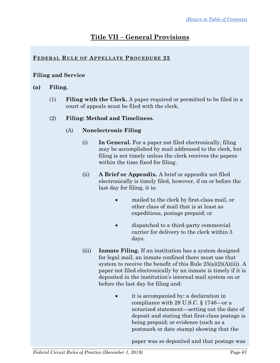# **Title VII – General Provisions**

# **FEDERAL RULE OF APPELLATE PROCEDURE 25**

#### **Filing and Service**

#### <span id="page-80-0"></span>**(a) Filing.**

(1) **Filing with the Clerk.** A paper required or permitted to be filed in a court of appeals must be filed with the clerk.

#### (2) **Filing: Method and Timeliness.**

#### (A) **Nonelectronic Filing**

- (i) **In General.** For a paper not filed electronically, filing may be accomplished by mail addressed to the clerk, but filing is not timely unless the clerk receives the papers within the time fixed for filing.
- (ii) **A Brief or Appendix.** A brief or appendix not filed electronically is timely filed, however, if on or before the last day for filing, it is:
	- mailed to the clerk by first-class mail, or other class of mail that is at least as expeditious, postage prepaid; or
	- dispatched to a third-party commercial carrier for delivery to the clerk within 3 days.
- (iii) **Inmate Filing.** If an institution has a system designed for legal mail, an inmate confined there must use that system to receive the benefit of this Rule  $25(a)(2)(A)(iii)$ . A paper not filed electronically by an inmate is timely if it is deposited in the institution's internal mail system on or before the last day for filing and:
	- it is accompanied by: a declaration in compliance with 28 U.S.C. § 1746—or a notarized statement—setting out the date of deposit and stating that first-class postage is being prepaid; or evidence (such as a postmark or date stamp) showing that the

paper was so deposited and that postage was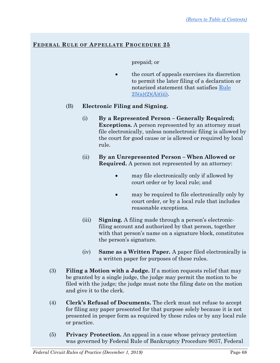#### prepaid; or

• the court of appeals exercises its discretion to permit the later filing of a declaration or notarized statement that satisfies [Rule](#page-80-0)   $25(a)(2)(A)(iii)$ .

# (B) **Electronic Filing and Signing.**

- (i) **By a Represented Person – Generally Required; Exceptions.** A person represented by an attorney must file electronically, unless nonelectronic filing is allowed by the court for good cause or is allowed or required by local rule.
- (ii) **By an Unrepresented Person – When Allowed or Required.** A person not represented by an attorney:
	- may file electronically only if allowed by court order or by local rule; and
	- may be required to file electronically only by court order, or by a local rule that includes reasonable exceptions.
- (iii) **Signing***.* A filing made through a person's electronicfiling account and authorized by that person, together with that person's name on a signature block, constitutes the person's signature.
- (iv) **Same as a Written Paper***.* A paper filed electronically is a written paper for purposes of these rules.
- (3) **Filing a Motion with a Judge.** If a motion requests relief that may be granted by a single judge, the judge may permit the motion to be filed with the judge; the judge must note the filing date on the motion and give it to the clerk.
- (4) **Clerk's Refusal of Documents.** The clerk must not refuse to accept for filing any paper presented for that purpose solely because it is not presented in proper form as required by these rules or by any local rule or practice.
- (5) **Privacy Protection.** An appeal in a case whose privacy protection was governed by Federal Rule of Bankruptcy Procedure 9037, Federal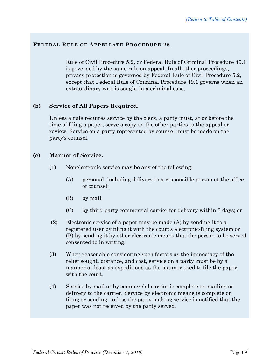Rule of Civil Procedure 5.2, or Federal Rule of Criminal Procedure 49.1 is governed by the same rule on appeal. In all other proceedings, privacy protection is governed by Federal Rule of Civil Procedure 5.2, except that Federal Rule of Criminal Procedure 49.1 governs when an extraordinary writ is sought in a criminal case.

# **(b) Service of All Papers Required.**

Unless a rule requires service by the clerk, a party must, at or before the time of filing a paper, serve a copy on the other parties to the appeal or review. Service on a party represented by counsel must be made on the party's counsel.

#### <span id="page-82-0"></span>**(c) Manner of Service.**

- (1) Nonelectronic service may be any of the following:
	- (A) personal, including delivery to a responsible person at the office of counsel;
	- (B) by mail;
	- (C) by third-party commercial carrier for delivery within 3 days; or
- (2) Electronic service of a paper may be made (A) by sending it to a registered user by filing it with the court's electronic-filing system or (B) by sending it by other electronic means that the person to be served consented to in writing.
- (3) When reasonable considering such factors as the immediacy of the relief sought, distance, and cost, service on a party must be by a manner at least as expeditious as the manner used to file the paper with the court.
- (4) Service by mail or by commercial carrier is complete on mailing or delivery to the carrier. Service by electronic means is complete on filing or sending, unless the party making service is notified that the paper was not received by the party served.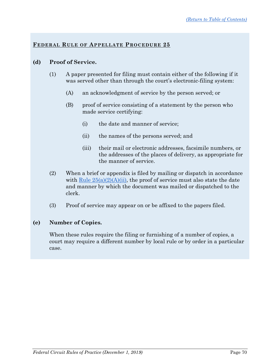#### <span id="page-83-0"></span>**(d) Proof of Service.**

- (1) A paper presented for filing must contain either of the following if it was served other than through the court's electronic-filing system:
	- (A) an acknowledgment of service by the person served; or
	- (B) proof of service consisting of a statement by the person who made service certifying:
		- (i) the date and manner of service;
		- (ii) the names of the persons served; and
		- (iii) their mail or electronic addresses, facsimile numbers, or the addresses of the places of delivery, as appropriate for the manner of service.
- (2) When a brief or appendix is filed by mailing or dispatch in accordance with Rule  $25(a)(2)(A)(ii)$ , the proof of service must also state the date and manner by which the document was mailed or dispatched to the clerk.
- (3) Proof of service may appear on or be affixed to the papers filed.

#### **(e) Number of Copies.**

When these rules require the filing or furnishing of a number of copies, a court may require a different number by local rule or by order in a particular case.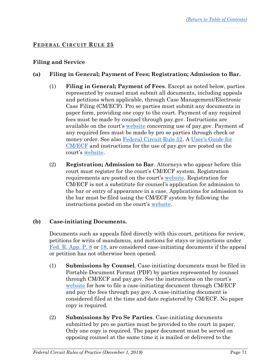# <span id="page-84-0"></span>**Filing and Service**

# **(a) Filing in General; Payment of Fees; Registration; Admission to Bar.**

- (1) **Filing in General; Payment of Fees**. Except as noted below, parties represented by counsel must submit all documents, including appeals and petitions when applicable, through Case Management/Electronic Case Filing (CM/ECF). Pro se parties must submit any documents in paper form, providing one copy to the court. Payment of any required fees must be made by counsel through pay.gov. Instructions are available on the court's [website](http://www.cafc.uscourts.gov/) concerning use of pay.gov. Payment of any required fees must be made by pro se parties through check or money order. See also [Federal Circuit Rule 52.](#page-212-0) A [User's Guide for](http://www.cafc.uscourts.gov/sites/default/files/cmecf/ElectronicFilingProcedures.pdf)  [CM/ECF](http://www.cafc.uscourts.gov/sites/default/files/cmecf/ElectronicFilingProcedures.pdf) and instructions for the use of pay.gov are posted on the court's [website.](http://www.cafc.uscourts.gov/)
- (2) **Registration; Admission to Bar**. Attorneys who appear before this court must register for the court's CM/ECF system. Registration requirements are posted on the court's [website.](http://www.cafc.uscourts.gov/) Registration for CM/ECF is not a substitute for counsel's application for admission to the bar or entry of appearance in a case. Applications for admission to the bar must be filed using the CM/ECF system by following the instructions posted on the court's [website.](http://www.cafc.uscourts.gov/)

#### **(b) Case-initiating Documents.**

Documents such as appeals filed directly with this court, petitions for review, petitions for writs of mandamus, and motions for stays or injunctions under [Fed. R. App. P. 8](#page-35-0) or [18,](#page-67-0) are considered case-initiating documents if the appeal or petition has not otherwise been opened.

- (1) **Submissions by Counsel**. Case-initiating documents must be filed in Portable Document Format (PDF) by parties represented by counsel through CM/ECF and pay.gov. See the instructions on the court's [website](http://www.cafc.uscourts.gov/) for how to file a case-initiating document through CM/ECF and pay the fees through pay.gov. A case-initiating document is considered filed at the time and date registered by CM/ECF. No paper copy is required.
- (2) **Submissions by Pro Se Parties**. Case-initiating documents submitted by pro se parties must be provided to the court in paper. Only one copy is required. The paper document must be served on opposing counsel at the same time it is mailed or delivered to the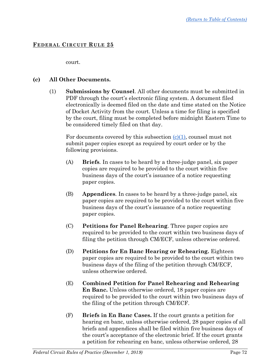court.

#### <span id="page-85-0"></span>**(c) All Other Documents.**

(1) **Submissions by Counsel**. All other documents must be submitted in PDF through the court's electronic filing system. A document filed electronically is deemed filed on the date and time stated on the Notice of Docket Activity from the court. Unless a time for filing is specified by the court, filing must be completed before midnight Eastern Time to be considered timely filed on that day.

For documents covered by this subsection  $(c)(1)$ , counsel must not submit paper copies except as required by court order or by the following provisions.

- (A) **Briefs***.* In cases to be heard by a three-judge panel, six paper copies are required to be provided to the court within five business days of the court's issuance of a notice requesting paper copies.
- (B) **Appendices***.* In cases to be heard by a three-judge panel, six paper copies are required to be provided to the court within five business days of the court's issuance of a notice requesting paper copies.
- (C) **Petitions for Panel Rehearing**. Three paper copies are required to be provided to the court within two business days of filing the petition through CM/ECF, unless otherwise ordered.
- (D) **Petitions for En Banc Hearing or Rehearing.** Eighteen paper copies are required to be provided to the court within two business days of the filing of the petition through CM/ECF, unless otherwise ordered.
- (E) **Combined Petition for Panel Rehearing and Rehearing En Banc.** Unless otherwise ordered, 18 paper copies are required to be provided to the court within two business days of the filing of the petition through CM/ECF.
- (F) **Briefs in En Banc Cases.** If the court grants a petition for hearing en banc, unless otherwise ordered, 28 paper copies of all briefs and appendices shall be filed within five business days of the court's acceptance of the electronic brief. If the court grants a petition for rehearing en banc, unless otherwise ordered, 28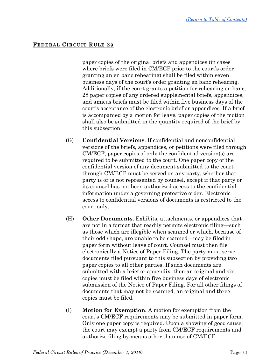paper copies of the original briefs and appendices (in cases where briefs were filed in CM/ECF prior to the court's order granting an en banc rehearing) shall be filed within seven business days of the court's order granting en banc rehearing. Additionally, if the court grants a petition for rehearing en banc, 28 paper copies of any ordered supplemental briefs, appendices, and amicus briefs must be filed within five business days of the court's acceptance of the electronic brief or appendices. If a brief is accompanied by a motion for leave, paper copies of the motion shall also be submitted in the quantity required of the brief by this subsection.

- (G) **Confidential Versions**. If confidential and nonconfidential versions of the briefs, appendices, or petitions were filed through CM/ECF, paper copies of only the confidential version(s) are required to be submitted to the court. One paper copy of the confidential version of any document submitted to the court through CM/ECF must be served on any party, whether that party is or is not represented by counsel, except if that party or its counsel has not been authorized access to the confidential information under a governing protective order. Electronic access to confidential versions of documents is restricted to the court only.
- (H) **Other Documents**. Exhibits, attachments, or appendices that are not in a format that readily permits electronic filing—such as those which are illegible when scanned or which, because of their odd shape, are unable to be scanned—may be filed in paper form without leave of court. Counsel must then file electronically a Notice of Paper Filing. The party must serve documents filed pursuant to this subsection by providing two paper copies to all other parties. If such documents are submitted with a brief or appendix, then an original and six copies must be filed within five business days of electronic submission of the Notice of Paper Filing. For all other filings of documents that may not be scanned, an original and three copies must be filed.
- (I) **Motion for Exemption***.* A motion for exemption from the court's CM/ECF requirements may be submitted in paper form. Only one paper copy is required. Upon a showing of good cause, the court may exempt a party from CM/ECF requirements and authorize filing by means other than use of CM/ECF.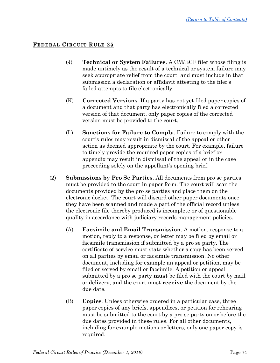- (J) **Technical or System Failures**. A CM/ECF filer whose filing is made untimely as the result of a technical or system failure may seek appropriate relief from the court, and must include in that submission a declaration or affidavit attesting to the filer's failed attempts to file electronically.
- (K) **Corrected Versions.** If a party has not yet filed paper copies of a document and that party has electronically filed a corrected version of that document, only paper copies of the corrected version must be provided to the court.
- (L) **Sanctions for Failure to Comply**. Failure to comply with the court's rules may result in dismissal of the appeal or other action as deemed appropriate by the court. For example, failure to timely provide the required paper copies of a brief or appendix may result in dismissal of the appeal or in the case proceeding solely on the appellant's opening brief.
- (2) **Submissions by Pro Se Parties**. All documents from pro se parties must be provided to the court in paper form. The court will scan the documents provided by the pro se parties and place them on the electronic docket. The court will discard other paper documents once they have been scanned and made a part of the official record unless the electronic file thereby produced is incomplete or of questionable quality in accordance with judiciary records management policies.
	- (A) **Facsimile and Email Transmission***.* A motion, response to a motion, reply to a response, or letter may be filed by email or facsimile transmission if submitted by a pro se party. The certificate of service must state whether a copy has been served on all parties by email or facsimile transmission. No other document, including for example an appeal or petition, may be filed or served by email or facsimile. A petition or appeal submitted by a pro se party **must** be filed with the court by mail or delivery, and the court must **receive** the document by the due date.
	- (B) **Copies***.* Unless otherwise ordered in a particular case, three paper copies of any briefs, appendices, or petition for rehearing must be submitted to the court by a pro se party on or before the due dates provided in these rules. For all other documents, including for example motions or letters, only one paper copy is required.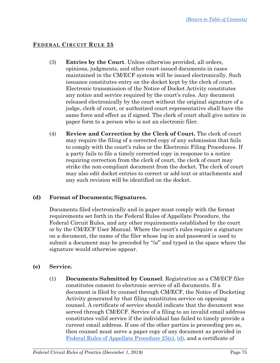- (3) **Entries by the Court**. Unless otherwise provided, all orders, opinions, judgments, and other court-issued documents in cases maintained in the CM/ECF system will be issued electronically. Such issuance constitutes entry on the docket kept by the clerk of court. Electronic transmission of the Notice of Docket Activity constitutes any notice and service required by the court's rules. Any document released electronically by the court without the original signature of a judge, clerk of court, or authorized court representative shall have the same force and effect as if signed. The clerk of court shall give notice in paper form to a person who is not an electronic filer.
- (4) **Review and Correction by the Clerk of Court.** The clerk of court may require the filing of a corrected copy of any submission that fails to comply with the court's rules or the Electronic Filing Procedures. If a party fails to file a timely corrected copy in response to a notice requiring correction from the clerk of court, the clerk of court may strike the non-compliant document from the docket. The clerk of court may also edit docket entries to correct or add text or attachments and any such revision will be identified on the docket.

#### **(d) Format of Documents; Signatures.**

Documents filed electronically and in paper must comply with the format requirements set forth in the Federal Rules of Appellate Procedure, the Federal Circuit Rules, and any other requirements established by the court or by the CM/ECF User Manual. Where the court's rules require a signature on a document, the name of the filer whose log-in and password is used to submit a document may be preceded by "/s/" and typed in the space where the signature would otherwise appear.

#### **(e) Service.**

(1) **Documents Submitted by Counsel**. Registration as a CM/ECF filer constitutes consent to electronic service of all documents. If a document is filed by counsel through CM/ECF, the Notice of Docketing Activity generated by that filing constitutes service on opposing counsel. A certificate of service should indicate that the document was served through CM/ECF. Service of a filing to an invalid email address constitutes valid service if the individual has failed to timely provide a current email address. If one of the other parties is proceeding pro se, then counsel must serve a paper copy of any document as provided in [Federal Rules of Appellate Procedure 25\(c\),](#page-82-0) [\(d\),](#page-83-0) and a certificate of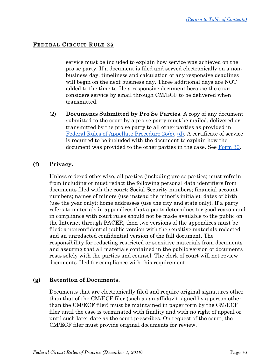service must be included to explain how service was achieved on the pro se party. If a document is filed and served electronically on a nonbusiness day, timeliness and calculation of any responsive deadlines will begin on the next business day. Three additional days are NOT added to the time to file a responsive document because the court considers service by email through CM/ECF to be delivered when transmitted.

(2) **Documents Submitted by Pro Se Parties**. A copy of any document submitted to the court by a pro se party must be mailed, delivered or transmitted by the pro se party to all other parties as provided in [Federal Rules of Appellate Procedure 25\(c\),](#page-82-0) [\(d\).](#page-83-0) A certificate of service is required to be included with the document to explain how the document was provided to the other parties in the case. See [Form 30.](http://www.cafc.uscourts.gov/rules-of-practice/forms)

# **(f) Privacy.**

Unless ordered otherwise, all parties (including pro se parties) must refrain from including or must redact the following personal data identifiers from documents filed with the court: Social Security numbers; financial account numbers; names of minors (use instead the minor's initials); dates of birth (use the year only); home addresses (use the city and state only). If a party refers to materials in appendices that a party determines for good reason and in compliance with court rules should not be made available to the public on the Internet through PACER, then two versions of the appendices must be filed: a nonconfidential public version with the sensitive materials redacted, and an unredacted confidential version of the full document. The responsibility for redacting restricted or sensitive materials from documents and assuring that all materials contained in the public version of documents rests solely with the parties and counsel. The clerk of court will not review documents filed for compliance with this requirement.

#### **(g) Retention of Documents.**

Documents that are electronically filed and require original signatures other than that of the CM/ECF filer (such as an affidavit signed by a person other than the CM/ECF filer) must be maintained in paper form by the CM/ECF filer until the case is terminated with finality and with no right of appeal or until such later date as the court prescribes. On request of the court, the CM/ECF filer must provide original documents for review.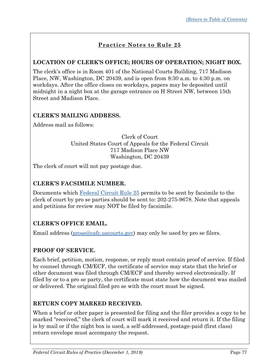# **Practice Notes to Rule 25**

# **LOCATION OF CLERK'S OFFICE; HOURS OF OPERATION; NIGHT BOX.**

The clerk's office is in Room 401 of the National Courts Building, 717 Madison Place, NW, Washington, DC 20439, and is open from 8:30 a.m. to 4:30 p.m. on workdays. After the office closes on workdays, papers may be deposited until midnight in a night box at the garage entrance on H Street NW, between 15th Street and Madison Place.

# **CLERK'S MAILING ADDRESS.**

Address mail as follows:

Clerk of Court United States Court of Appeals for the Federal Circuit 717 Madison Place NW Washington, DC 20439

The clerk of court will not pay postage due.

# **CLERK'S FACSIMILE NUMBER.**

Documents which [Federal Circuit Rule 25](#page-84-0) permits to be sent by facsimile to the clerk of court by pro se parties should be sent to: 202-275-9678. Note that appeals and petitions for review may NOT be filed by facsimile.

# **CLERK'S OFFICE EMAIL.**

Email address [\(prose@cafc.uscourts.gov\)](mailto:prose@cafc.uscourts.gov) may only be used by pro se filers.

# **PROOF OF SERVICE.**

Each brief, petition, motion, response, or reply must contain proof of service. If filed by counsel through CM/ECF, the certificate of service may state that the brief or other document was filed through CM/ECF and thereby served electronically. If filed by or to a pro se party, the certificate must state how the document was mailed or delivered. The original filed pro se with the court must be signed.

# **RETURN COPY MARKED RECEIVED.**

When a brief or other paper is presented for filing and the filer provides a copy to be marked "received," the clerk of court will mark it received and return it. If the filing is by mail or if the night box is used, a self-addressed, postage-paid (first class) return envelope must accompany the request.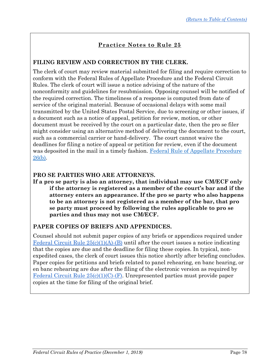# **Practice Notes to Rule 25**

# **FILING REVIEW AND CORRECTION BY THE CLERK.**

The clerk of court may review material submitted for filing and require correction to conform with the Federal Rules of Appellate Procedure and the Federal Circuit Rules. The clerk of court will issue a notice advising of the nature of the nonconformity and guidelines for resubmission. Opposing counsel will be notified of the required correction. The timeliness of a response is computed from date of service of the original material. Because of occasional delays with some mail transmitted by the United States Postal Service, due to screening or other issues, if a document such as a notice of appeal, petition for review, motion, or other document must be received by the court on a particular date, then the pro se filer might consider using an alternative method of delivering the document to the court, such as a commercial carrier or hand-delivery. The court cannot waive the deadlines for filing a notice of appeal or petition for review, even if the document was deposited in the mail in a timely fashion. Federal Rule of Appellate Procedure  $26(b)$ .

# **PRO SE PARTIES WHO ARE ATTORNEYS.**

**If a pro se party is also an attorney, that individual may use CM/ECF only if the attorney is registered as a member of the court's bar and if the attorney enters an appearance. If the pro se party who also happens to be an attorney is not registered as a member of the bar, that pro se party must proceed by following the rules applicable to pro se parties and thus may not use CM/ECF.**

# **PAPER COPIES OF BRIEFS AND APPENDICES.**

Counsel should not submit paper copies of any briefs or appendices required under Federal Circuit Rule  $25(c)(1)(A)-B$ ) until after the court issues a notice indicating that the copies are due and the deadline for filing these copies. In typical, nonexpedited cases, the clerk of court issues this notice shortly after briefing concludes. Paper copies for petitions and briefs related to panel rehearing, en banc hearing, or en banc rehearing are due after the filing of the electronic version as required by Federal Circuit Rule  $25(c)(1)(C)$ -(F). Unrepresented parties must provide paper copies at the time for filing of the original brief.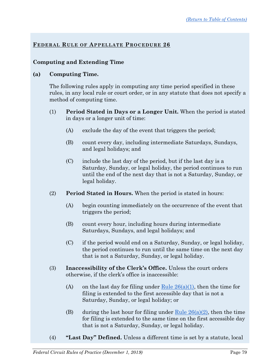#### **Computing and Extending Time**

#### <span id="page-92-0"></span>**(a) Computing Time.**

The following rules apply in computing any time period specified in these rules, in any local rule or court order, or in any statute that does not specify a method of computing time.

- (1) **Period Stated in Days or a Longer Unit.** When the period is stated in days or a longer unit of time:
	- (A) exclude the day of the event that triggers the period;
	- (B) count every day, including intermediate Saturdays, Sundays, and legal holidays; and
	- (C) include the last day of the period, but if the last day is a Saturday, Sunday, or legal holiday, the period continues to run until the end of the next day that is not a Saturday, Sunday, or legal holiday.
- (2) **Period Stated in Hours.** When the period is stated in hours:
	- (A) begin counting immediately on the occurrence of the event that triggers the period;
	- (B) count every hour, including hours during intermediate Saturdays, Sundays, and legal holidays; and
	- (C) if the period would end on a Saturday, Sunday, or legal holiday, the period continues to run until the same time on the next day that is not a Saturday, Sunday, or legal holiday.
- (3) **Inaccessibility of the Clerk's Office.** Unless the court orders otherwise, if the clerk's office is inaccessible:
	- (A) on the last day for filing under Rule  $26(a)(1)$ , then the time for filing is extended to the first accessible day that is not a Saturday, Sunday, or legal holiday; or
	- (B) during the last hour for filing under <u>Rule 26(a)(2)</u>, then the time for filing is extended to the same time on the first accessible day that is not a Saturday, Sunday, or legal holiday.
- (4) **''Last Day'' Defined.** Unless a different time is set by a statute, local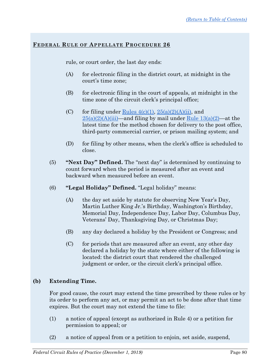rule, or court order, the last day ends:

- (A) for electronic filing in the district court, at midnight in the court's time zone;
- (B) for electronic filing in the court of appeals, at midnight in the time zone of the circuit clerk's principal office;
- (C) for filing under Rules  $4(c)(1)$ ,  $25(a)(2)(A)(ii)$ , and  $25(a)(2)(A)(iii)$ —and filing by mail under <u>Rule 13(a)(2</u>)—at the latest time for the method chosen for delivery to the post office, third-party commercial carrier, or prison mailing system; and
- (D) for filing by other means, when the clerk's office is scheduled to close.
- (5) **"Next Day" Defined.** The "next day" is determined by continuing to count forward when the period is measured after an event and backward when measured before an event.
- (6) **"Legal Holiday" Defined.** "Legal holiday" means:
	- (A) the day set aside by statute for observing New Year's Day, Martin Luther King Jr.'s Birthday, Washington's Birthday, Memorial Day, Independence Day, Labor Day, Columbus Day, Veterans' Day, Thanksgiving Day, or Christmas Day;
	- (B) any day declared a holiday by the President or Congress; and
	- (C) for periods that are measured after an event, any other day declared a holiday by the state where either of the following is located: the district court that rendered the challenged judgment or order, or the circuit clerk's principal office.

# <span id="page-93-0"></span>**(b) Extending Time.**

For good cause, the court may extend the time prescribed by these rules or by its order to perform any act, or may permit an act to be done after that time expires. But the court may not extend the time to file:

- (1) a notice of appeal (except as authorized in Rule 4) or a petition for permission to appeal; or
- (2) a notice of appeal from or a petition to enjoin, set aside, suspend,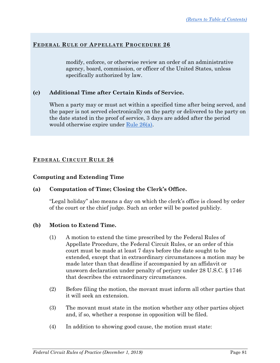modify, enforce, or otherwise review an order of an administrative agency, board, commission, or officer of the United States, unless specifically authorized by law.

# <span id="page-94-0"></span>**(c) Additional Time after Certain Kinds of Service.**

When a party may or must act within a specified time after being served, and the paper is not served electronically on the party or delivered to the party on the date stated in the proof of service, 3 days are added after the period would otherwise expire under  $Rule 26(a)$ .

# **FEDERAL CIRCUIT RULE 26**

#### **Computing and Extending Time**

#### **(a) Computation of Time; Closing the Clerk's Office.**

"Legal holiday" also means a day on which the clerk's office is closed by order of the court or the chief judge. Such an order will be posted publicly.

#### **(b) Motion to Extend Time.**

- (1) A motion to extend the time prescribed by the Federal Rules of Appellate Procedure, the Federal Circuit Rules, or an order of this court must be made at least 7 days before the date sought to be extended, except that in extraordinary circumstances a motion may be made later than that deadline if accompanied by an affidavit or unsworn declaration under penalty of perjury under 28 U.S.C. § 1746 that describes the extraordinary circumstances.
- (2) Before filing the motion, the movant must inform all other parties that it will seek an extension.
- (3) The movant must state in the motion whether any other parties object and, if so, whether a response in opposition will be filed.
- (4) In addition to showing good cause, the motion must state: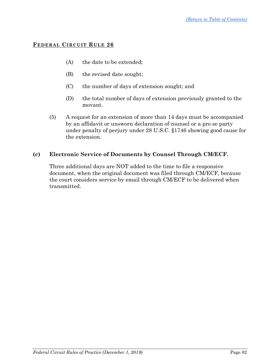- (A) the date to be extended;
- (B) the revised date sought;
- (C) the number of days of extension sought; and
- (D) the total number of days of extension previously granted to the movant.
- (5) A request for an extension of more than 14 days must be accompanied by an affidavit or unsworn declaration of counsel or a pro se party under penalty of perjury under 28 U.S.C. §1746 showing good cause for the extension.

# **(c) Electronic Service of Documents by Counsel Through CM/ECF.**

Three additional days are NOT added to the time to file a responsive document, when the original document was filed through CM/ECF, because the court considers service by email through CM/ECF to be delivered when transmitted.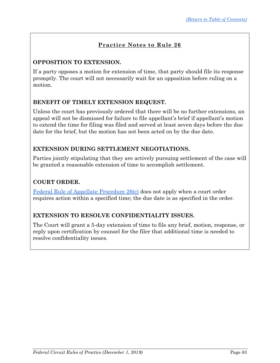# **Practice Notes to Rule 26**

# **OPPOSITION TO EXTENSION.**

If a party opposes a motion for extension of time, that party should file its response promptly. The court will not necessarily wait for an opposition before ruling on a motion.

# **BENEFIT OF TIMELY EXTENSION REQUEST.**

Unless the court has previously ordered that there will be no further extensions, an appeal will not be dismissed for failure to file appellant's brief if appellant's motion to extend the time for filing was filed and served at least seven days before the due date for the brief, but the motion has not been acted on by the due date.

# **EXTENSION DURING SETTLEMENT NEGOTIATIONS.**

Parties jointly stipulating that they are actively pursuing settlement of the case will be granted a reasonable extension of time to accomplish settlement.

# **COURT ORDER.**

[Federal Rule of Appellate Procedure 26\(c\)](#page-94-0) does not apply when a court order requires action within a specified time; the due date is as specified in the order.

# **EXTENSION TO RESOLVE CONFIDENTIALITY ISSUES.**

The Court will grant a 5-day extension of time to file any brief, motion, response, or reply upon certification by counsel for the filer that additional time is needed to resolve confidentiality issues.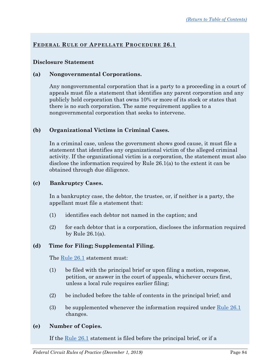#### <span id="page-97-1"></span>**Disclosure Statement**

#### <span id="page-97-0"></span>**(a) Nongovernmental Corporations.**

Any nongovernmental corporation that is a party to a proceeding in a court of appeals must file a statement that identifies any parent corporation and any publicly held corporation that owns 10% or more of its stock or states that there is no such corporation. The same requirement applies to a nongovernmental corporation that seeks to intervene.

#### **(b) Organizational Victims in Criminal Cases.**

In a criminal case, unless the government shows good cause, it must file a statement that identifies any organizational victim of the alleged criminal activity. If the organizational victim is a corporation, the statement must also disclose the information required by Rule 26.1(a) to the extent it can be obtained through due diligence.

#### **(c) Bankruptcy Cases.**

In a bankruptcy case, the debtor, the trustee, or, if neither is a party, the appellant must file a statement that:

- (1) identifies each debtor not named in the caption; and
- (2) for each debtor that is a corporation, discloses the information required by Rule 26.1(a).

#### **(d) Time for Filing; Supplemental Filing.**

The [Rule 26.1](#page-97-0) statement must:

- (1) be filed with the principal brief or upon filing a motion, response, petition, or answer in the court of appeals, whichever occurs first, unless a local rule requires earlier filing;
- (2) be included before the table of contents in the principal brief; and
- (3) be supplemented whenever the information required under Rule  $26.1$ changes.

#### **(e) Number of Copies.**

If the [Rule 26.1](#page-97-0) statement is filed before the principal brief, or if a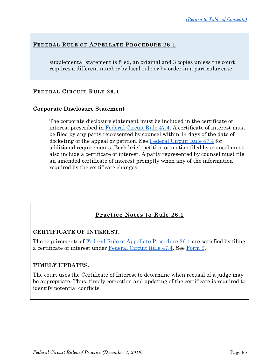supplemental statement is filed, an original and 3 copies unless the court requires a different number by local rule or by order in a particular case.

# **FEDERAL CIRCUIT RULE 26.1**

#### **Corporate Disclosure Statement**

The corporate disclosure statement must be included in the certificate of interest prescribed in [Federal Circuit Rule 47.4.](#page-215-0) A certificate of interest must be filed by any party represented by counsel within 14 days of the date of docketing of the appeal or petition. See [Federal Circuit Rule 47.4](#page-202-0) for additional requirements. Each brief, petition or motion filed by counsel must also include a certificate of interest. A party represented by counsel must file an amended certificate of interest promptly when any of the information required by the certificate changes.

# **Practice Notes to Rule 26.1**

#### **CERTIFICATE OF INTEREST.**

The requirements of [Federal Rule of Appellate Procedure 26.1](#page-97-1) are satisfied by filing a certificate of interest under [Federal Circuit Rule 47.4.](#page-202-0) See [Form 9.](http://www.cafc.uscourts.gov/rules-of-practice/forms)

# **TIMELY UPDATES.**

The court uses the Certificate of Interest to determine when recusal of a judge may be appropriate. Thus, timely correction and updating of the certificate is required to identify potential conflicts.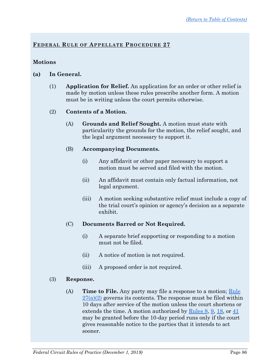# **Motions**

#### <span id="page-99-0"></span>**(a) In General.**

(1) **Application for Relief.** An application for an order or other relief is made by motion unless these rules prescribe another form. A motion must be in writing unless the court permits otherwise.

# (2) **Contents of a Motion.**

(A) **Grounds and Relief Sought.** A motion must state with particularity the grounds for the motion, the relief sought, and the legal argument necessary to support it.

# (B) **Accompanying Documents.**

- (i) Any affidavit or other paper necessary to support a motion must be served and filed with the motion.
- (ii) An affidavit must contain only factual information, not legal argument.
- (iii) A motion seeking substantive relief must include a copy of the trial court's opinion or agency's decision as a separate exhibit.

# (C) **Documents Barred or Not Required.**

- (i) A separate brief supporting or responding to a motion must not be filed.
- (ii) A notice of motion is not required.
- (iii) A proposed order is not required.

#### (3) **Response.**

(A) **Time to File.** Any party may file a response to a motion; [Rule](#page-99-0)   $27(a)(2)$  governs its contents. The response must be filed within 10 days after service of the motion unless the court shortens or extends the time. A motion authorized by [Rules 8,](#page-35-0) [9,](#page-39-0) [18,](#page-66-0) or [41](#page-185-0) may be granted before the 10-day period runs only if the court gives reasonable notice to the parties that it intends to act sooner.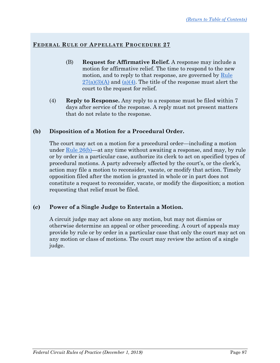- (B) **Request for Affirmative Relief.** A response may include a motion for affirmative relief. The time to respond to the new motion, and to reply to that response, are governed by [Rule](#page-99-0)   $27(a)(3)(A)$  and  $(a)(4)$ . The title of the response must alert the court to the request for relief.
- (4) **Reply to Response.** Any reply to a response must be filed within 7 days after service of the response. A reply must not present matters that do not relate to the response.

#### **(b) Disposition of a Motion for a Procedural Order.**

The court may act on a motion for a procedural order—including a motion under Rule  $26(b)$ —at any time without awaiting a response, and may, by rule or by order in a particular case, authorize its clerk to act on specified types of procedural motions. A party adversely affected by the court's, or the clerk's, action may file a motion to reconsider, vacate, or modify that action. Timely opposition filed after the motion is granted in whole or in part does not constitute a request to reconsider, vacate, or modify the disposition; a motion requesting that relief must be filed.

#### **(c) Power of a Single Judge to Entertain a Motion.**

A circuit judge may act alone on any motion, but may not dismiss or otherwise determine an appeal or other proceeding. A court of appeals may provide by rule or by order in a particular case that only the court may act on any motion or class of motions. The court may review the action of a single judge.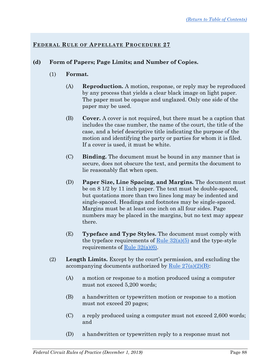### <span id="page-101-0"></span>**(d) Form of Papers; Page Limits; and Number of Copies.**

- (1) **Format.**
	- (A) **Reproduction.** A motion, response, or reply may be reproduced by any process that yields a clear black image on light paper. The paper must be opaque and unglazed. Only one side of the paper may be used.
	- (B) **Cover.** A cover is not required, but there must be a caption that includes the case number, the name of the court, the title of the case, and a brief descriptive title indicating the purpose of the motion and identifying the party or parties for whom it is filed. If a cover is used, it must be white.
	- (C) **Binding.** The document must be bound in any manner that is secure, does not obscure the text, and permits the document to lie reasonably flat when open.
	- (D) **Paper Size, Line Spacing, and Margins.** The document must be on 8 1/2 by 11 inch paper. The text must be double-spaced, but quotations more than two lines long may be indented and single-spaced. Headings and footnotes may be single-spaced. Margins must be at least one inch on all four sides. Page numbers may be placed in the margins, but no text may appear there.
	- (E) **Typeface and Type Styles.** The document must comply with the typeface requirements of Rule  $32(a)(5)$  and the type-style requirements of [Rule 32\(a\)\(6\).](#page-145-0)
- (2) **Length Limits.** Except by the court's permission, and excluding the accompanying documents authorized by Rule  $27(a)(2)(B)$ :
	- (A) a motion or response to a motion produced using a computer must not exceed 5,200 words;
	- (B) a handwritten or typewritten motion or response to a motion must not exceed 20 pages;
	- (C) a reply produced using a computer must not exceed 2,600 words; and
	- (D) a handwritten or typewritten reply to a response must not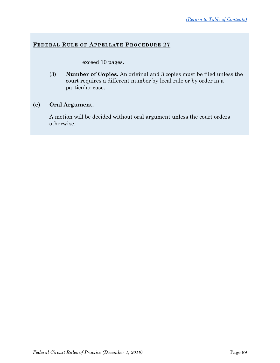exceed 10 pages.

(3) **Number of Copies.** An original and 3 copies must be filed unless the court requires a different number by local rule or by order in a particular case.

# **(e) Oral Argument.**

A motion will be decided without oral argument unless the court orders otherwise.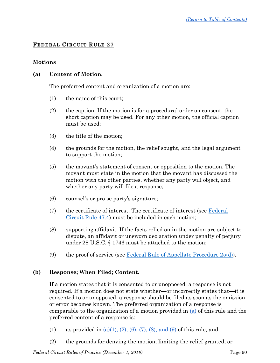#### **Motions**

#### <span id="page-103-0"></span>**(a) Content of Motion.**

The preferred content and organization of a motion are:

- (1) the name of this court;
- (2) the caption. If the motion is for a procedural order on consent, the short caption may be used. For any other motion, the official caption must be used;
- (3) the title of the motion;
- (4) the grounds for the motion, the relief sought, and the legal argument to support the motion;
- (5) the movant's statement of consent or opposition to the motion. The movant must state in the motion that the movant has discussed the motion with the other parties, whether any party will object, and whether any party will file a response;
- (6) counsel's or pro se party's signature;
- (7) the certificate of interest. The certificate of interest (see  $Federal$ </u> [Circuit Rule 47.4\)](#page-202-0) must be included in each motion;
- (8) supporting affidavit. If the facts relied on in the motion are subject to dispute, an affidavit or unsworn declaration under penalty of perjury under 28 U.S.C. § 1746 must be attached to the motion;
- (9) the proof of service (see Federal Rule of Appellate Procedure  $25(d)$ ).

#### **(b) Response; When Filed; Content.**

If a motion states that it is consented to or unopposed, a response is not required. If a motion does not state whether—or incorrectly states that—it is consented to or unopposed, a response should be filed as soon as the omission or error becomes known. The preferred organization of a response is comparable to the organization of a motion provided in [\(a\)](#page-103-0) of this rule and the preferred content of a response is:

- (1) as provided in  $(a)(1)$ ,  $(2)$ ,  $(6)$ ,  $(7)$ ,  $(8)$ , and  $(9)$  of this rule; and
- (2) the grounds for denying the motion, limiting the relief granted, or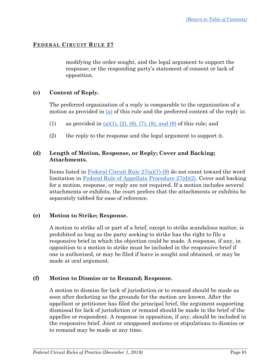modifying the order sought, and the legal argument to support the response; or the responding party's statement of consent or lack of opposition.

#### **(c) Content of Reply.**

The preferred organization of a reply is comparable to the organization of a motion as provided in [\(a\)](#page-103-0) of this rule and the preferred content of the reply is:

- (1) as provided in [\(a\)\(1\), \(2\), \(6\), \(7\), \(8\), and \(9\)](#page-80-0) of this rule; and
- (2) the reply to the response and the legal argument to support it.

#### **(d) Length of Motion, Response, or Reply; Cover and Backing; Attachments.**

Items listed in Federal Circuit Rule  $27(a)(7)$ -(9) do not count toward the word limitation in [Federal Rule of Appellate Procedure 27\(d\)\(2\).](#page-101-0) Cover and backing for a motion, response, or reply are not required. If a motion includes several attachments or exhibits, the court prefers that the attachments or exhibits be separately tabbed for ease of reference.

#### <span id="page-104-0"></span>**(e) Motion to Strike; Response.**

A motion to strike all or part of a brief, except to strike scandalous matter, is prohibited as long as the party seeking to strike has the right to file a responsive brief in which the objection could be made. A response, if any, in opposition to a motion to strike must be included in the responsive brief if one is authorized, or may be filed if leave is sought and obtained, or may be made at oral argument.

#### <span id="page-104-1"></span>**(f) Motion to Dismiss or to Remand; Response.**

A motion to dismiss for lack of jurisdiction or to remand should be made as soon after docketing as the grounds for the motion are known. After the appellant or petitioner has filed the principal brief, the argument supporting dismissal for lack of jurisdiction or remand should be made in the brief of the appellee or respondent. A response in opposition, if any, should be included in the responsive brief. Joint or unopposed motions or stipulations to dismiss or to remand may be made at any time.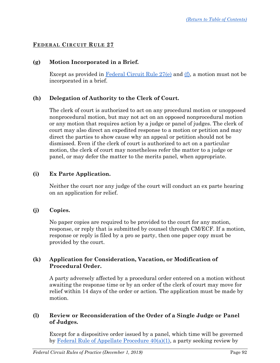# **(g) Motion Incorporated in a Brief.**

Except as provided in Federal Circuit Rule  $27(e)$  and  $(f)$ , a motion must not be incorporated in a brief.

# **(h) Delegation of Authority to the Clerk of Court.**

The clerk of court is authorized to act on any procedural motion or unopposed nonprocedural motion, but may not act on an opposed nonprocedural motion or any motion that requires action by a judge or panel of judges. The clerk of court may also direct an expedited response to a motion or petition and may direct the parties to show cause why an appeal or petition should not be dismissed. Even if the clerk of court is authorized to act on a particular motion, the clerk of court may nonetheless refer the matter to a judge or panel, or may defer the matter to the merits panel, when appropriate.

# **(i) Ex Parte Application.**

Neither the court nor any judge of the court will conduct an ex parte hearing on an application for relief.

#### **(j) Copies.**

No paper copies are required to be provided to the court for any motion, response, or reply that is submitted by counsel through CM/ECF. If a motion, response or reply is filed by a pro se party, then one paper copy must be provided by the court.

# **(k) Application for Consideration, Vacation, or Modification of Procedural Order.**

A party adversely affected by a procedural order entered on a motion without awaiting the response time or by an order of the clerk of court may move for relief within 14 days of the order or action. The application must be made by motion.

# **(l) Review or Reconsideration of the Order of a Single Judge or Panel of Judges.**

Except for a dispositive order issued by a panel, which time will be governed by [Federal Rule of Appellate Procedure 40\(a\)\(1\),](#page-180-0) a party seeking review by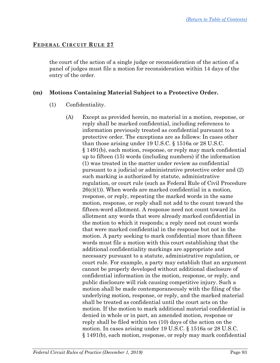the court of the action of a single judge or reconsideration of the action of a panel of judges must file a motion for reconsideration within 14 days of the entry of the order.

# <span id="page-106-0"></span>**(m) Motions Containing Material Subject to a Protective Order.**

- (1) Confidentiality.
	- (A) Except as provided herein, no material in a motion, response, or reply shall be marked confidential, including references to information previously treated as confidential pursuant to a protective order. The exceptions are as follows: In cases other than those arising under 19 U.S.C. § 1516a or 28 U.S.C. § 1491(b), each motion, response, or reply may mark confidential up to fifteen (15) words (including numbers) if the information (1) was treated in the matter under review as confidential pursuant to a judicial or administrative protective order and (2) such marking is authorized by statute, administrative regulation, or court rule (such as Federal Rule of Civil Procedure  $26(c)(1)$ . When words are marked confidential in a motion, response, or reply, repeating the marked words in the same motion, response, or reply shall not add to the count toward the fifteen-word allotment. A response need not count toward its allotment any words that were already marked confidential in the motion to which it responds; a reply need not count words that were marked confidential in the response but not in the motion. A party seeking to mark confidential more than fifteen words must file a motion with this court establishing that the additional confidentiality markings are appropriate and necessary pursuant to a statute, administrative regulation, or court rule. For example, a party may establish that an argument cannot be properly developed without additional disclosure of confidential information in the motion, response, or reply, and public disclosure will risk causing competitive injury. Such a motion shall be made contemporaneously with the filing of the underlying motion, response, or reply, and the marked material shall be treated as confidential until the court acts on the motion. If the motion to mark additional material confidential is denied in whole or in part, an amended motion, response or reply shall be filed within ten (10) days of the action on the motion. In cases arising under 19 U.S.C. § 1516a or 28 U.S.C. § 1491(b), each motion, response, or reply may mark confidential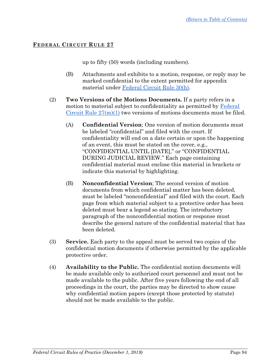up to fifty (50) words (including numbers).

- (B) Attachments and exhibits to a motion, response, or reply may be marked confidential to the extent permitted for appendix material under [Federal Circuit Rule 30\(h\).](#page-137-0)
- (2) **Two Versions of the Motions Documents.** If a party refers in a motion to material subject to confidentiality as permitted by [Federal](#page-106-0)  Circuit Rule  $27(m)(1)$  two versions of motions documents must be filed.
	- (A) **Confidential Version**; One version of motion documents must be labeled "confidential" and filed with the court. If confidentiality will end on a date certain or upon the happening of an event, this must be stated on the cover, e.g., "CONFIDENTIAL UNTIL [DATE]," or "CONFIDENTIAL DURING JUDICIAL REVIEW." Each page containing confidential material must enclose this material in brackets or indicate this material by highlighting.
	- (B) **Nonconfidential Version**; The second version of motion documents from which confidential matter has been deleted, must be labeled "nonconfidential" and filed with the court. Each page from which material subject to a protective order has been deleted must bear a legend so stating. The introductory paragraph of the nonconfidential motion or response must describe the general nature of the confidential material that has been deleted.
- (3) **Service.** Each party to the appeal must be served two copies of the confidential motion documents if otherwise permitted by the applicable protective order.
- (4) **Availability to the Public.** The confidential motion documents will be made available only to authorized court personnel and must not be made available to the public. After five years following the end of all proceedings in the court, the parties may be directed to show cause why confidential motion papers (except those protected by statute) should not be made available to the public.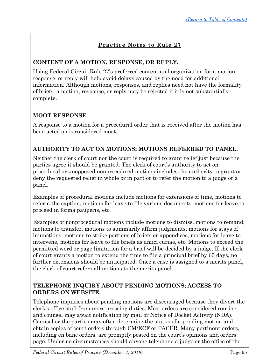# **Practice Notes to Rule 27**

# **CONTENT OF A MOTION, RESPONSE, OR REPLY.**

Using Federal Circuit Rule 27's preferred content and organization for a motion, response, or reply will help avoid delays caused by the need for additional information. Although motions, responses, and replies need not have the formality of briefs, a motion, response, or reply may be rejected if it is not substantially complete.

# **MOOT RESPONSE.**

A response to a motion for a procedural order that is received after the motion has been acted on is considered moot.

# **AUTHORITY TO ACT ON MOTIONS; MOTIONS REFERRED TO PANEL.**

Neither the clerk of court nor the court is required to grant relief just because the parties agree it should be granted. The clerk of court's authority to act on procedural or unopposed nonprocedural motions includes the authority to grant or deny the requested relief in whole or in part or to refer the motion to a judge or a panel.

Examples of procedural motions include motions for extensions of time, motions to reform the caption, motions for leave to file various documents, motions for leave to proceed in forma pauperis, etc.

Examples of nonprocedural motions include motions to dismiss, motions to remand, motions to transfer, motions to summarily affirm judgments, motions for stays of injunctions, motions to strike portions of briefs or appendices, motions for leave to intervene, motions for leave to file briefs as amici curiae, etc. Motions to exceed the permitted word or page limitation for a brief will be decided by a judge. If the clerk of court grants a motion to extend the time to file a principal brief by 60 days, no further extensions should be anticipated. Once a case is assigned to a merits panel, the clerk of court refers all motions to the merits panel.

## **TELEPHONE INQUIRY ABOUT PENDING MOTIONS; ACCESS TO ORDERS ON WEBSITE.**

Telephone inquiries about pending motions are discouraged because they divert the clerk's office staff from more pressing duties. Most orders are considered routine and counsel may await notification by mail or Notice of Docket Activity (NDA). Counsel or the parties may often determine the status of a pending motion and obtain copies of court orders through CM/ECF or PACER. Many pertinent orders, including en banc orders, are promptly posted on the court's opinions and orders page. Under no circumstances should anyone telephone a judge or the office of the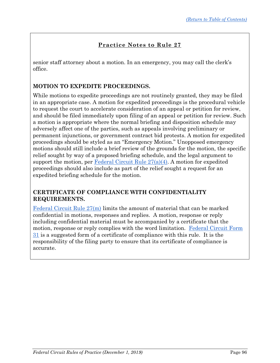# **Practice Notes to Rule 27**

senior staff attorney about a motion. In an emergency, you may call the clerk's office.

# **MOTION TO EXPEDITE PROCEEDINGS.**

While motions to expedite proceedings are not routinely granted, they may be filed in an appropriate case. A motion for expedited proceedings is the procedural vehicle to request the court to accelerate consideration of an appeal or petition for review, and should be filed immediately upon filing of an appeal or petition for review. Such a motion is appropriate where the normal briefing and disposition schedule may adversely affect one of the parties, such as appeals involving preliminary or permanent injunctions, or government contract bid protests. A motion for expedited proceedings should be styled as an "Emergency Motion." Unopposed emergency motions should still include a brief review of the grounds for the motion, the specific relief sought by way of a proposed briefing schedule, and the legal argument to support the motion, per Federal Circuit Rule  $27(a)(4)$ . A motion for expedited proceedings should also include as part of the relief sought a request for an expedited briefing schedule for the motion.

## **CERTIFICATE OF COMPLIANCE WITH CONFIDENTIALITY REQUIREMENTS.**

[Federal Circuit Rule 27\(m\)](#page-106-0) limits the amount of material that can be marked confidential in motions, responses and replies. A motion, response or reply including confidential material must be accompanied by a certificate that the motion, response or reply complies with the word limitation. [Federal Circuit Form](http://www.cafc.uscourts.gov/rules-of-practice/forms)  [31](http://www.cafc.uscourts.gov/rules-of-practice/forms) is a suggested form of a certificate of compliance with this rule. It is the responsibility of the filing party to ensure that its certificate of compliance is accurate.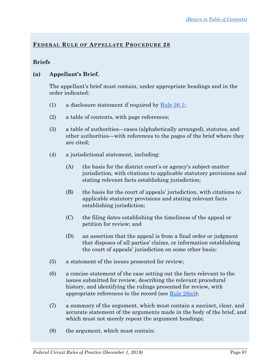## <span id="page-110-1"></span>**Briefs**

## <span id="page-110-0"></span>**(a) Appellant's Brief.**

The appellant's brief must contain, under appropriate headings and in the order indicated:

- (1) a disclosure statement if required by Rule  $26.1$ ;
- (2) a table of contents, with page references;
- (3) a table of authorities—cases (alphabetically arranged), statutes, and other authorities—with references to the pages of the brief where they are cited;
- (4) a jurisdictional statement, including:
	- (A) the basis for the district court's or agency's subject-matter jurisdiction, with citations to applicable statutory provisions and stating relevant facts establishing jurisdiction;
	- (B) the basis for the court of appeals' jurisdiction, with citations to applicable statutory provisions and stating relevant facts establishing jurisdiction;
	- (C) the filing dates establishing the timeliness of the appeal or petition for review; and
	- (D) an assertion that the appeal is from a final order or judgment that disposes of all parties' claims, or information establishing the court of appeals' jurisdiction on some other basis;
- (5) a statement of the issues presented for review;
- (6) a concise statement of the case setting out the facts relevant to the issues submitted for review, describing the relevant procedural history, and identifying the rulings presented for review, with appropriate references to the record (see Rule  $28(e)$ );
- (7) a summary of the argument, which must contain a succinct, clear, and accurate statement of the arguments made in the body of the brief, and which must not merely repeat the argument headings;
- (8) the argument, which must contain: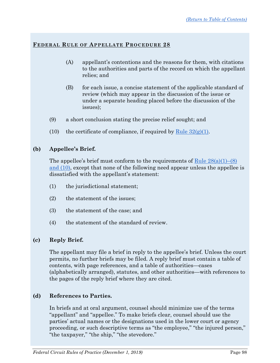- (A) appellant's contentions and the reasons for them, with citations to the authorities and parts of the record on which the appellant relies; and
- (B) for each issue, a concise statement of the applicable standard of review (which may appear in the discussion of the issue or under a separate heading placed before the discussion of the issues);
- (9) a short conclusion stating the precise relief sought; and
- (10) the certificate of compliance, if required by Rule  $32(g)(1)$ .

# **(b) Appellee's Brief.**

The appellee's brief must conform to the requirements of <u>Rule  $28(a)(1)$ – $(8)$ </u> [and \(10\),](#page-110-0) except that none of the following need appear unless the appellee is dissatisfied with the appellant's statement:

- (1) the jurisdictional statement;
- (2) the statement of the issues;
- (3) the statement of the case; and
- (4) the statement of the standard of review.

# **(c) Reply Brief.**

The appellant may file a brief in reply to the appellee's brief. Unless the court permits, no further briefs may be filed. A reply brief must contain a table of contents, with page references, and a table of authorities—cases (alphabetically arranged), statutes, and other authorities—with references to the pages of the reply brief where they are cited.

# **(d) References to Parties.**

In briefs and at oral argument, counsel should minimize use of the terms "appellant" and "appellee." To make briefs clear, counsel should use the parties' actual names or the designations used in the lower court or agency proceeding, or such descriptive terms as "the employee," "the injured person," "the taxpayer," "the ship," "the stevedore."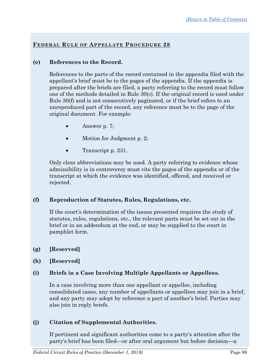#### <span id="page-112-0"></span>**(e) References to the Record.**

References to the parts of the record contained in the appendix filed with the appellant's brief must be to the pages of the appendix. If the appendix is prepared after the briefs are filed, a party referring to the record must follow one of the methods detailed in Rule 30(c). If the original record is used under Rule 30(f) and is not consecutively paginated, or if the brief refers to an unreproduced part of the record, any reference must be to the page of the original document. For example:

- Answer p. 7;
- Motion for Judgment p. 2;
- Transcript p. 231.

Only clear abbreviations may be used. A party referring to evidence whose admissibility is in controversy must cite the pages of the appendix or of the transcript at which the evidence was identified, offered, and received or rejected.

#### **(f) Reproduction of Statutes, Rules, Regulations, etc.**

If the court's determination of the issues presented requires the study of statutes, rules, regulations, etc., the relevant parts must be set out in the brief or in an addendum at the end, or may be supplied to the court in pamphlet form.

#### **(g) [Reserved]**

#### **(h) [Reserved]**

#### **(i) Briefs in a Case Involving Multiple Appellants or Appellees.**

In a case involving more than one appellant or appellee, including consolidated cases, any number of appellants or appellees may join in a brief, and any party may adopt by reference a part of another's brief. Parties may also join in reply briefs.

# **(j) Citation of Supplemental Authorities.**

If pertinent and significant authorities come to a party's attention after the party's brief has been filed—or after oral argument but before decision—a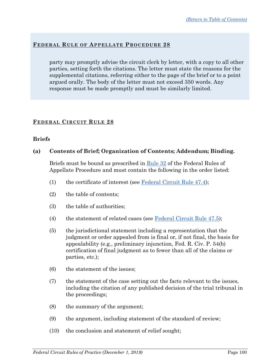party may promptly advise the circuit clerk by letter, with a copy to all other parties, setting forth the citations. The letter must state the reasons for the supplemental citations, referring either to the page of the brief or to a point argued orally. The body of the letter must not exceed 350 words. Any response must be made promptly and must be similarly limited.

## **FEDERAL CIRCUIT RULE 28**

#### **Briefs**

#### <span id="page-113-0"></span>**(a) Contents of Brief; Organization of Contents; Addendum; Binding.**

Briefs must be bound as prescribed in <u>Rule 32</u> of the Federal Rules of Appellate Procedure and must contain the following in the order listed:

- (1) the certificate of interest (see [Federal Circuit Rule 47.4\)](#page-202-0);
- (2) the table of contents;
- (3) the table of authorities;
- (4) the statement of related cases (see [Federal Circuit Rule 47.5\)](#page-203-0);
- (5) the jurisdictional statement including a representation that the judgment or order appealed from is final or, if not final, the basis for appealability (e.g., preliminary injunction, Fed. R. Civ. P. 54(b) certification of final judgment as to fewer than all of the claims or parties, etc.);
- (6) the statement of the issues;
- (7) the statement of the case setting out the facts relevant to the issues, including the citation of any published decision of the trial tribunal in the proceedings;
- (8) the summary of the argument;
- (9) the argument, including statement of the standard of review;
- (10) the conclusion and statement of relief sought;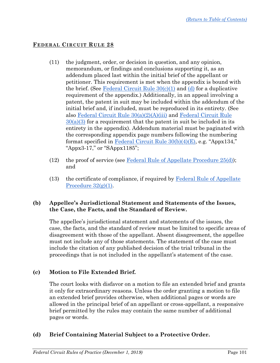- (11) the judgment, order, or decision in question, and any opinion, memorandum, or findings and conclusions supporting it, as an addendum placed last within the initial brief of the appellant or petitioner. This requirement is met when the appendix is bound with the brief. (See Federal Circuit Rule  $30(c)(1)$  and [\(d\)](#page-136-1) for a duplicative requirement of the appendix.) Additionally, in an appeal involving a patent, the patent in suit may be included within the addendum of the initial brief and, if included, must be reproduced in its entirety. (See also [Federal Circuit Rule 30\(a\)\(2\)\(A\)\(iii\)](#page-132-0) and [Federal Circuit Rule](#page-132-0)   $30(a)(3)$  for a requirement that the patent in suit be included in its entirety in the appendix). Addendum material must be paginated with the corresponding appendix page numbers following the numbering format specified in [Federal Circuit Rule 30\(b\)\(4\)\(E\),](#page-134-0) e.g. "Appx134," "Appx3-17," or "SAppx1185";
- (12) the proof of service (see Federal Rule of Appellate Procedure  $25(d)$ ); and
- (13) the certificate of compliance, if required by  $Federal Rule of Appellate$ </u> Procedure  $32(g)(1)$ .

#### **(b) Appellee's Jurisdictional Statement and Statements of the Issues, the Case, the Facts, and the Standard of Review.**

The appellee's jurisdictional statement and statements of the issues, the case, the facts, and the standard of review must be limited to specific areas of disagreement with those of the appellant. Absent disagreement, the appellee must not include any of those statements. The statement of the case must include the citation of any published decision of the trial tribunal in the proceedings that is not included in the appellant's statement of the case.

# **(c) Motion to File Extended Brief.**

The court looks with disfavor on a motion to file an extended brief and grants it only for extraordinary reasons. Unless the order granting a motion to file an extended brief provides otherwise, when additional pages or words are allowed in the principal brief of an appellant or cross-appellant, a responsive brief permitted by the rules may contain the same number of additional pages or words.

# <span id="page-114-0"></span>**(d) Brief Containing Material Subject to a Protective Order.**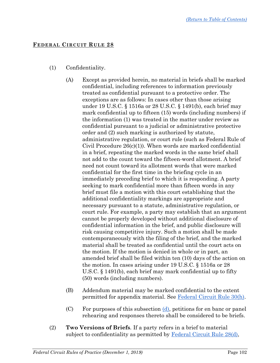- (1) Confidentiality*.*
	- (A) Except as provided herein, no material in briefs shall be marked confidential, including references to information previously treated as confidential pursuant to a protective order. The exceptions are as follows: In cases other than those arising under 19 U.S.C. § 1516a or 28 U.S.C. § 1491(b), each brief may mark confidential up to fifteen (15) words (including numbers) if the information (1) was treated in the matter under review as confidential pursuant to a judicial or administrative protective order and (2) such marking is authorized by statute, administrative regulation, or court rule (such as Federal Rule of Civil Procedure 26(c)(1)). When words are marked confidential in a brief, repeating the marked words in the same brief shall not add to the count toward the fifteen-word allotment. A brief need not count toward its allotment words that were marked confidential for the first time in the briefing cycle in an immediately preceding brief to which it is responding. A party seeking to mark confidential more than fifteen words in any brief must file a motion with this court establishing that the additional confidentiality markings are appropriate and necessary pursuant to a statute, administrative regulation, or court rule. For example, a party may establish that an argument cannot be properly developed without additional disclosure of confidential information in the brief, and public disclosure will risk causing competitive injury. Such a motion shall be made contemporaneously with the filing of the brief, and the marked material shall be treated as confidential until the court acts on the motion. If the motion is denied in whole or in part, an amended brief shall be filed within ten (10) days of the action on the motion. In cases arising under 19 U.S.C. § 1516a or 28 U.S.C. § 1491(b), each brief may mark confidential up to fifty (50) words (including numbers).
	- (B) Addendum material may be marked confidential to the extent permitted for appendix material. See [Federal Circuit Rule 30\(h\).](#page-137-0)
	- (C) For purposes of this subsection  $(d)$ , petitions for en banc or panel rehearing and responses thereto shall be considered to be briefs.
- (2) **Two Versions of Briefs***.* If a party refers in a brief to material subject to confidentiality as permitted by Federal Circuit Rule  $28(d)$ ,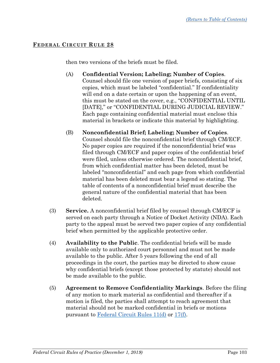then two versions of the briefs must be filed.

- (A) **Confidential Version; Labeling; Number of Copies**. Counsel should file one version of paper briefs, consisting of six copies, which must be labeled "confidential." If confidentiality will end on a date certain or upon the happening of an event, this must be stated on the cover, e.g., "CONFIDENTIAL UNTIL [DATE]," or "CONFIDENTIAL DURING JUDICIAL REVIEW." Each page containing confidential material must enclose this material in brackets or indicate this material by highlighting.
- (B) **Nonconfidential Brief; Labeling; Number of Copies**. Counsel should file the nonconfidential brief through CM/ECF. No paper copies are required if the nonconfidential brief was filed through CM/ECF and paper copies of the confidential brief were filed, unless otherwise ordered. The nonconfidential brief, from which confidential matter has been deleted, must be labeled "nonconfidential" and each page from which confidential material has been deleted must bear a legend so stating. The table of contents of a nonconfidential brief must describe the general nature of the confidential material that has been deleted.
- (3) **Service.** A nonconfidential brief filed by counsel through CM/ECF is served on each party through a Notice of Docket Activity (NDA). Each party to the appeal must be served two paper copies of any confidential brief when permitted by the applicable protective order.
- (4) **Availability to the Public**. The confidential briefs will be made available only to authorized court personnel and must not be made available to the public. After 5 years following the end of all proceedings in the court, the parties may be directed to show cause why confidential briefs (except those protected by statute) should not be made available to the public.
- (5) **Agreement to Remove Confidentiality Markings**. Before the filing of any motion to mark material as confidential and thereafter if a motion is filed, the parties shall attempt to reach agreement that material should not be marked confidential in briefs or motions pursuant to [Federal Circuit Rules 11\(d\)](#page-47-0) or [17\(f\).](#page-64-0)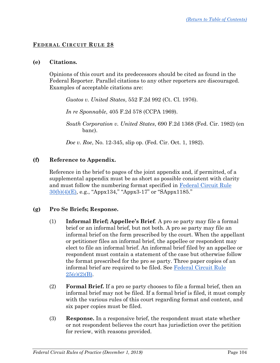#### **(e) Citations.**

Opinions of this court and its predecessors should be cited as found in the Federal Reporter. Parallel citations to any other reporters are discouraged. Examples of acceptable citations are:

*Guotos v. United States*, 552 F.2d 992 (Ct. Cl. 1976).

*In re Sponnable*, 405 F.2d 578 (CCPA 1969).

*South Corporation v. United States*, 690 F.2d 1368 (Fed. Cir. 1982) (en banc).

*Doe v. Roe*, No. 12-345, slip op. (Fed. Cir. Oct. 1, 1982).

## **(f) Reference to Appendix.**

Reference in the brief to pages of the joint appendix and, if permitted, of a supplemental appendix must be as short as possible consistent with clarity and must follow the numbering format specified in [Federal Circuit Rule](#page-134-0)   $30(b)(4)(E)$ , e.g., "Appx134," "Appx3-17" or "SAppx1185."

#### **(g) Pro Se Briefs; Response.**

- (1) **Informal Brief; Appellee's Brief***.* A pro se party may file a formal brief or an informal brief, but not both. A pro se party may file an informal brief on the form prescribed by the court. When the appellant or petitioner files an informal brief, the appellee or respondent may elect to file an informal brief. An informal brief filed by an appellee or respondent must contain a statement of the case but otherwise follow the format prescribed for the pro se party. Three paper copies of an informal brief are required to be filed. See [Federal Circuit Rule](#page-85-0)   $25(c)(2)(B)$ .
- (2) **Formal Brief.** If a pro se party chooses to file a formal brief, then an informal brief may not be filed. If a formal brief is filed, it must comply with the various rules of this court regarding format and content, and six paper copies must be filed.
- (3) **Response.** In a responsive brief, the respondent must state whether or not respondent believes the court has jurisdiction over the petition for review, with reasons provided.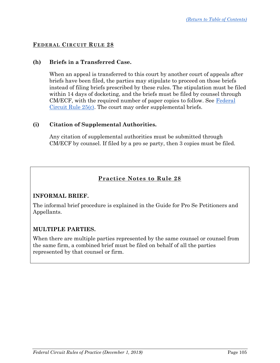#### **(h) Briefs in a Transferred Case.**

When an appeal is transferred to this court by another court of appeals after briefs have been filed, the parties may stipulate to proceed on those briefs instead of filing briefs prescribed by these rules. The stipulation must be filed within 14 days of docketing, and the briefs must be filed by counsel through CM/ECF, with the required number of paper copies to follow. See [Federal](#page-85-0)  [Circuit Rule 25\(c\).](#page-85-0) The court may order supplemental briefs.

#### **(i) Citation of Supplemental Authorities.**

Any citation of supplemental authorities must be submitted through CM/ECF by counsel. If filed by a pro se party, then 3 copies must be filed.

# **Practice Notes to Rule 28**

# **INFORMAL BRIEF.**

The informal brief procedure is explained in the Guide for Pro Se Petitioners and Appellants.

# **MULTIPLE PARTIES.**

When there are multiple parties represented by the same counsel or counsel from the same firm, a combined brief must be filed on behalf of all the parties represented by that counsel or firm.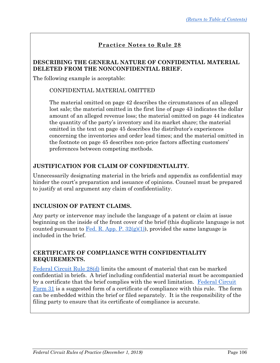# **Practice Notes to Rule 28**

## **DESCRIBING THE GENERAL NATURE OF CONFIDENTIAL MATERIAL DELETED FROM THE NONCONFIDENTIAL BRIEF.**

The following example is acceptable:

### CONFIDENTIAL MATERIAL OMITTED

The material omitted on page 42 describes the circumstances of an alleged lost sale; the material omitted in the first line of page 43 indicates the dollar amount of an alleged revenue loss; the material omitted on page 44 indicates the quantity of the party's inventory and its market share; the material omitted in the text on page 45 describes the distributor's experiences concerning the inventories and order lead times; and the material omitted in the footnote on page 45 describes non-price factors affecting customers' preferences between competing methods.

# **JUSTIFICATION FOR CLAIM OF CONFIDENTIALITY.**

Unnecessarily designating material in the briefs and appendix as confidential may hinder the court's preparation and issuance of opinions. Counsel must be prepared to justify at oral argument any claim of confidentiality.

# **INCLUSION OF PATENT CLAIMS.**

Any party or intervenor may include the language of a patent or claim at issue beginning on the inside of the front cover of the brief (this duplicate language is not counted pursuant to Fed. R. App. P.  $32(g)(1)$ , provided the same language is included in the brief.

## **CERTIFICATE OF COMPLIANCE WITH CONFIDENTIALITY REQUIREMENTS.**

[Federal Circuit Rule 28\(d\)](#page-114-0) limits the amount of material that can be marked confidential in briefs. A brief including confidential material must be accompanied by a certificate that the brief complies with the word limitation. Federal Circuit [Form 31](http://www.cafc.uscourts.gov/rules-of-practice/forms) is a suggested form of a certificate of compliance with this rule. The form can be embedded within the brief or filed separately. It is the responsibility of the filing party to ensure that its certificate of compliance is accurate.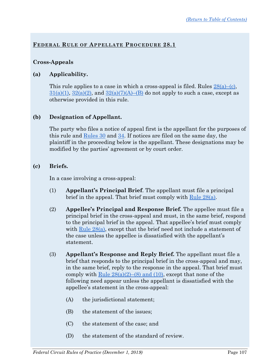# **Cross-Appeals**

## **(a) Applicability.**

This rule applies to a case in which a cross-appeal is filed. Rules  $28(a)$ –(c),  $31(a)(1)$ ,  $32(a)(2)$ , and  $32(a)(7)(A)$ –(B) do not apply to such a case, except as otherwise provided in this rule.

#### **(b) Designation of Appellant.**

The party who files a notice of appeal first is the appellant for the purposes of this rule and  $\frac{\text{Rules }30}{\text{and }34}$ . If notices are filed on the same day, the plaintiff in the proceeding below is the appellant. These designations may be modified by the parties' agreement or by court order.

## **(c) Briefs.**

In a case involving a cross-appeal:

- (1) **Appellant's Principal Brief**. The appellant must file a principal brief in the appeal. That brief must comply with [Rule 28\(a\).](#page-110-0)
- (2) **Appellee's Principal and Response Brief.** The appellee must file a principal brief in the cross-appeal and must, in the same brief, respond to the principal brief in the appeal. That appellee's brief must comply with  $Rule 28(a)$ , except that the brief need not include a statement of the case unless the appellee is dissatisfied with the appellant's statement.
- (3) **Appellant's Response and Reply Brief.** The appellant must file a brief that responds to the principal brief in the cross-appeal and may, in the same brief, reply to the response in the appeal. That brief must comply with Rule  $28(a)(2)$ –(8) and (10), except that none of the following need appear unless the appellant is dissatisfied with the appellee's statement in the cross-appeal:
	- (A) the jurisdictional statement;
	- (B) the statement of the issues;
	- (C) the statement of the case; and
	- (D) the statement of the standard of review.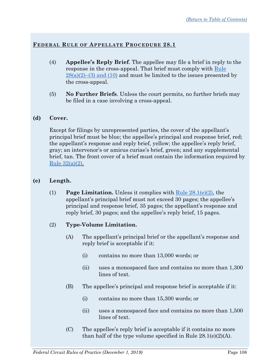- (4) **Appellee's Reply Brief***.* The appellee may file a brief in reply to the response in the cross-appeal. That brief must comply with [Rule](#page-110-0)   $28(a)(2)$ –[\(3\) and \(10\)](#page-110-0) and must be limited to the issues presented by the cross-appeal.
- (5) **No Further Briefs**. Unless the court permits, no further briefs may be filed in a case involving a cross-appeal.

#### **(d) Cover.**

Except for filings by unrepresented parties, the cover of the appellant's principal brief must be blue; the appellee's principal and response brief, red; the appellant's response and reply brief, yellow; the appellee's reply brief, gray; an intervenor's or amicus curiae's brief, green; and any supplemental brief, tan. The front cover of a brief must contain the information required by <u>Rule  $32(a)(2)$ .</u>

# <span id="page-121-0"></span>**(e) Length.**

(1) **Page Limitation.** Unless it complies with [Rule 28.1\(e\)\(2\),](#page-121-0) the appellant's principal brief must not exceed 30 pages; the appellee's principal and response brief, 35 pages; the appellant's response and reply brief, 30 pages; and the appellee's reply brief, 15 pages.

# (2) **Type-Volume Limitation.**

- (A) The appellant's principal brief or the appellant's response and reply brief is acceptable if it:
	- (i) contains no more than 13,000 words; or
	- (ii) uses a monospaced face and contains no more than 1,300 lines of text.
- (B) The appellee's principal and response brief is acceptable if it:
	- (i) contains no more than 15,300 words; or
	- (ii) uses a monospaced face and contains no more than 1,500 lines of text.
- (C) The appellee's reply brief is acceptable if it contains no more than half of the type volume specified in Rule  $28.1(e)(2)(A)$ .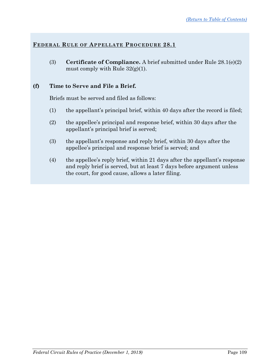(3) **Certificate of Compliance.** A brief submitted under Rule 28.1(e)(2) must comply with Rule  $32(g)(1)$ .

### **(f) Time to Serve and File a Brief.**

Briefs must be served and filed as follows:

- (1) the appellant's principal brief, within 40 days after the record is filed;
- (2) the appellee's principal and response brief, within 30 days after the appellant's principal brief is served;
- (3) the appellant's response and reply brief, within 30 days after the appellee's principal and response brief is served; and
- (4) the appellee's reply brief, within 21 days after the appellant's response and reply brief is served, but at least 7 days before argument unless the court, for good cause, allows a later filing.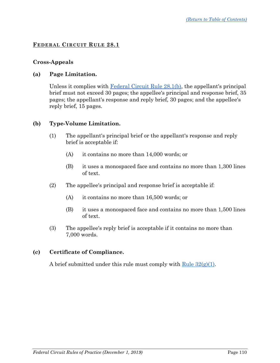#### **Cross-Appeals**

#### **(a) Page Limitation.**

Unless it complies with [Federal Circuit Rule 28.1\(b\),](#page-123-0) the appellant's principal brief must not exceed 30 pages; the appellee's principal and response brief, 35 pages; the appellant's response and reply brief, 30 pages; and the appellee's reply brief, 15 pages.

#### <span id="page-123-0"></span>**(b) Type-Volume Limitation.**

- (1) The appellant's principal brief or the appellant's response and reply brief is acceptable if:
	- (A) it contains no more than 14,000 words; or
	- (B) it uses a monospaced face and contains no more than 1,300 lines of text.
- (2) The appellee's principal and response brief is acceptable if:
	- (A) it contains no more than 16,500 words; or
	- (B) it uses a monospaced face and contains no more than 1,500 lines of text.
- (3) The appellee's reply brief is acceptable if it contains no more than 7,000 words.

#### **(c) Certificate of Compliance.**

A brief submitted under this rule must comply with Rule  $32(g)(1)$ .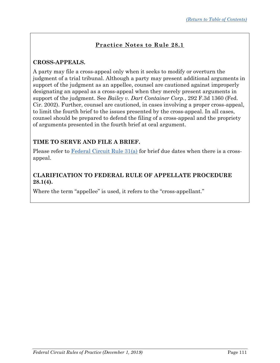# **Practice Notes to Rule 28.1**

# **CROSS-APPEALS.**

A party may file a cross-appeal only when it seeks to modify or overturn the judgment of a trial tribunal. Although a party may present additional arguments in support of the judgment as an appellee, counsel are cautioned against improperly designating an appeal as a cross-appeal when they merely present arguments in support of the judgment. See *Bailey v. Dart Container Corp.*, 292 F.3d 1360 (Fed. Cir. 2002). Further, counsel are cautioned, in cases involving a proper cross-appeal, to limit the fourth brief to the issues presented by the cross-appeal. In all cases, counsel should be prepared to defend the filing of a cross-appeal and the propriety of arguments presented in the fourth brief at oral argument.

# **TIME TO SERVE AND FILE A BRIEF.**

Please refer to [Federal Circuit Rule 31\(a\)](#page-142-0) for brief due dates when there is a crossappeal.

# **CLARIFICATION TO FEDERAL RULE OF APPELLATE PROCEDURE 28.1(4).**

Where the term "appellee" is used, it refers to the "cross-appellant."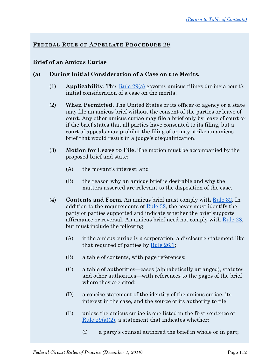### **Brief of an Amicus Curiae**

### <span id="page-125-0"></span>**(a) During Initial Consideration of a Case on the Merits.**

- (1) **Applicability***.* This [Rule 29\(a\)](#page-125-0) governs amicus filings during a court's initial consideration of a case on the merits.
- (2) **When Permitted.** The United States or its officer or agency or a state may file an amicus brief without the consent of the parties or leave of court. Any other amicus curiae may file a brief only by leave of court or if the brief states that all parties have consented to its filing, but a court of appeals may prohibit the filing of or may strike an amicus brief that would result in a judge's disqualification.
- (3) **Motion for Leave to File.** The motion must be accompanied by the proposed brief and state:
	- (A) the movant's interest; and
	- (B) the reason why an amicus brief is desirable and why the matters asserted are relevant to the disposition of the case.
- (4) **Contents and Form.** An amicus brief must comply with [Rule 32.](#page-145-0) In addition to the requirements of  $Rule 32$ , the cover must identify the</u> party or parties supported and indicate whether the brief supports affirmance or reversal. An amicus brief need not comply with [Rule 28,](#page-110-1) but must include the following:
	- (A) if the amicus curiae is a corporation, a disclosure statement like that required of parties by [Rule 26.1;](#page-97-0)
	- (B) a table of contents, with page references;
	- (C) a table of authorities—cases (alphabetically arranged), statutes, and other authorities—with references to the pages of the brief where they are cited;
	- (D) a concise statement of the identity of the amicus curiae, its interest in the case, and the source of its authority to file;
	- (E) unless the amicus curiae is one listed in the first sentence of Rule  $29(a)(2)$ , a statement that indicates whether:
		- (i) a party's counsel authored the brief in whole or in part;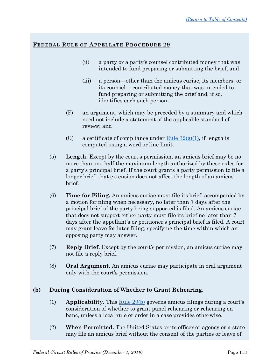- (ii) a party or a party's counsel contributed money that was intended to fund preparing or submitting the brief; and
- (iii) a person—other than the amicus curiae, its members, or its counsel— contributed money that was intended to fund preparing or submitting the brief and, if so, identifies each such person;
- (F) an argument, which may be preceded by a summary and which need not include a statement of the applicable standard of review; and
- (G) a certificate of compliance under Rule  $32(g)(1)$ , if length is computed using a word or line limit.
- (5) **Length.** Except by the court's permission, an amicus brief may be no more than one-half the maximum length authorized by these rules for a party's principal brief. If the court grants a party permission to file a longer brief, that extension does not affect the length of an amicus brief.
- (6) **Time for Filing.** An amicus curiae must file its brief, accompanied by a motion for filing when necessary, no later than 7 days after the principal brief of the party being supported is filed. An amicus curiae that does not support either party must file its brief no later than 7 days after the appellant's or petitioner's principal brief is filed. A court may grant leave for later filing, specifying the time within which an opposing party may answer.
- (7) **Reply Brief.** Except by the court's permission, an amicus curiae may not file a reply brief.
- (8) **Oral Argument.** An amicus curiae may participate in oral argument only with the court's permission.

#### <span id="page-126-0"></span>**(b) During Consideration of Whether to Grant Rehearing.**

- (1) **Applicability.** This [Rule 29\(b\)](#page-126-0) governs amicus filings during a court's consideration of whether to grant panel rehearing or rehearing en banc, unless a local rule or order in a case provides otherwise.
- (2) **When Permitted.** The United States or its officer or agency or a state may file an amicus brief without the consent of the parties or leave of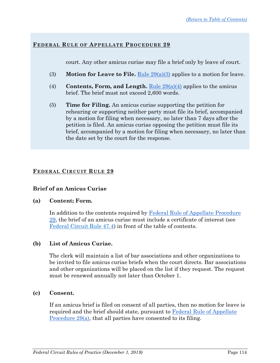court. Any other amicus curiae may file a brief only by leave of court.

- (3) **Motion for Leave to File.** Rule  $29(a)(3)$  applies to a motion for leave.
- (4) **Contents, Form, and Length.** Rule  $29(a)(4)$  applies to the amicus brief. The brief must not exceed 2,600 words.
- (5) **Time for Filing.** An amicus curiae supporting the petition for rehearing or supporting neither party must file its brief, accompanied by a motion for filing when necessary, no later than 7 days after the petition is filed. An amicus curiae opposing the petition must file its brief, accompanied by a motion for filing when necessary, no later than the date set by the court for the response.

# **FEDERAL CIRCUIT RULE 29**

# **Brief of an Amicus Curiae**

#### **(a) Content; Form.**

In addition to the contents required by [Federal Rule of Appellate Procedure](#page-125-0)  [29,](#page-125-0) the brief of an amicus curiae must include a certificate of interest (see [Federal Circuit Rule 47.4\)](#page-202-0) in front of the table of contents.

#### **(b) List of Amicus Curiae.**

The clerk will maintain a list of bar associations and other organizations to be invited to file amicus curiae briefs when the court directs. Bar associations and other organizations will be placed on the list if they request. The request must be renewed annually not later than October 1.

#### **(c) Consent.**

If an amicus brief is filed on consent of all parties, then no motion for leave is required and the brief should state, pursuant to [Federal Rule of Appellate](#page-125-0)  [Procedure 29\(a\),](#page-125-0) that all parties have consented to its filing.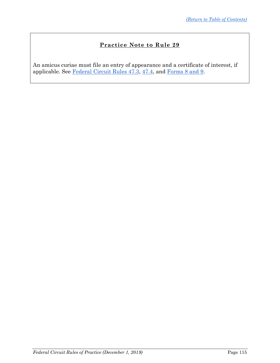# **Practice Note to Rule 29**

An amicus curiae must file an entry of appearance and a certificate of interest, if applicable. See [Federal Circuit Rules 47.3,](#page-199-0) [47.4,](#page-202-0) and [Forms 8 and 9.](http://www.cafc.uscourts.gov/rules-of-practice/forms)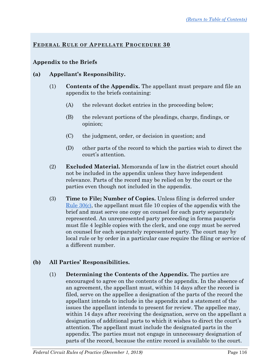## <span id="page-129-0"></span>**Appendix to the Briefs**

### <span id="page-129-1"></span>**(a) Appellant's Responsibility.**

- (1) **Contents of the Appendix.** The appellant must prepare and file an appendix to the briefs containing:
	- (A) the relevant docket entries in the proceeding below;
	- (B) the relevant portions of the pleadings, charge, findings, or opinion;
	- (C) the judgment, order, or decision in question; and
	- (D) other parts of the record to which the parties wish to direct the court's attention.
- (2) **Excluded Material.** Memoranda of law in the district court should not be included in the appendix unless they have independent relevance. Parts of the record may be relied on by the court or the parties even though not included in the appendix.
- (3) **Time to File; Number of Copies.** Unless filing is deferred under [Rule 30\(c\),](#page-130-0) the appellant must file 10 copies of the appendix with the brief and must serve one copy on counsel for each party separately represented. An unrepresented party proceeding in forma pauperis must file 4 legible copies with the clerk, and one copy must be served on counsel for each separately represented party. The court may by local rule or by order in a particular case require the filing or service of a different number.

# <span id="page-129-2"></span>**(b) All Parties' Responsibilities.**

(1) **Determining the Contents of the Appendix.** The parties are encouraged to agree on the contents of the appendix. In the absence of an agreement, the appellant must, within 14 days after the record is filed, serve on the appellee a designation of the parts of the record the appellant intends to include in the appendix and a statement of the issues the appellant intends to present for review. The appellee may, within 14 days after receiving the designation, serve on the appellant a designation of additional parts to which it wishes to direct the court's attention. The appellant must include the designated parts in the appendix. The parties must not engage in unnecessary designation of parts of the record, because the entire record is available to the court.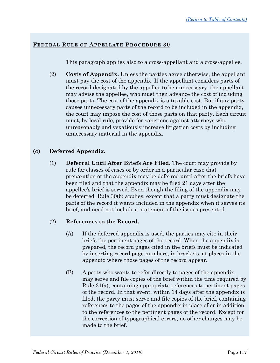This paragraph applies also to a cross-appellant and a cross-appellee.

(2) **Costs of Appendix.** Unless the parties agree otherwise, the appellant must pay the cost of the appendix. If the appellant considers parts of the record designated by the appellee to be unnecessary, the appellant may advise the appellee, who must then advance the cost of including those parts. The cost of the appendix is a taxable cost. But if any party causes unnecessary parts of the record to be included in the appendix, the court may impose the cost of those parts on that party. Each circuit must, by local rule, provide for sanctions against attorneys who unreasonably and vexatiously increase litigation costs by including unnecessary material in the appendix.

# <span id="page-130-0"></span>**(c) Deferred Appendix.**

(1) **Deferral Until After Briefs Are Filed.** The court may provide by rule for classes of cases or by order in a particular case that preparation of the appendix may be deferred until after the briefs have been filed and that the appendix may be filed 21 days after the appellee's brief is served. Even though the filing of the appendix may be deferred, Rule 30(b) applies; except that a party must designate the parts of the record it wants included in the appendix when it serves its brief, and need not include a statement of the issues presented.

# (2) **References to the Record.**

- (A) If the deferred appendix is used, the parties may cite in their briefs the pertinent pages of the record. When the appendix is prepared, the record pages cited in the briefs must be indicated by inserting record page numbers, in brackets, at places in the appendix where those pages of the record appear.
- (B) A party who wants to refer directly to pages of the appendix may serve and file copies of the brief within the time required by Rule 31(a), containing appropriate references to pertinent pages of the record. In that event, within 14 days after the appendix is filed, the party must serve and file copies of the brief, containing references to the pages of the appendix in place of or in addition to the references to the pertinent pages of the record. Except for the correction of typographical errors, no other changes may be made to the brief.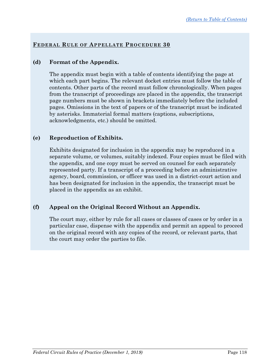#### <span id="page-131-0"></span>**(d) Format of the Appendix.**

The appendix must begin with a table of contents identifying the page at which each part begins. The relevant docket entries must follow the table of contents. Other parts of the record must follow chronologically. When pages from the transcript of proceedings are placed in the appendix, the transcript page numbers must be shown in brackets immediately before the included pages. Omissions in the text of papers or of the transcript must be indicated by asterisks. Immaterial formal matters (captions, subscriptions, acknowledgments, etc.) should be omitted.

#### **(e) Reproduction of Exhibits.**

Exhibits designated for inclusion in the appendix may be reproduced in a separate volume, or volumes, suitably indexed. Four copies must be filed with the appendix, and one copy must be served on counsel for each separately represented party. If a transcript of a proceeding before an administrative agency, board, commission, or officer was used in a district-court action and has been designated for inclusion in the appendix, the transcript must be placed in the appendix as an exhibit.

#### **(f) Appeal on the Original Record Without an Appendix.**

The court may, either by rule for all cases or classes of cases or by order in a particular case, dispense with the appendix and permit an appeal to proceed on the original record with any copies of the record, or relevant parts, that the court may order the parties to file.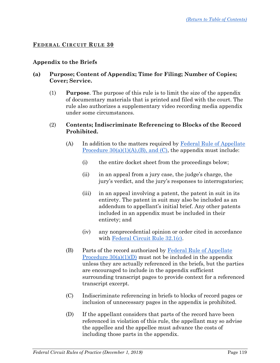#### <span id="page-132-1"></span>**Appendix to the Briefs**

### <span id="page-132-0"></span>**(a) Purpose; Content of Appendix; Time for Filing; Number of Copies; Cover; Service.**

(1) **Purpose***.* The purpose of this rule is to limit the size of the appendix of documentary materials that is printed and filed with the court. The rule also authorizes a supplementary video recording media appendix under some circumstances.

#### (2) **Contents; Indiscriminate Referencing to Blocks of the Record Prohibited.**

- (A) In addition to the matters required by [Federal Rule of Appellate](#page-129-1)  Procedure  $30(a)(1)(A), (B)$ , and  $(C)$ , the appendix must include:
	- (i) the entire docket sheet from the proceedings below;
	- (ii) in an appeal from a jury case, the judge's charge, the jury's verdict, and the jury's responses to interrogatories;
	- (iii) in an appeal involving a patent, the patent in suit in its entirety. The patent in suit may also be included as an addendum to appellant's initial brief. Any other patents included in an appendix must be included in their entirety; and
	- (iv) any nonprecedential opinion or order cited in accordance with [Federal Circuit Rule 32.1\(c\).](#page-154-0)
- (B) Parts of the record authorized by [Federal Rule of Appellate](#page-129-1)  Procedure  $30(a)(1)(D)$  must not be included in the appendix unless they are actually referenced in the briefs, but the parties are encouraged to include in the appendix sufficient surrounding transcript pages to provide context for a referenced transcript excerpt.
- (C) Indiscriminate referencing in briefs to blocks of record pages or inclusion of unnecessary pages in the appendix is prohibited.
- (D) If the appellant considers that parts of the record have been referenced in violation of this rule, the appellant may so advise the appellee and the appellee must advance the costs of including those parts in the appendix.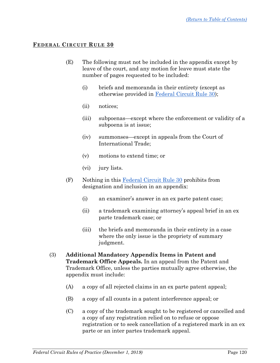- (E) The following must not be included in the appendix except by leave of the court, and any motion for leave must state the number of pages requested to be included:
	- (i) briefs and memoranda in their entirety (except as otherwise provided in [Federal Circuit Rule 30\)](#page-132-1);
	- (ii) notices;
	- (iii) subpoenas—except where the enforcement or validity of a subpoena is at issue;
	- (iv) summonses—except in appeals from the Court of International Trade;
	- (v) motions to extend time; or
	- (vi) jury lists.
- (F) Nothing in this [Federal Circuit Rule 30](#page-132-1) prohibits from designation and inclusion in an appendix:
	- (i) an examiner's answer in an ex parte patent case;
	- (ii) a trademark examining attorney's appeal brief in an ex parte trademark case; or
	- (iii) the briefs and memoranda in their entirety in a case where the only issue is the propriety of summary judgment.
- (3) **Additional Mandatory Appendix Items in Patent and Trademark Office Appeals.** In an appeal from the Patent and Trademark Office, unless the parties mutually agree otherwise, the appendix must include:
	- (A) a copy of all rejected claims in an ex parte patent appeal;
	- (B) a copy of all counts in a patent interference appeal; or
	- (C) a copy of the trademark sought to be registered or cancelled and a copy of any registration relied on to refuse or oppose registration or to seek cancellation of a registered mark in an ex parte or an inter partes trademark appeal.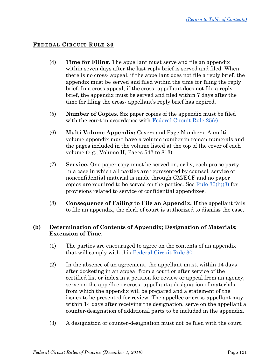- (4) **Time for Filing.** The appellant must serve and file an appendix within seven days after the last reply brief is served and filed. When there is no cross- appeal, if the appellant does not file a reply brief, the appendix must be served and filed within the time for filing the reply brief. In a cross appeal, if the cross- appellant does not file a reply brief, the appendix must be served and filed within 7 days after the time for filing the cross- appellant's reply brief has expired.
- (5) **Number of Copies.** Six paper copies of the appendix must be filed with the court in accordance with [Federal Circuit Rule 25\(c\).](#page-85-0)
- (6) **Multi-Volume Appendix:** Covers and Page Numbers. A multivolume appendix must have a volume number in roman numerals and the pages included in the volume listed at the top of the cover of each volume (e.g., Volume II, Pages 542 to 813).
- (7) **Service.** One paper copy must be served on, or by, each pro se party. In a case in which all parties are represented by counsel, service of nonconfidential material is made through CM/ECF and no paper copies are required to be served on the parties. See Rule  $30(h)(3)$  for provisions related to service of confidential appendixes.
- (8) **Consequence of Failing to File an Appendix.** If the appellant fails to file an appendix, the clerk of court is authorized to dismiss the case.

## <span id="page-134-0"></span>**(b) Determination of Contents of Appendix; Designation of Materials; Extension of Time.**

- (1) The parties are encouraged to agree on the contents of an appendix that will comply with this [Federal Circuit Rule 30.](#page-132-1)
- (2) In the absence of an agreement, the appellant must, within 14 days after docketing in an appeal from a court or after service of the certified list or index in a petition for review or appeal from an agency, serve on the appellee or cross- appellant a designation of materials from which the appendix will be prepared and a statement of the issues to be presented for review. The appellee or cross-appellant may, within 14 days after receiving the designation, serve on the appellant a counter-designation of additional parts to be included in the appendix.
- (3) A designation or counter-designation must not be filed with the court.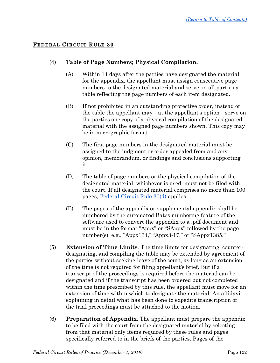### (4) **Table of Page Numbers; Physical Compilation.**

- (A) Within 14 days after the parties have designated the material for the appendix, the appellant must assign consecutive page numbers to the designated material and serve on all parties a table reflecting the page numbers of each item designated.
- (B) If not prohibited in an outstanding protective order, instead of the table the appellant may—at the appellant's option—serve on the parties one copy of a physical compilation of the designated material with the assigned page numbers shown. This copy may be in micrographic format.
- (C) The first page numbers in the designated material must be assigned to the judgment or order appealed from and any opinion, memorandum, or findings and conclusions supporting it.
- (D) The table of page numbers or the physical compilation of the designated material, whichever is used, must not be filed with the court. If all designated material comprises no more than 100 pages, [Federal Circuit Rule 30\(d\)](#page-136-1) applies.
- (E) The pages of the appendix or supplemental appendix shall be numbered by the automated Bates numbering feature of the software used to convert the appendix to a .pdf document and must be in the format "Appx" or "SAppx" followed by the page number(s); e.g., "Appx134," "Appx3-17," or "SAppx1385."
- (5) **Extension of Time Limits**. The time limits for designating, counterdesignating, and compiling the table may be extended by agreement of the parties without seeking leave of the court, as long as an extension of the time is not required for filing appellant's brief. But if a transcript of the proceedings is required before the material can be designated and if the transcript has been ordered but not completed within the time prescribed by this rule, the appellant must move for an extension of time within which to designate the material. An affidavit explaining in detail what has been done to expedite transcription of the trial proceedings must be attached to the motion.
- (6) **Preparation of Appendix.** The appellant must prepare the appendix to be filed with the court from the designated material by selecting from that material only items required by these rules and pages specifically referred to in the briefs of the parties. Pages of the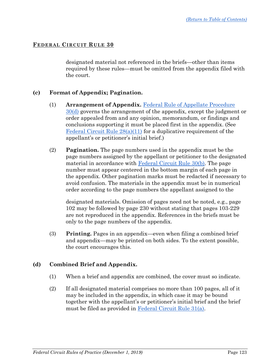designated material not referenced in the briefs—other than items required by these rules—must be omitted from the appendix filed with the court.

## <span id="page-136-0"></span>**(c) Format of Appendix; Pagination.**

- (1) **Arrangement of Appendix.** [Federal Rule of Appellate Procedure](#page-131-0)  [30\(d\)](#page-131-0) governs the arrangement of the appendix, except the judgment or order appealed from and any opinion, memorandum, or findings and conclusions supporting it must be placed first in the appendix. (See [Federal Circuit Rule 28\(a\)\(11\)](#page-113-0) for a duplicative requirement of the appellant's or petitioner's initial brief.)
- (2) **Pagination.** The page numbers used in the appendix must be the page numbers assigned by the appellant or petitioner to the designated material in accordance with [Federal Circuit Rule 30\(b\).](#page-134-0) The page number must appear centered in the bottom margin of each page in the appendix. Other pagination marks must be redacted if necessary to avoid confusion. The materials in the appendix must be in numerical order according to the page numbers the appellant assigned to the

designated materials. Omission of pages need not be noted, e.g., page 102 may be followed by page 230 without stating that pages 103-229 are not reproduced in the appendix. References in the briefs must be only to the page numbers of the appendix.

(3) **Printing.** Pages in an appendix—even when filing a combined brief and appendix—may be printed on both sides. To the extent possible, the court encourages this.

# <span id="page-136-1"></span>**(d) Combined Brief and Appendix.**

- (1) When a brief and appendix are combined, the cover must so indicate.
- (2) If all designated material comprises no more than 100 pages, all of it may be included in the appendix, in which case it may be bound together with the appellant's or petitioner's initial brief and the brief must be filed as provided in [Federal Circuit Rule 31\(a\).](#page-142-0)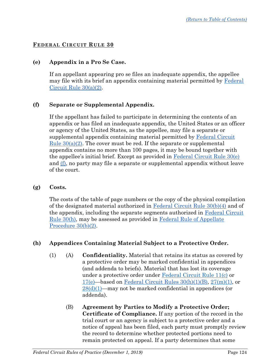### <span id="page-137-1"></span>**(e) Appendix in a Pro Se Case.**

If an appellant appearing pro se files an inadequate appendix, the appellee may file with its brief an appendix containing material permitted by [Federal](#page-132-0)  [Circuit Rule 30\(a\)\(2\).](#page-132-0)

## <span id="page-137-2"></span>**(f) Separate or Supplemental Appendix.**

If the appellant has failed to participate in determining the contents of an appendix or has filed an inadequate appendix, the United States or an officer or agency of the United States, as the appellee, may file a separate or supplemental appendix containing material permitted by [Federal Circuit](#page-132-0)  Rule  $30(a)(2)$ . The cover must be red. If the separate or supplemental appendix contains no more than 100 pages, it may be bound together with the appellee's initial brief. Except as provided in [Federal Circuit Rule 30\(e\)](#page-137-1) and  $(f)$ , no party may file a separate or supplemental appendix without leave of the court.

#### **(g) Costs.**

The costs of the table of page numbers or the copy of the physical compilation of the designated material authorized in [Federal Circuit Rule 30\(b\)\(4\)](#page-134-0) and of the appendix, including the separate segments authorized in [Federal Circuit](#page-137-0)  [Rule 30\(h\),](#page-137-0) may be assessed as provided in [Federal Rule of Appellate](#page-129-2)  [Procedure 30\(b\)\(2\).](#page-129-2)

#### <span id="page-137-0"></span>**(h) Appendices Containing Material Subject to a Protective Order.**

- (1) (A) **Confidentiality.** Material that retains its status as covered by a protective order may be marked confidential in appendices (and addenda to briefs). Material that has lost its coverage under a protective order under [Federal Circuit Rule 11\(c\)](#page-46-0) or [17\(e\)](#page-64-1)—based on [Federal Circuit Rules 30\(h\)\(1\)\(B\),](#page-137-0) [27\(m\)\(1\),](#page-106-0) or  $28(d)(1)$ —may not be marked confidential in appendices (or addenda).
	- (B) **Agreement by Parties to Modify a Protective Order; Certificate of Compliance.** If any portion of the record in the trial court or an agency is subject to a protective order and a notice of appeal has been filed, each party must promptly review the record to determine whether protected portions need to remain protected on appeal. If a party determines that some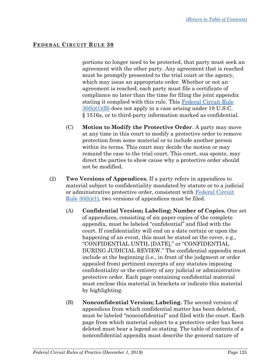portions no longer need to be protected, that party must seek an agreement with the other party. Any agreement that is reached must be promptly presented to the trial court or the agency, which may issue an appropriate order. Whether or not an agreement is reached, each party must file a certificate of compliance no later than the time for filing the joint appendix stating it complied with this rule. This [Federal Circuit Rule](#page-137-0)   $30(h)(1)(B)$  does not apply in a case arising under 19 U.S.C. § 1516a, or to third-party information marked as confidential.

- (C) **Motion to Modify the Protective Order**. A party may move at any time in this court to modify a protective order to remove protection from some material or to include another person within its terms. This court may decide the motion or may remand the case to the trial court. This court, sua sponte, may direct the parties to show cause why a protective order should not be modified.
- (2) **Two Versions of Appendices.** If a party refers in appendices to material subject to confidentiality mandated by statute or to a judicial or administrative protective order, consistent with [Federal Circuit](#page-137-0)  Rule  $30(h)(1)$ , two versions of appendices must be filed.
	- (A) **Confidential Version; Labeling; Number of Copies.** One set of appendices, consisting of six paper copies of the complete appendix, must be labeled "confidential" and filed with the court. If confidentiality will end on a date certain or upon the happening of an event, this must be stated on the cover, e.g., "CONFIDENTIAL UNTIL [DATE]," or "CONFIDENTIAL DURING JUDICIAL REVIEW." The confidential appendix must include at the beginning (i.e., in front of the judgment or order appealed from) pertinent excerpts of any statutes imposing confidentiality or the entirety of any judicial or administrative protective order. Each page containing confidential material must enclose this material in brackets or indicate this material by highlighting.
	- (B) **Nonconfidential Version; Labeling.** The second version of appendices from which confidential matter has been deleted, must be labeled "nonconfidential" and filed with the court. Each page from which material subject to a protective order has been deleted must bear a legend so stating. The table of contents of a nonconfidential appendix must describe the general nature of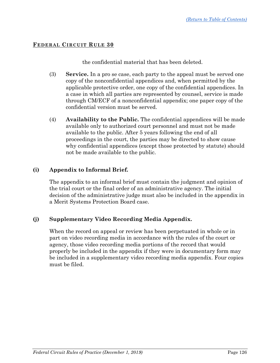the confidential material that has been deleted.

- (3) **Service.** In a pro se case, each party to the appeal must be served one copy of the nonconfidential appendices and, when permitted by the applicable protective order, one copy of the confidential appendices. In a case in which all parties are represented by counsel, service is made through CM/ECF of a nonconfidential appendix; one paper copy of the confidential version must be served.
- (4) **Availability to the Public.** The confidential appendices will be made available only to authorized court personnel and must not be made available to the public. After 5 years following the end of all proceedings in the court, the parties may be directed to show cause why confidential appendices (except those protected by statute) should not be made available to the public.

# **(i) Appendix to Informal Brief.**

The appendix to an informal brief must contain the judgment and opinion of the trial court or the final order of an administrative agency. The initial decision of the administrative judge must also be included in the appendix in a Merit Systems Protection Board case.

# **(j) Supplementary Video Recording Media Appendix.**

When the record on appeal or review has been perpetuated in whole or in part on video recording media in accordance with the rules of the court or agency, those video recording media portions of the record that would properly be included in the appendix if they were in documentary form may be included in a supplementary video recording media appendix. Four copies must be filed.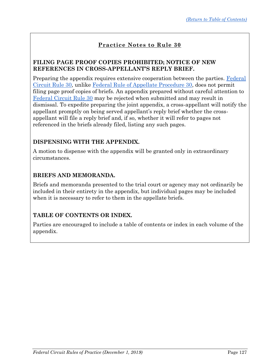# **Practice Notes to Rule 30**

# **FILING PAGE PROOF COPIES PROHIBITED; NOTICE OF NEW REFERENCES IN CROSS-APPELLANT'S REPLY BRIEF.**

Preparing the appendix requires extensive cooperation between the parties. [Federal](#page-132-1)  [Circuit Rule 30,](#page-132-1) unlike [Federal Rule of Appellate Procedure 30,](#page-129-0) does not permit filing page proof copies of briefs. An appendix prepared without careful attention to [Federal Circuit Rule 30](#page-132-1) may be rejected when submitted and may result in dismissal. To expedite preparing the joint appendix, a cross-appellant will notify the appellant promptly on being served appellant's reply brief whether the crossappellant will file a reply brief and, if so, whether it will refer to pages not referenced in the briefs already filed, listing any such pages.

# **DISPENSING WITH THE APPENDIX.**

A motion to dispense with the appendix will be granted only in extraordinary circumstances.

## **BRIEFS AND MEMORANDA.**

Briefs and memoranda presented to the trial court or agency may not ordinarily be included in their entirety in the appendix, but individual pages may be included when it is necessary to refer to them in the appellate briefs.

# **TABLE OF CONTENTS OR INDEX.**

Parties are encouraged to include a table of contents or index in each volume of the appendix.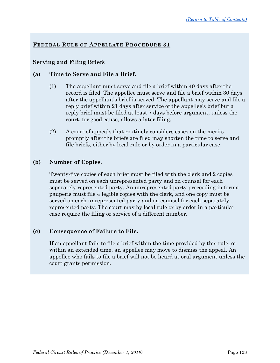### **Serving and Filing Briefs**

#### <span id="page-141-0"></span>**(a) Time to Serve and File a Brief.**

- (1) The appellant must serve and file a brief within 40 days after the record is filed. The appellee must serve and file a brief within 30 days after the appellant's brief is served. The appellant may serve and file a reply brief within 21 days after service of the appellee's brief but a reply brief must be filed at least 7 days before argument, unless the court, for good cause, allows a later filing.
- (2) A court of appeals that routinely considers cases on the merits promptly after the briefs are filed may shorten the time to serve and file briefs, either by local rule or by order in a particular case.

#### **(b) Number of Copies.**

Twenty-five copies of each brief must be filed with the clerk and 2 copies must be served on each unrepresented party and on counsel for each separately represented party. An unrepresented party proceeding in forma pauperis must file 4 legible copies with the clerk, and one copy must be served on each unrepresented party and on counsel for each separately represented party. The court may by local rule or by order in a particular case require the filing or service of a different number.

#### **(c) Consequence of Failure to File.**

If an appellant fails to file a brief within the time provided by this rule, or within an extended time, an appellee may move to dismiss the appeal. An appellee who fails to file a brief will not be heard at oral argument unless the court grants permission.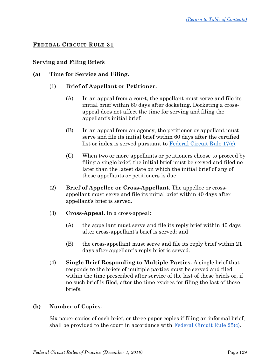# **Serving and Filing Briefs**

### <span id="page-142-0"></span>**(a) Time for Service and Filing.**

## (1) **Brief of Appellant or Petitioner.**

- (A) In an appeal from a court, the appellant must serve and file its initial brief within 60 days after docketing. Docketing a crossappeal does not affect the time for serving and filing the appellant's initial brief.
- (B) In an appeal from an agency, the petitioner or appellant must serve and file its initial brief within 60 days after the certified list or index is served pursuant to [Federal Circuit Rule 17\(c\).](#page-63-0)
- (C) When two or more appellants or petitioners choose to proceed by filing a single brief, the initial brief must be served and filed no later than the latest date on which the initial brief of any of these appellants or petitioners is due.
- (2) **Brief of Appellee or Cross-Appellant**. The appellee or crossappellant must serve and file its initial brief within 40 days after appellant's brief is served.
- (3) **Cross-Appeal.** In a cross-appeal:
	- (A) the appellant must serve and file its reply brief within 40 days after cross-appellant's brief is served; and
	- (B) the cross-appellant must serve and file its reply brief within 21 days after appellant's reply brief is served.
- (4) **Single Brief Responding to Multiple Parties.** A single brief that responds to the briefs of multiple parties must be served and filed within the time prescribed after service of the last of these briefs or, if no such brief is filed, after the time expires for filing the last of these briefs.

# **(b) Number of Copies.**

Six paper copies of each brief, or three paper copies if filing an informal brief, shall be provided to the court in accordance with [Federal Circuit Rule 25\(c\).](#page-85-0)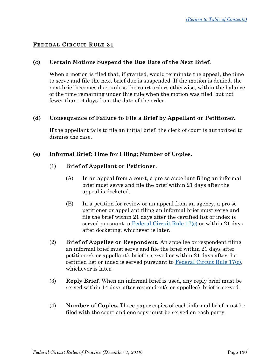#### **(c) Certain Motions Suspend the Due Date of the Next Brief.**

When a motion is filed that, if granted, would terminate the appeal, the time to serve and file the next brief due is suspended. If the motion is denied, the next brief becomes due, unless the court orders otherwise, within the balance of the time remaining under this rule when the motion was filed, but not fewer than 14 days from the date of the order.

#### **(d) Consequence of Failure to File a Brief by Appellant or Petitioner.**

If the appellant fails to file an initial brief, the clerk of court is authorized to dismiss the case.

#### **(e) Informal Brief; Time for Filing; Number of Copies.**

#### (1) **Brief of Appellant or Petitioner.**

- (A) In an appeal from a court, a pro se appellant filing an informal brief must serve and file the brief within 21 days after the appeal is docketed.
- (B) In a petition for review or an appeal from an agency, a pro se petitioner or appellant filing an informal brief must serve and file the brief within 21 days after the certified list or index is served pursuant to [Federal Circuit Rule 17\(c\)](#page-63-0) or within 21 days after docketing, whichever is later.
- (2) **Brief of Appellee or Respondent.** An appellee or respondent filing an informal brief must serve and file the brief within 21 days after petitioner's or appellant's brief is served or within 21 days after the certified list or index is served pursuant to  $Federal$  Circuit Rule  $17(c)$ , whichever is later.
- (3) **Reply Brief.** When an informal brief is used, any reply brief must be served within 14 days after respondent's or appellee's brief is served.
- (4) **Number of Copies.** Three paper copies of each informal brief must be filed with the court and one copy must be served on each party.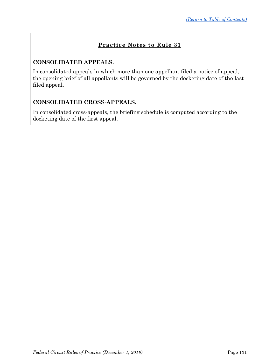# **Practice Notes to Rule 31**

## **CONSOLIDATED APPEALS.**

In consolidated appeals in which more than one appellant filed a notice of appeal, the opening brief of all appellants will be governed by the docketing date of the last filed appeal.

# **CONSOLIDATED CROSS-APPEALS.**

In consolidated cross-appeals, the briefing schedule is computed according to the docketing date of the first appeal.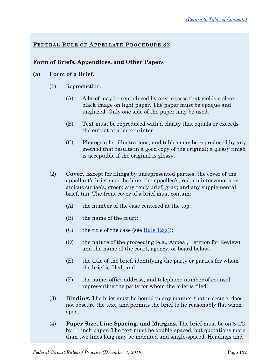## <span id="page-145-1"></span>**Form of Briefs, Appendices, and Other Papers**

## <span id="page-145-0"></span>**(a) Form of a Brief.**

- (1) Reproduction.
	- (A) A brief may be reproduced by any process that yields a clear black image on light paper. The paper must be opaque and unglazed. Only one side of the paper may be used.
	- (B) Text must be reproduced with a clarity that equals or exceeds the output of a laser printer.
	- (C) Photographs, illustrations, and tables may be reproduced by any method that results in a good copy of the original; a glossy finish is acceptable if the original is glossy.
- (2) **Cover.** Except for filings by unrepresented parties, the cover of the appellant's brief must be blue; the appellee's, red; an intervenor's or amicus curiae's, green; any reply brief, gray; and any supplemental brief, tan. The front cover of a brief must contain:
	- (A) the number of the case centered at the top;
	- (B) the name of the court;
	- (C) the title of the case (see Rule  $12(a)$ );
	- (D) the nature of the proceeding (e.g., Appeal, Petition for Review) and the name of the court, agency, or board below;
	- (E) the title of the brief, identifying the party or parties for whom the brief is filed; and
	- (F) the name, office address, and telephone number of counsel representing the party for whom the brief is filed.
- (3) **Binding.** The brief must be bound in any manner that is secure, does not obscure the text, and permits the brief to lie reasonably flat when open.
- (4) **Paper Size, Line Spacing, and Margins.** The brief must be on 8 1/2 by 11 inch paper. The text must be double-spaced, but quotations more than two lines long may be indented and single-spaced. Headings and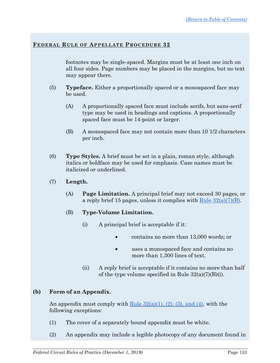footnotes may be single-spaced. Margins must be at least one inch on all four sides. Page numbers may be placed in the margins, but no text may appear there.

- (5) **Typeface.** Either a proportionally spaced or a monospaced face may be used.
	- (A) A proportionally spaced face must include serifs, but sans-serif type may be used in headings and captions. A proportionally spaced face must be 14-point or larger.
	- (B) A monospaced face may not contain more than 10 1/2 characters per inch.
- (6) **Type Styles.** A brief must be set in a plain, roman style, although italics or boldface may be used for emphasis. Case names must be italicized or underlined.
- (7) **Length.**
	- (A) **Page Limitation.** A principal brief may not exceed 30 pages, or a reply brief 15 pages, unless it complies with Rule  $32(a)(7)(B)$ .
	- (B) **Type-Volume Limitation.**
		- (i) A principal brief is acceptable if it:
			- contains no more than 13,000 words; or
			- uses a monospaced face and contains no more than 1,300 lines of text.
		- (ii) A reply brief is acceptable if it contains no more than half of the type volume specified in Rule  $32(a)(7)(B)(i)$ .

# **(b) Form of an Appendix.**

An appendix must comply with Rule  $32(a)(1)$ ,  $(2)$ ,  $(3)$ , and  $(4)$ , with the following exceptions:

- (1) The cover of a separately bound appendix must be white.
- (2) An appendix may include a legible photocopy of any document found in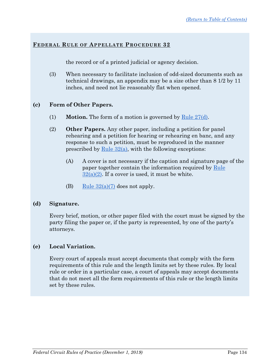the record or of a printed judicial or agency decision.

(3) When necessary to facilitate inclusion of odd-sized documents such as technical drawings, an appendix may be a size other than 8 1/2 by 11 inches, and need not lie reasonably flat when opened.

## **(c) Form of Other Papers.**

- (1) **Motion.** The form of a motion is governed by [Rule 27\(d\).](#page-101-0)
- (2) **Other Papers.** Any other paper, including a petition for panel rehearing and a petition for hearing or rehearing en banc, and any response to such a petition, must be reproduced in the manner prescribed by Rule  $32(a)$ , with the following exceptions:
	- (A) A cover is not necessary if the caption and signature page of the paper together contain the information required by [Rule](#page-145-0)   $32(a)(2)$ . If a cover is used, it must be white.
	- (B) Rule  $32(a)(7)$  does not apply.

## **(d) Signature.**

Every brief, motion, or other paper filed with the court must be signed by the party filing the paper or, if the party is represented, by one of the party's attorneys.

# **(e) Local Variation.**

Every court of appeals must accept documents that comply with the form requirements of this rule and the length limits set by these rules. By local rule or order in a particular case, a court of appeals may accept documents that do not meet all the form requirements of this rule or the length limits set by these rules.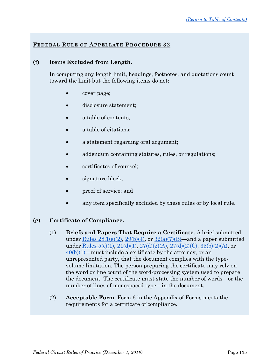## <span id="page-148-0"></span>**(f) Items Excluded from Length.**

In computing any length limit, headings, footnotes, and quotations count toward the limit but the following items do not:

- cover page;
- disclosure statement;
- a table of contents:
- a table of citations;
- a statement regarding oral argument;
- addendum containing statutes, rules, or regulations;
- certificates of counsel;
- signature block;
- proof of service; and
- any item specifically excluded by these rules or by local rule.

## <span id="page-148-1"></span>**(g) Certificate of Compliance.**

- (1) **Briefs and Papers That Require a Certificate**. A brief submitted under Rules  $28.1(e)(2)$ ,  $29(b)(4)$ , or  $32(a)(7)(B)$ —and a paper submitted under Rules  $5(c)(1)$ ,  $21(d)(1)$ ,  $27(d)(2)(A)$ ,  $27(d)(2)(C)$ ,  $35(b)(2)(A)$ , or  $40(b)(1)$ —must include a certificate by the attorney, or an unrepresented party, that the document complies with the typevolume limitation. The person preparing the certificate may rely on the word or line count of the word-processing system used to prepare the document. The certificate must state the number of words—or the number of lines of monospaced type—in the document.
- (2) **Acceptable Form**. Form 6 in the Appendix of Forms meets the requirements for a certificate of compliance.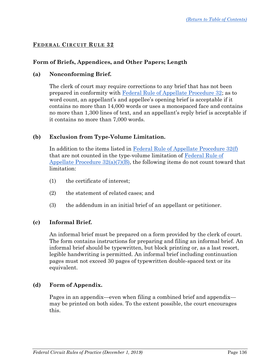## **Form of Briefs, Appendices, and Other Papers; Length**

#### **(a) Nonconforming Brief.**

The clerk of court may require corrections to any brief that has not been prepared in conformity with [Federal Rule of Appellate Procedure 32;](#page-145-1) as to word count, an appellant's and appellee's opening brief is acceptable if it contains no more than 14,000 words or uses a monospaced face and contains no more than 1,300 lines of text, and an appellant's reply brief is acceptable if it contains no more than 7,000 words.

## **(b) Exclusion from Type-Volume Limitation.**

In addition to the items listed in [Federal Rule of Appellate Procedure 32\(f\)](#page-148-0) that are not counted in the type-volume limitation of [Federal Rule of](#page-145-0)  Appellate Procedure  $32(a)(7)(B)$ , the following items do not count toward that limitation:

- (1) the certificate of interest;
- (2) the statement of related cases; and
- (3) the addendum in an initial brief of an appellant or petitioner.

## **(c) Informal Brief.**

An informal brief must be prepared on a form provided by the clerk of court. The form contains instructions for preparing and filing an informal brief. An informal brief should be typewritten, but block printing or, as a last resort, legible handwriting is permitted. An informal brief including continuation pages must not exceed 30 pages of typewritten double-spaced text or its equivalent.

## **(d) Form of Appendix.**

Pages in an appendix—even when filing a combined brief and appendix may be printed on both sides. To the extent possible, the court encourages this.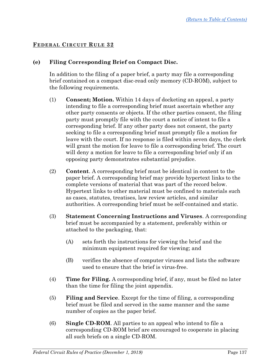## **(e) Filing Corresponding Brief on Compact Disc.**

In addition to the filing of a paper brief, a party may file a corresponding brief contained on a compact disc-read only memory (CD-ROM), subject to the following requirements.

- (1) **Consent; Motion.** Within 14 days of docketing an appeal, a party intending to file a corresponding brief must ascertain whether any other party consents or objects. If the other parties consent, the filing party must promptly file with the court a notice of intent to file a corresponding brief. If any other party does not consent, the party seeking to file a corresponding brief must promptly file a motion for leave with the court. If no response is filed within seven days, the clerk will grant the motion for leave to file a corresponding brief. The court will deny a motion for leave to file a corresponding brief only if an opposing party demonstrates substantial prejudice.
- (2) **Content**. A corresponding brief must be identical in content to the paper brief. A corresponding brief may provide hypertext links to the complete versions of material that was part of the record below. Hypertext links to other material must be confined to materials such as cases, statutes, treatises, law review articles, and similar authorities. A corresponding brief must be self-contained and static.
- (3) **Statement Concerning Instructions and Viruses**. A corresponding brief must be accompanied by a statement, preferably within or attached to the packaging, that:
	- (A) sets forth the instructions for viewing the brief and the minimum equipment required for viewing; and
	- (B) verifies the absence of computer viruses and lists the software used to ensure that the brief is virus-free.
- (4) **Time for Filing.** A corresponding brief, if any, must be filed no later than the time for filing the joint appendix.
- (5) **Filing and Service**. Except for the time of filing, a corresponding brief must be filed and served in the same manner and the same number of copies as the paper brief.
- (6) **Single CD-ROM**. All parties to an appeal who intend to file a corresponding CD-ROM brief are encouraged to cooperate in placing all such briefs on a single CD-ROM.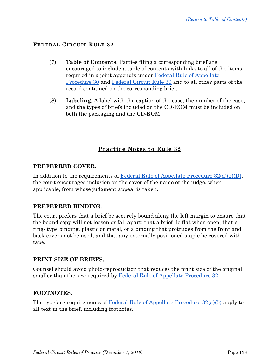- (7) **Table of Contents**. Parties filing a corresponding brief are encouraged to include a table of contents with links to all of the items required in a joint appendix under [Federal Rule of Appellate](#page-129-0)  [Procedure 30](#page-129-0) and [Federal Circuit Rule 30](#page-132-0) and to all other parts of the record contained on the corresponding brief.
- (8) **Labeling**. A label with the caption of the case, the number of the case, and the types of briefs included on the CD-ROM must be included on both the packaging and the CD-ROM.

# **Practice Notes to Rule 32**

## **PREFERRED COVER.**

In addition to the requirements of Federal Rule of Appellate Procedure  $32(a)(2)(D)$ , the court encourages inclusion on the cover of the name of the judge, when applicable, from whose judgment appeal is taken.

# **PREFERRED BINDING.**

The court prefers that a brief be securely bound along the left margin to ensure that the bound copy will not loosen or fall apart; that a brief lie flat when open; that a ring- type binding, plastic or metal, or a binding that protrudes from the front and back covers not be used; and that any externally positioned staple be covered with tape.

## **PRINT SIZE OF BRIEFS.**

Counsel should avoid photo-reproduction that reduces the print size of the original smaller than the size required by [Federal Rule of Appellate Procedure 32.](#page-145-1)

# **FOOTNOTES.**

The typeface requirements of [Federal Rule of Appellate Procedure 32\(a\)\(5\)](#page-145-0) apply to all text in the brief, including footnotes.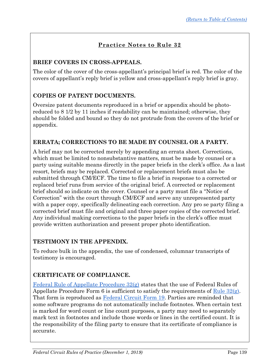# **Practice Notes to Rule 32**

# **BRIEF COVERS IN CROSS-APPEALS.**

The color of the cover of the cross-appellant's principal brief is red. The color of the covers of appellant's reply brief is yellow and cross-appellant's reply brief is gray.

# **COPIES OF PATENT DOCUMENTS.**

Oversize patent documents reproduced in a brief or appendix should be photoreduced to 8 1/2 by 11 inches if readability can be maintained; otherwise, they should be folded and bound so they do not protrude from the covers of the brief or appendix.

# **ERRATA; CORRECTIONS TO BE MADE BY COUNSEL OR A PARTY.**

A brief may not be corrected merely by appending an errata sheet. Corrections, which must be limited to nonsubstantive matters, must be made by counsel or a party using suitable means directly in the paper briefs in the clerk's office. As a last resort, briefs may be replaced. Corrected or replacement briefs must also be submitted through CM/ECF. The time to file a brief in response to a corrected or replaced brief runs from service of the original brief. A corrected or replacement brief should so indicate on the cover. Counsel or a party must file a "Notice of Correction" with the court through CM/ECF and serve any unrepresented party with a paper copy, specifically delineating each correction. Any pro se party filing a corrected brief must file and original and three paper copies of the corrected brief. Any individual making corrections to the paper briefs in the clerk's office must provide written authorization and present proper photo identification.

# **TESTIMONY IN THE APPENDIX.**

To reduce bulk in the appendix, the use of condensed, columnar transcripts of testimony is encouraged.

# **CERTIFICATE OF COMPLIANCE.**

[Federal Rule of Appellate Procedure 32\(g\)](#page-148-1) states that the use of Federal Rules of Appellate Procedure Form 6 is sufficient to satisfy the requirements of Rule  $32(g)$ . That form is reproduced as [Federal Circuit Form 19.](http://www.cafc.uscourts.gov/rules-of-practice/forms) Parties are reminded that some software programs do not automatically include footnotes. When certain text is marked for word count or line count purposes, a party may need to separately mark text in footnotes and include those words or lines in the certified count. It is the responsibility of the filing party to ensure that its certificate of compliance is accurate.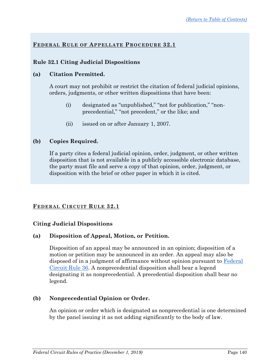## **Rule 32.1 Citing Judicial Dispositions**

#### **(a) Citation Permitted.**

A court may not prohibit or restrict the citation of federal judicial opinions, orders, judgments, or other written dispositions that have been:

- (i) designated as "unpublished," "not for publication," "nonprecedential," "not precedent," or the like; and
- (ii) issued on or after January 1, 2007.

## **(b) Copies Required.**

If a party cites a federal judicial opinion, order, judgment, or other written disposition that is not available in a publicly accessible electronic database, the party must file and serve a copy of that opinion, order, judgment, or disposition with the brief or other paper in which it is cited.

## **FEDERAL CIRCUIT RULE 32.1**

## **Citing Judicial Dispositions**

## **(a) Disposition of Appeal, Motion, or Petition.**

Disposition of an appeal may be announced in an opinion; disposition of a motion or petition may be announced in an order. An appeal may also be disposed of in a judgment of affirmance without opinion pursuant to Federal [Circuit Rule 36.](#page-173-0) A nonprecedential disposition shall bear a legend designating it as nonprecedential. A precedential disposition shall bear no legend.

## **(b) Nonprecedential Opinion or Order.**

An opinion or order which is designated as nonprecedential is one determined by the panel issuing it as not adding significantly to the body of law.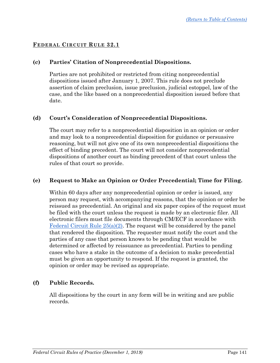#### **(c) Parties' Citation of Nonprecedential Dispositions.**

Parties are not prohibited or restricted from citing nonprecedential dispositions issued after January 1, 2007. This rule does not preclude assertion of claim preclusion, issue preclusion, judicial estoppel, law of the case, and the like based on a nonprecedential disposition issued before that date.

## **(d) Court's Consideration of Nonprecedential Dispositions.**

The court may refer to a nonprecedential disposition in an opinion or order and may look to a nonprecedential disposition for guidance or persuasive reasoning, but will not give one of its own nonprecedential dispositions the effect of binding precedent. The court will not consider nonprecedential dispositions of another court as binding precedent of that court unless the rules of that court so provide.

#### **(e) Request to Make an Opinion or Order Precedential; Time for Filing.**

Within 60 days after any nonprecedential opinion or order is issued, any person may request, with accompanying reasons, that the opinion or order be reissued as precedential. An original and six paper copies of the request must be filed with the court unless the request is made by an electronic filer. All electronic filers must file documents through CM/ECF in accordance with Federal Circuit Rule  $25(a)(2)$ . The request will be considered by the panel that rendered the disposition. The requester must notify the court and the parties of any case that person knows to be pending that would be determined or affected by reissuance as precedential. Parties to pending cases who have a stake in the outcome of a decision to make precedential must be given an opportunity to respond. If the request is granted, the opinion or order may be revised as appropriate.

## **(f) Public Records.**

All dispositions by the court in any form will be in writing and are public records.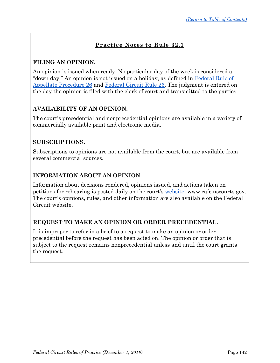# **Practice Notes to Rule 32.1**

# **FILING AN OPINION.**

An opinion is issued when ready. No particular day of the week is considered a "down day." An opinion is not issued on a holiday, as defined in [Federal Rule of](#page-92-0)  [Appellate Procedure 26](#page-92-0) and [Federal Circuit Rule 26.](#page-94-0) The judgment is entered on the day the opinion is filed with the clerk of court and transmitted to the parties.

# **AVAILABILITY OF AN OPINION.**

The court's precedential and nonprecedential opinions are available in a variety of commercially available print and electronic media.

# **SUBSCRIPTIONS.**

Subscriptions to opinions are not available from the court, but are available from several commercial sources.

# **INFORMATION ABOUT AN OPINION.**

Information about decisions rendered, opinions issued, and actions taken on petitions for rehearing is posted daily on the court's [website,](http://www.cafc.uscourts.gov/) www.cafc.uscourts.gov. The court's opinions, rules, and other information are also available on the Federal Circuit website.

# **REQUEST TO MAKE AN OPINION OR ORDER PRECEDENTIAL.**

It is improper to refer in a brief to a request to make an opinion or order precedential before the request has been acted on. The opinion or order that is subject to the request remains nonprecedential unless and until the court grants the request.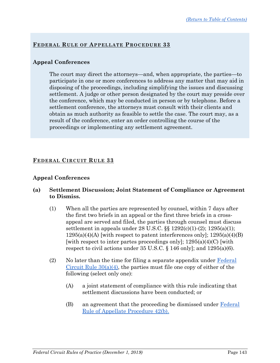## **Appeal Conferences**

The court may direct the attorneys—and, when appropriate, the parties—to participate in one or more conferences to address any matter that may aid in disposing of the proceedings, including simplifying the issues and discussing settlement. A judge or other person designated by the court may preside over the conference, which may be conducted in person or by telephone. Before a settlement conference, the attorneys must consult with their clients and obtain as much authority as feasible to settle the case. The court may, as a result of the conference, enter an order controlling the course of the proceedings or implementing any settlement agreement.

## **FEDERAL CIRCUIT RULE 33**

## **Appeal Conferences**

#### **(a) Settlement Discussion; Joint Statement of Compliance or Agreement to Dismiss.**

- (1) When all the parties are represented by counsel, within 7 days after the first two briefs in an appeal or the first three briefs in a crossappeal are served and filed, the parties through counsel must discuss settlement in appeals under 28 U.S.C. §§ 1292(c)(1)-(2); 1295(a)(1); 1295(a)(4)(A) [with respect to patent interferences only]; 1295(a)(4)(B) [with respect to inter partes proceedings only]; 1295(a)(4)(C) [with respect to civil actions under 35 U.S.C.  $\S$  146 only]; and 1295(a)(6).
- (2) No later than the time for filing a separate appendix under [Federal](#page-132-1)  Circuit Rule  $30(a)(4)$ , the parties must file one copy of either of the following (select only one):
	- (A) a joint statement of compliance with this rule indicating that settlement discussions have been conducted; or
	- $(B)$  an agreement that the proceeding be dismissed under Federal [Rule of Appellate Procedure 42\(b\).](#page-187-0)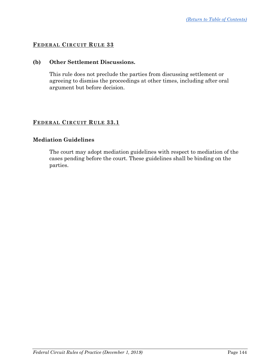#### **(b) Other Settlement Discussions.**

This rule does not preclude the parties from discussing settlement or agreeing to dismiss the proceedings at other times, including after oral argument but before decision.

## **FEDERAL CIRCUIT RULE 33.1**

## **Mediation Guidelines**

The court may adopt mediation guidelines with respect to mediation of the cases pending before the court. These guidelines shall be binding on the parties.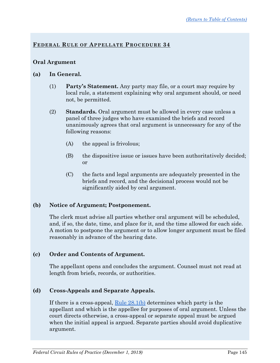# **Oral Argument**

## **(a) In General.**

- (1) **Party's Statement.** Any party may file, or a court may require by local rule, a statement explaining why oral argument should, or need not, be permitted.
- (2) **Standards.** Oral argument must be allowed in every case unless a panel of three judges who have examined the briefs and record unanimously agrees that oral argument is unnecessary for any of the following reasons:
	- (A) the appeal is frivolous;
	- (B) the dispositive issue or issues have been authoritatively decided; or
	- (C) the facts and legal arguments are adequately presented in the briefs and record, and the decisional process would not be significantly aided by oral argument.

## **(b) Notice of Argument; Postponement.**

The clerk must advise all parties whether oral argument will be scheduled, and, if so, the date, time, and place for it, and the time allowed for each side. A motion to postpone the argument or to allow longer argument must be filed reasonably in advance of the hearing date.

## **(c) Order and Contents of Argument.**

The appellant opens and concludes the argument. Counsel must not read at length from briefs, records, or authorities.

# **(d) Cross-Appeals and Separate Appeals.**

If there is a cross-appeal,  $Rule 28.1(b)$  determines which party is the appellant and which is the appellee for purposes of oral argument. Unless the court directs otherwise, a cross-appeal or separate appeal must be argued when the initial appeal is argued. Separate parties should avoid duplicative argument.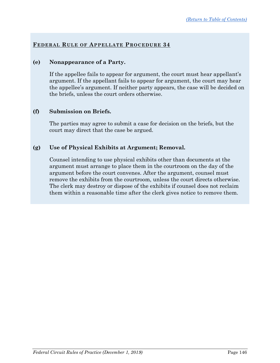#### **(e) Nonappearance of a Party.**

If the appellee fails to appear for argument, the court must hear appellant's argument. If the appellant fails to appear for argument, the court may hear the appellee's argument. If neither party appears, the case will be decided on the briefs, unless the court orders otherwise.

## **(f) Submission on Briefs.**

The parties may agree to submit a case for decision on the briefs, but the court may direct that the case be argued.

## **(g) Use of Physical Exhibits at Argument; Removal.**

Counsel intending to use physical exhibits other than documents at the argument must arrange to place them in the courtroom on the day of the argument before the court convenes. After the argument, counsel must remove the exhibits from the courtroom, unless the court directs otherwise. The clerk may destroy or dispose of the exhibits if counsel does not reclaim them within a reasonable time after the clerk gives notice to remove them.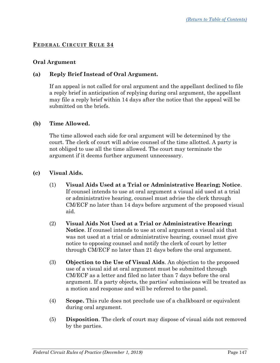## **Oral Argument**

## **(a) Reply Brief Instead of Oral Argument.**

If an appeal is not called for oral argument and the appellant declined to file a reply brief in anticipation of replying during oral argument, the appellant may file a reply brief within 14 days after the notice that the appeal will be submitted on the briefs.

## **(b) Time Allowed.**

The time allowed each side for oral argument will be determined by the court. The clerk of court will advise counsel of the time allotted. A party is not obliged to use all the time allowed. The court may terminate the argument if it deems further argument unnecessary.

## **(c) Visual Aids.**

- (1) **Visual Aids Used at a Trial or Administrative Hearing; Notice**. If counsel intends to use at oral argument a visual aid used at a trial or administrative hearing, counsel must advise the clerk through CM/ECF no later than 14 days before argument of the proposed visual aid.
- (2) **Visual Aids Not Used at a Trial or Administrative Hearing; Notice**. If counsel intends to use at oral argument a visual aid that was not used at a trial or administrative hearing, counsel must give notice to opposing counsel and notify the clerk of court by letter through CM/ECF no later than 21 days before the oral argument.
- (3) **Objection to the Use of Visual Aids**. An objection to the proposed use of a visual aid at oral argument must be submitted through CM/ECF as a letter and filed no later than 7 days before the oral argument. If a party objects, the parties' submissions will be treated as a motion and response and will be referred to the panel.
- (4) **Scope.** This rule does not preclude use of a chalkboard or equivalent during oral argument.
- (5) **Disposition**. The clerk of court may dispose of visual aids not removed by the parties.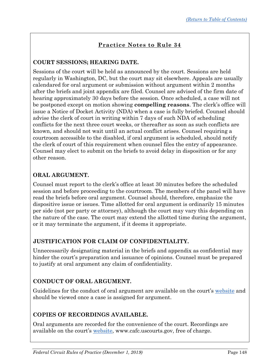# **Practice Notes to Rule 34**

## **COURT SESSIONS; HEARING DATE.**

Sessions of the court will be held as announced by the court. Sessions are held regularly in Washington, DC, but the court may sit elsewhere. Appeals are usually calendared for oral argument or submission without argument within 2 months after the briefs and joint appendix are filed. Counsel are advised of the firm date of hearing approximately 30 days before the session. Once scheduled, a case will not be postponed except on motion showing **compelling reasons**. The clerk's office will issue a Notice of Docket Activity (NDA) when a case is fully briefed. Counsel should advise the clerk of court in writing within 7 days of such NDA of scheduling conflicts for the next three court weeks, or thereafter as soon as such conflicts are known, and should not wait until an actual conflict arises. Counsel requiring a courtroom accessible to the disabled, if oral argument is scheduled, should notify the clerk of court of this requirement when counsel files the entry of appearance. Counsel may elect to submit on the briefs to avoid delay in disposition or for any other reason.

# **ORAL ARGUMENT.**

Counsel must report to the clerk's office at least 30 minutes before the scheduled session and before proceeding to the courtroom. The members of the panel will have read the briefs before oral argument. Counsel should, therefore, emphasize the dispositive issue or issues. Time allotted for oral argument is ordinarily 15 minutes per side (not per party or attorney), although the court may vary this depending on the nature of the case. The court may extend the allotted time during the argument, or it may terminate the argument, if it deems it appropriate.

# **JUSTIFICATION FOR CLAIM OF CONFIDENTIALITY.**

Unnecessarily designating material in the briefs and appendix as confidential may hinder the court's preparation and issuance of opinions. Counsel must be prepared to justify at oral argument any claim of confidentiality.

# **CONDUCT OF ORAL ARGUMENT.**

Guidelines for the conduct of oral argument are available on the court's [website](http://www.cafc.uscourts.gov/) and should be viewed once a case is assigned for argument.

# **COPIES OF RECORDINGS AVAILABLE.**

Oral arguments are recorded for the convenience of the court. Recordings are available on the court's [website,](http://www.cafc.uscourts.gov/) www.cafc.uscourts.gov, free of charge.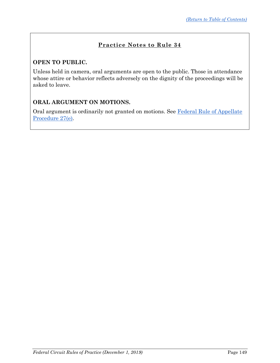# **Practice Notes to Rule 34**

# **OPEN TO PUBLIC.**

Unless held in camera, oral arguments are open to the public. Those in attendance whose attire or behavior reflects adversely on the dignity of the proceedings will be asked to leave.

# **ORAL ARGUMENT ON MOTIONS.**

Oral argument is ordinarily not granted on motions. See [Federal Rule of Appellate](#page-102-0)  [Procedure 27\(e\).](#page-102-0)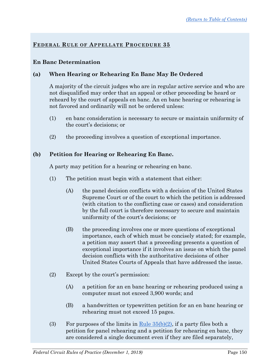#### **En Banc Determination**

## <span id="page-163-1"></span>**(a) When Hearing or Rehearing En Banc May Be Ordered**

A majority of the circuit judges who are in regular active service and who are not disqualified may order that an appeal or other proceeding be heard or reheard by the court of appeals en banc. An en banc hearing or rehearing is not favored and ordinarily will not be ordered unless:

- (1) en banc consideration is necessary to secure or maintain uniformity of the court's decisions; or
- (2) the proceeding involves a question of exceptional importance.

## <span id="page-163-0"></span>**(b) Petition for Hearing or Rehearing En Banc.**

A party may petition for a hearing or rehearing en banc.

- (1) The petition must begin with a statement that either:
	- (A) the panel decision conflicts with a decision of the United States Supreme Court or of the court to which the petition is addressed (with citation to the conflicting case or cases) and consideration by the full court is therefore necessary to secure and maintain uniformity of the court's decisions; or
	- (B) the proceeding involves one or more questions of exceptional importance, each of which must be concisely stated; for example, a petition may assert that a proceeding presents a question of exceptional importance if it involves an issue on which the panel decision conflicts with the authoritative decisions of other United States Courts of Appeals that have addressed the issue.
- (2) Except by the court's permission:
	- (A) a petition for an en banc hearing or rehearing produced using a computer must not exceed 3,900 words; and
	- (B) a handwritten or typewritten petition for an en banc hearing or rehearing must not exceed 15 pages.
- (3) For purposes of the limits in <u>Rule  $35(b)(2)$ </u>, if a party files both a petition for panel rehearing and a petition for rehearing en banc, they are considered a single document even if they are filed separately,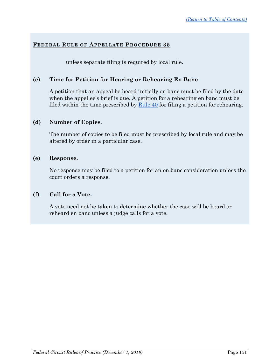unless separate filing is required by local rule.

## **(c) Time for Petition for Hearing or Rehearing En Banc**

A petition that an appeal be heard initially en banc must be filed by the date when the appellee's brief is due. A petition for a rehearing en banc must be filed within the time prescribed by  $Rule 40$  for filing a petition for rehearing.</u>

#### **(d) Number of Copies.**

The number of copies to be filed must be prescribed by local rule and may be altered by order in a particular case.

#### **(e) Response.**

No response may be filed to a petition for an en banc consideration unless the court orders a response.

## **(f) Call for a Vote.**

A vote need not be taken to determine whether the case will be heard or reheard en banc unless a judge calls for a vote.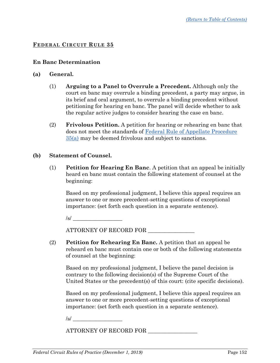#### **En Banc Determination**

#### **(a) General.**

- (1) **Arguing to a Panel to Overrule a Precedent.** Although only the court en banc may overrule a binding precedent, a party may argue, in its brief and oral argument, to overrule a binding precedent without petitioning for hearing en banc. The panel will decide whether to ask the regular active judges to consider hearing the case en banc.
- (2) **Frivolous Petition.** A petition for hearing or rehearing en banc that does not meet the standards of [Federal Rule of Appellate Procedure](#page-163-1)  [35\(a\)](#page-163-1) may be deemed frivolous and subject to sanctions.

#### <span id="page-165-0"></span>**(b) Statement of Counsel.**

(1) **Petition for Hearing En Banc**. A petition that an appeal be initially heard en banc must contain the following statement of counsel at the beginning:

Based on my professional judgment, I believe this appeal requires an answer to one or more precedent-setting questions of exceptional importance: (set forth each question in a separate sentence).

 $\sqrt{s}$ /

ATTORNEY OF RECORD FOR \_\_\_\_\_\_\_\_\_\_\_\_\_\_\_\_\_

(2) **Petition for Rehearing En Banc.** A petition that an appeal be reheard en banc must contain one or both of the following statements of counsel at the beginning:

Based on my professional judgment, I believe the panel decision is contrary to the following decision(s) of the Supreme Court of the United States or the precedent(s) of this court: (cite specific decisions).

Based on my professional judgment, I believe this appeal requires an answer to one or more precedent-setting questions of exceptional importance: (set forth each question in a separate sentence).

 $\sqrt{s}$ /

ATTORNEY OF RECORD FOR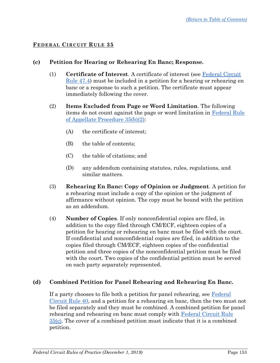## <span id="page-166-0"></span>**(c) Petition for Hearing or Rehearing En Banc; Response.**

- (1) **Certificate of Interest**. A certificate of interest (see [Federal Circuit](#page-202-0)  [Rule 47.4\)](#page-202-0) must be included in a petition for a hearing or rehearing en banc or a response to such a petition. The certificate must appear immediately following the cover.
- (2) **Items Excluded from Page or Word Limitation**. The following items do not count against the page or word limitation in Federal Rule [of Appellate Procedure 35\(b\)\(2\):](#page-163-0)
	- (A) the certificate of interest;
	- (B) the table of contents;
	- (C) the table of citations; and
	- (D) any addendum containing statutes, rules, regulations, and similar matters.
- (3) **Rehearing En Banc: Copy of Opinion or Judgment**. A petition for a rehearing must include a copy of the opinion or the judgment of affirmance without opinion. The copy must be bound with the petition as an addendum.
- (4) **Number of Copies**. If only nonconfidential copies are filed, in addition to the copy filed through CM/ECF, eighteen copies of a petition for hearing or rehearing en banc must be filed with the court. If confidential and nonconfidential copies are filed, in addition to the copies filed through CM/ECF, eighteen copies of the confidential petition and three copies of the nonconfidential petition must be filed with the court. Two copies of the confidential petition must be served on each party separately represented.

## **(d) Combined Petition for Panel Rehearing and Rehearing En Banc.**

If a party chooses to file both a petition for panel rehearing, see Federal [Circuit Rule 40,](#page-181-1) and a petition for a rehearing en banc, then the two must not be filed separately and they must be combined. A combined petition for panel rehearing and rehearing en banc must comply with [Federal Circuit Rule](#page-166-0)  [35\(c\).](#page-166-0) The cover of a combined petition must indicate that it is a combined petition.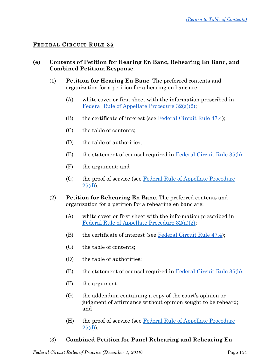#### **(e) Contents of Petition for Hearing En Banc, Rehearing En Banc, and Combined Petition; Response.**

- (1) **Petition for Hearing En Banc**. The preferred contents and organization for a petition for a hearing en banc are:
	- (A) white cover or first sheet with the information prescribed in [Federal Rule of Appellate Procedure 32\(a\)\(2\);](#page-145-0)
	- (B) the certificate of interest (see [Federal Circuit Rule 47.4\)](#page-202-0);
	- (C) the table of contents;
	- (D) the table of authorities;
	- (E) the statement of counsel required in [Federal Circuit Rule 35\(b\);](#page-165-0)
	- (F) the argument; and
	- (G) the proof of service (see [Federal Rule of Appellate Procedure](#page-83-0)   $25(d)$ ).
- (2) **Petition for Rehearing En Banc**. The preferred contents and organization for a petition for a rehearing en banc are:
	- (A) white cover or first sheet with the information prescribed in [Federal Rule of Appellate Procedure 32\(a\)\(2\);](#page-145-0)
	- (B) the certificate of interest (see [Federal Circuit Rule 47.4\)](#page-202-0);
	- (C) the table of contents;
	- (D) the table of authorities;
	- (E) the statement of counsel required in Federal Circuit Rule  $35(b)$ ;
	- (F) the argument;
	- (G) the addendum containing a copy of the court's opinion or judgment of affirmance without opinion sought to be reheard; and
	- (H) the proof of service (see [Federal Rule of Appellate Procedure](#page-83-0)   $25(d)$ ).

## (3) **Combined Petition for Panel Rehearing and Rehearing En**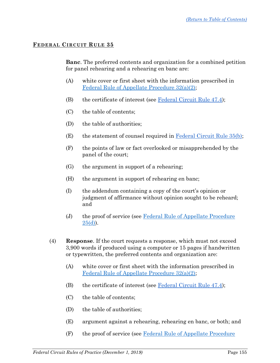**Banc**. The preferred contents and organization for a combined petition for panel rehearing and a rehearing en banc are:

- (A) white cover or first sheet with the information prescribed in [Federal Rule of Appellate Procedure 32\(a\)\(2\);](#page-145-0)
- (B) the certificate of interest (see [Federal Circuit Rule 47.4\)](#page-202-0);
- (C) the table of contents;
- (D) the table of authorities;
- (E) the statement of counsel required in [Federal Circuit Rule 35\(b\);](#page-165-0)
- (F) the points of law or fact overlooked or misapprehended by the panel of the court;
- (G) the argument in support of a rehearing;
- (H) the argument in support of rehearing en banc;
- (I) the addendum containing a copy of the court's opinion or judgment of affirmance without opinion sought to be reheard; and
- (J) the proof of service (see [Federal Rule of Appellate Procedure](#page-83-0)   $25(d)$ ).
- (4) **Response**. If the court requests a response, which must not exceed 3,900 words if produced using a computer or 15 pages if handwritten or typewritten, the preferred contents and organization are:
	- (A) white cover or first sheet with the information prescribed in [Federal Rule of Appellate Procedure 32\(a\)\(2\);](#page-145-0)
	- (B) the certificate of interest (see [Federal Circuit Rule 47.4\)](#page-202-0);
	- (C) the table of contents;
	- (D) the table of authorities;
	- (E) argument against a rehearing, rehearing en banc, or both; and
	- (F) the proof of service (see [Federal Rule of Appellate Procedure](#page-83-0)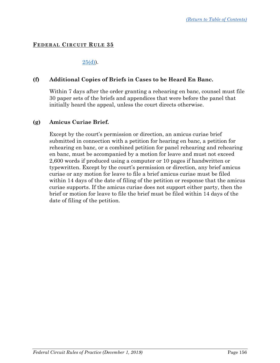#### $25(d)$ ).

## **(f) Additional Copies of Briefs in Cases to be Heard En Banc.**

Within 7 days after the order granting a rehearing en banc, counsel must file 30 paper sets of the briefs and appendices that were before the panel that initially heard the appeal, unless the court directs otherwise.

## **(g) Amicus Curiae Brief.**

Except by the court's permission or direction, an amicus curiae brief submitted in connection with a petition for hearing en banc, a petition for rehearing en banc, or a combined petition for panel rehearing and rehearing en banc, must be accompanied by a motion for leave and must not exceed 2,600 words if produced using a computer or 10 pages if handwritten or typewritten. Except by the court's permission or direction, any brief amicus curiae or any motion for leave to file a brief amicus curiae must be filed within 14 days of the date of filing of the petition or response that the amicus curiae supports. If the amicus curiae does not support either party, then the brief or motion for leave to file the brief must be filed within 14 days of the date of filing of the petition.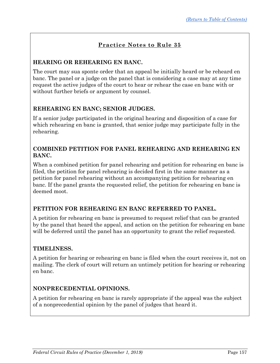# **Practice Notes to Rule 35**

## **HEARING OR REHEARING EN BANC.**

The court may sua sponte order that an appeal be initially heard or be reheard en banc. The panel or a judge on the panel that is considering a case may at any time request the active judges of the court to hear or rehear the case en banc with or without further briefs or argument by counsel.

# **REHEARING EN BANC; SENIOR JUDGES.**

If a senior judge participated in the original hearing and disposition of a case for which rehearing en banc is granted, that senior judge may participate fully in the rehearing.

## **COMBINED PETITION FOR PANEL REHEARING AND REHEARING EN BANC.**

When a combined petition for panel rehearing and petition for rehearing en banc is filed, the petition for panel rehearing is decided first in the same manner as a petition for panel rehearing without an accompanying petition for rehearing en banc. If the panel grants the requested relief, the petition for rehearing en banc is deemed moot.

# **PETITION FOR REHEARING EN BANC REFERRED TO PANEL.**

A petition for rehearing en banc is presumed to request relief that can be granted by the panel that heard the appeal, and action on the petition for rehearing en banc will be deferred until the panel has an opportunity to grant the relief requested.

# **TIMELINESS.**

A petition for hearing or rehearing en banc is filed when the court receives it, not on mailing. The clerk of court will return an untimely petition for hearing or rehearing en banc.

# **NONPRECEDENTIAL OPINIONS.**

A petition for rehearing en banc is rarely appropriate if the appeal was the subject of a nonprecedential opinion by the panel of judges that heard it.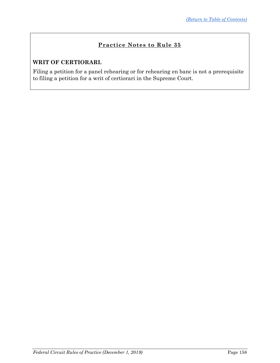# **Practice Notes to Rule 35**

## **WRIT OF CERTIORARI.**

Filing a petition for a panel rehearing or for rehearing en banc is not a prerequisite to filing a petition for a writ of certiorari in the Supreme Court.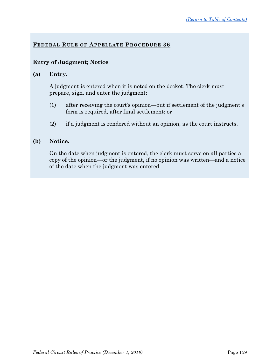## **Entry of Judgment; Notice**

#### **(a) Entry.**

A judgment is entered when it is noted on the docket. The clerk must prepare, sign, and enter the judgment:

- (1) after receiving the court's opinion—but if settlement of the judgment's form is required, after final settlement; or
- (2) if a judgment is rendered without an opinion, as the court instructs.

#### **(b) Notice.**

On the date when judgment is entered, the clerk must serve on all parties a copy of the opinion—or the judgment, if no opinion was written—and a notice of the date when the judgment was entered.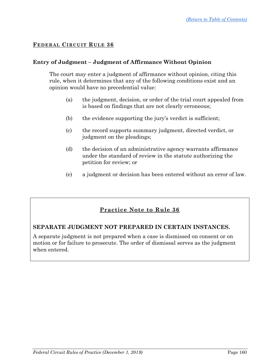#### <span id="page-173-0"></span>**Entry of Judgment – Judgment of Affirmance Without Opinion**

The court may enter a judgment of affirmance without opinion, citing this rule, when it determines that any of the following conditions exist and an opinion would have no precedential value:

- (a) the judgment, decision, or order of the trial court appealed from is based on findings that are not clearly erroneous;
- (b) the evidence supporting the jury's verdict is sufficient;
- (c) the record supports summary judgment, directed verdict, or judgment on the pleadings;
- (d) the decision of an administrative agency warrants affirmance under the standard of review in the statute authorizing the petition for review; or
- (e) a judgment or decision has been entered without an error of law.

# **Practice Note to Rule 36**

## **SEPARATE JUDGMENT NOT PREPARED IN CERTAIN INSTANCES.**

A separate judgment is not prepared when a case is dismissed on consent or on motion or for failure to prosecute. The order of dismissal serves as the judgment when entered.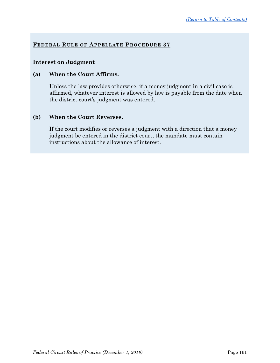## **Interest on Judgment**

## **(a) When the Court Affirms.**

Unless the law provides otherwise, if a money judgment in a civil case is affirmed, whatever interest is allowed by law is payable from the date when the district court's judgment was entered.

## **(b) When the Court Reverses.**

If the court modifies or reverses a judgment with a direction that a money judgment be entered in the district court, the mandate must contain instructions about the allowance of interest.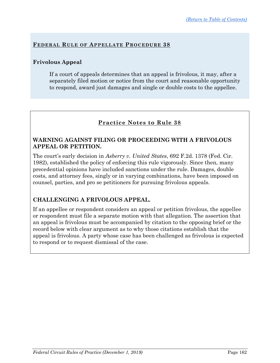# **Frivolous Appeal**

If a court of appeals determines that an appeal is frivolous, it may, after a separately filed motion or notice from the court and reasonable opportunity to respond, award just damages and single or double costs to the appellee.

# **Practice Notes to Rule 38**

## **WARNING AGAINST FILING OR PROCEEDING WITH A FRIVOLOUS APPEAL OR PETITION.**

The court's early decision in *Asberry v. United States*, 692 F.2d. 1378 (Fed. Cir. 1982), established the policy of enforcing this rule vigorously. Since then, many precedential opinions have included sanctions under the rule. Damages, double costs, and attorney fees, singly or in varying combinations, have been imposed on counsel, parties, and pro se petitioners for pursuing frivolous appeals.

# **CHALLENGING A FRIVOLOUS APPEAL.**

If an appellee or respondent considers an appeal or petition frivolous, the appellee or respondent must file a separate motion with that allegation. The assertion that an appeal is frivolous must be accompanied by citation to the opposing brief or the record below with clear argument as to why those citations establish that the appeal is frivolous. A party whose case has been challenged as frivolous is expected to respond or to request dismissal of the case.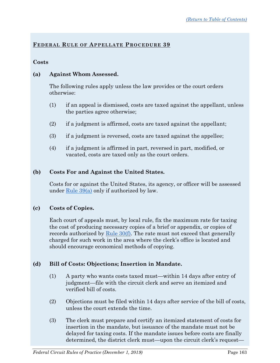# **Costs**

# <span id="page-176-0"></span>**(a) Against Whom Assessed.**

The following rules apply unless the law provides or the court orders otherwise:

- (1) if an appeal is dismissed, costs are taxed against the appellant, unless the parties agree otherwise;
- (2) if a judgment is affirmed, costs are taxed against the appellant;
- (3) if a judgment is reversed, costs are taxed against the appellee;
- (4) if a judgment is affirmed in part, reversed in part, modified, or vacated, costs are taxed only as the court orders.

# **(b) Costs For and Against the United States.**

Costs for or against the United States, its agency, or officer will be assessed under [Rule 39\(a\)](#page-176-0) only if authorized by law.

# **(c) Costs of Copies.**

Each court of appeals must, by local rule, fix the maximum rate for taxing the cost of producing necessary copies of a brief or appendix, or copies of records authorized by Rule  $30(f)$ . The rate must not exceed that generally charged for such work in the area where the clerk's office is located and should encourage economical methods of copying.

# **(d) Bill of Costs: Objections; Insertion in Mandate.**

- (1) A party who wants costs taxed must—within 14 days after entry of judgment—file with the circuit clerk and serve an itemized and verified bill of costs.
- (2) Objections must be filed within 14 days after service of the bill of costs, unless the court extends the time.
- (3) The clerk must prepare and certify an itemized statement of costs for insertion in the mandate, but issuance of the mandate must not be delayed for taxing costs. If the mandate issues before costs are finally determined, the district clerk must—upon the circuit clerk's request—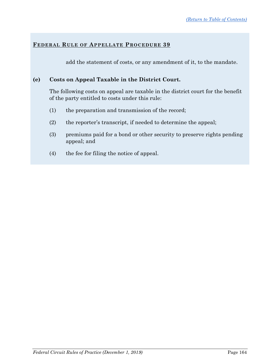add the statement of costs, or any amendment of it, to the mandate.

#### **(e) Costs on Appeal Taxable in the District Court.**

The following costs on appeal are taxable in the district court for the benefit of the party entitled to costs under this rule:

- (1) the preparation and transmission of the record;
- (2) the reporter's transcript, if needed to determine the appeal;
- (3) premiums paid for a bond or other security to preserve rights pending appeal; and
- (4) the fee for filing the notice of appeal.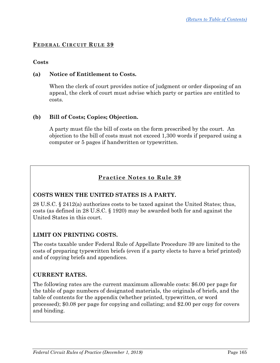#### **Costs**

## **(a) Notice of Entitlement to Costs.**

When the clerk of court provides notice of judgment or order disposing of an appeal, the clerk of court must advise which party or parties are entitled to costs.

## **(b) Bill of Costs; Copies; Objection.**

A party must file the bill of costs on the form prescribed by the court. An objection to the bill of costs must not exceed 1,300 words if prepared using a computer or 5 pages if handwritten or typewritten.

# **Practice Notes to Rule 39**

# **COSTS WHEN THE UNITED STATES IS A PARTY.**

28 U.S.C. § 2412(a) authorizes costs to be taxed against the United States; thus, costs (as defined in 28 U.S.C. § 1920) may be awarded both for and against the United States in this court.

# **LIMIT ON PRINTING COSTS.**

The costs taxable under Federal Rule of Appellate Procedure 39 are limited to the costs of preparing typewritten briefs (even if a party elects to have a brief printed) and of copying briefs and appendices.

# **CURRENT RATES.**

The following rates are the current maximum allowable costs: \$6.00 per page for the table of page numbers of designated materials, the originals of briefs, and the table of contents for the appendix (whether printed, typewritten, or word processed); \$0.08 per page for copying and collating; and \$2.00 per copy for covers and binding.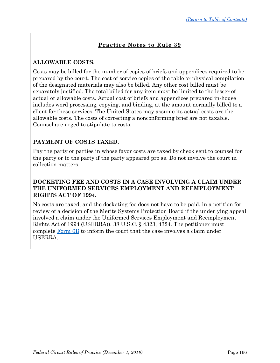# **Practice Notes to Rule 39**

# **ALLOWABLE COSTS.**

Costs may be billed for the number of copies of briefs and appendices required to be prepared by the court. The cost of service copies of the table or physical compilation of the designated materials may also be billed. Any other cost billed must be separately justified. The total billed for any item must be limited to the lesser of actual or allowable costs. Actual cost of briefs and appendices prepared in-house includes word processing, copying, and binding, at the amount normally billed to a client for these services. The United States may assume its actual costs are the allowable costs. The costs of correcting a nonconforming brief are not taxable. Counsel are urged to stipulate to costs.

# **PAYMENT OF COSTS TAXED.**

Pay the party or parties in whose favor costs are taxed by check sent to counsel for the party or to the party if the party appeared pro se. Do not involve the court in collection matters.

## **DOCKETING FEE AND COSTS IN A CASE INVOLVING A CLAIM UNDER THE UNIFORMED SERVICES EMPLOYMENT AND REEMPLOYMENT RIGHTS ACT OF 1994.**

No costs are taxed, and the docketing fee does not have to be paid, in a petition for review of a decision of the Merits Systems Protection Board if the underlying appeal involved a claim under the Uniformed Services Employment and Reemployment Rights Act of 1994 (USERRA)). 38 U.S.C. § 4323, 4324. The petitioner must complete [Form 6B](http://www.cafc.uscourts.gov/rules-of-practice/forms) to inform the court that the case involves a claim under USERRA.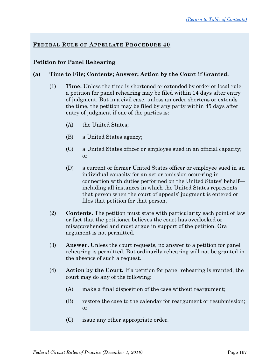### **Petition for Panel Rehearing**

## **(a) Time to File; Contents; Answer; Action by the Court if Granted.**

- (1) **Time.** Unless the time is shortened or extended by order or local rule, a petition for panel rehearing may be filed within 14 days after entry of judgment. But in a civil case, unless an order shortens or extends the time, the petition may be filed by any party within 45 days after entry of judgment if one of the parties is:
	- (A) the United States;
	- (B) a United States agency;
	- (C) a United States officer or employee sued in an official capacity; or
	- (D) a current or former United States officer or employee sued in an individual capacity for an act or omission occurring in connection with duties performed on the United States' behalf including all instances in which the United States represents that person when the court of appeals' judgment is entered or files that petition for that person.
- (2) **Contents.** The petition must state with particularity each point of law or fact that the petitioner believes the court has overlooked or misapprehended and must argue in support of the petition. Oral argument is not permitted.
- (3) **Answer.** Unless the court requests, no answer to a petition for panel rehearing is permitted. But ordinarily rehearing will not be granted in the absence of such a request.
- (4) **Action by the Court.** If a petition for panel rehearing is granted, the court may do any of the following:
	- (A) make a final disposition of the case without reargument;
	- (B) restore the case to the calendar for reargument or resubmission; or
	- (C) issue any other appropriate order.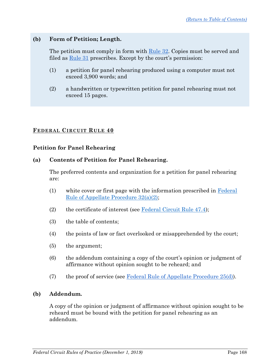## <span id="page-181-0"></span>**(b) Form of Petition; Length.**

The petition must comply in form with [Rule 32.](#page-145-0) Copies must be served and filed as <u>Rule 31</u> prescribes. Except by the court's permission:

- (1) a petition for panel rehearing produced using a computer must not exceed 3,900 words; and
- (2) a handwritten or typewritten petition for panel rehearing must not exceed 15 pages.

# <span id="page-181-1"></span>**FEDERAL CIRCUIT RULE 40**

# **Petition for Panel Rehearing**

# **(a) Contents of Petition for Panel Rehearing.**

The preferred contents and organization for a petition for panel rehearing are:

- (1) white cover or first page with the information prescribed in [Federal](#page-145-1)  [Rule of Appellate Procedure 32\(a\)\(2\);](#page-145-1)
- (2) the certificate of interest (see [Federal Circuit Rule 47.4\)](#page-202-0);
- (3) the table of contents;
- (4) the points of law or fact overlooked or misapprehended by the court;
- (5) the argument;
- (6) the addendum containing a copy of the court's opinion or judgment of affirmance without opinion sought to be reheard; and
- (7) the proof of service (see Federal Rule of Appellate Procedure  $25(d)$ ).

# **(b) Addendum.**

A copy of the opinion or judgment of affirmance without opinion sought to be reheard must be bound with the petition for panel rehearing as an addendum.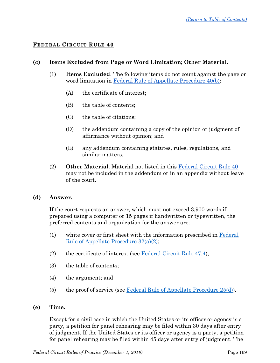## **(c) Items Excluded from Page or Word Limitation; Other Material.**

- (1) **Items Excluded**. The following items do not count against the page or word limitation in [Federal Rule of Appellate Procedure 40\(b\):](#page-181-0)
	- (A) the certificate of interest;
	- (B) the table of contents;
	- (C) the table of citations;
	- (D) the addendum containing a copy of the opinion or judgment of affirmance without opinion; and
	- (E) any addendum containing statutes, rules, regulations, and similar matters.
- (2) **Other Material**. Material not listed in this [Federal Circuit Rule 40](#page-181-1) may not be included in the addendum or in an appendix without leave of the court.

### **(d) Answer.**

If the court requests an answer, which must not exceed 3,900 words if prepared using a computer or 15 pages if handwritten or typewritten, the preferred contents and organization for the answer are:

- (1) white cover or first sheet with the information prescribed in [Federal](#page-145-1)  [Rule of Appellate Procedure 32\(a\)\(2\);](#page-145-1)
- (2) the certificate of interest (see [Federal Circuit Rule 47.4\)](#page-202-0);
- (3) the table of contents;
- (4) the argument; and
- (5) the proof of service (see Federal Rule of Appellate Procedure  $25(d)$ ).

### <span id="page-182-0"></span>**(e) Time.**

Except for a civil case in which the United States or its officer or agency is a party, a petition for panel rehearing may be filed within 30 days after entry of judgment. If the United States or its officer or agency is a party, a petition for panel rehearing may be filed within 45 days after entry of judgment. The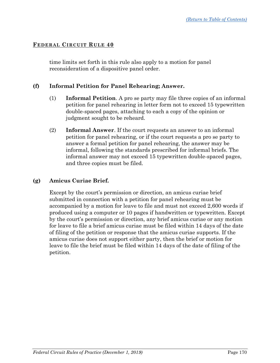time limits set forth in this rule also apply to a motion for panel reconsideration of a dispositive panel order.

## **(f) Informal Petition for Panel Rehearing; Answer.**

- (1) **Informal Petition**. A pro se party may file three copies of an informal petition for panel rehearing in letter form not to exceed 15 typewritten double-spaced pages, attaching to each a copy of the opinion or judgment sought to be reheard.
- (2) **Informal Answer**. If the court requests an answer to an informal petition for panel rehearing, or if the court requests a pro se party to answer a formal petition for panel rehearing, the answer may be informal, following the standards prescribed for informal briefs. The informal answer may not exceed 15 typewritten double-spaced pages, and three copies must be filed.

# **(g) Amicus Curiae Brief.**

Except by the court's permission or direction, an amicus curiae brief submitted in connection with a petition for panel rehearing must be accompanied by a motion for leave to file and must not exceed 2,600 words if produced using a computer or 10 pages if handwritten or typewritten. Except by the court's permission or direction, any brief amicus curiae or any motion for leave to file a brief amicus curiae must be filed within 14 days of the date of filing of the petition or response that the amicus curiae supports. If the amicus curiae does not support either party, then the brief or motion for leave to file the brief must be filed within 14 days of the date of filing of the petition.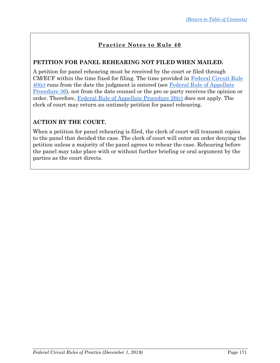# **Practice Notes to Rule 40**

# **PETITION FOR PANEL REHEARING NOT FILED WHEN MAILED.**

A petition for panel rehearing must be received by the court or filed through CM/ECF within the time fixed for filing. The time provided in [Federal Circuit Rule](#page-182-0)  [40\(e\)](#page-182-0) runs from the date the judgment is entered (see [Federal Rule of Appellate](#page-172-0)  [Procedure 36\)](#page-172-0), not from the date counsel or the pro se party receives the opinion or order. Therefore, [Federal Rule of Appellate Procedure 26\(c\)](#page-94-0) does not apply. The clerk of court may return an untimely petition for panel rehearing.

# **ACTION BY THE COURT.**

When a petition for panel rehearing is filed, the clerk of court will transmit copies to the panel that decided the case. The clerk of court will enter an order denying the petition unless a majority of the panel agrees to rehear the case. Rehearing before the panel may take place with or without further briefing or oral argument by the parties as the court directs.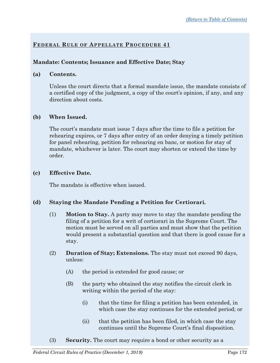### **Mandate: Contents; Issuance and Effective Date; Stay**

#### **(a) Contents.**

Unless the court directs that a formal mandate issue, the mandate consists of a certified copy of the judgment, a copy of the court's opinion, if any, and any direction about costs.

### **(b) When Issued.**

The court's mandate must issue 7 days after the time to file a petition for rehearing expires, or 7 days after entry of an order denying a timely petition for panel rehearing, petition for rehearing en banc, or motion for stay of mandate, whichever is later. The court may shorten or extend the time by order.

### **(c) Effective Date.**

The mandate is effective when issued.

### **(d) Staying the Mandate Pending a Petition for Certiorari.**

- (1) **Motion to Stay.** A party may move to stay the mandate pending the filing of a petition for a writ of certiorari in the Supreme Court. The motion must be served on all parties and must show that the petition would present a substantial question and that there is good cause for a stay.
- (2) **Duration of Stay; Extensions.** The stay must not exceed 90 days, unless:
	- (A) the period is extended for good cause; or
	- (B) the party who obtained the stay notifies the circuit clerk in writing within the period of the stay:
		- (i) that the time for filing a petition has been extended, in which case the stay continues for the extended period; or
		- (ii) that the petition has been filed, in which case the stay continues until the Supreme Court's final disposition.
- (3) **Security.** The court may require a bond or other security as a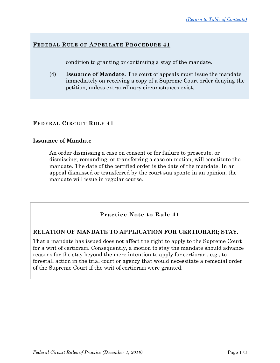condition to granting or continuing a stay of the mandate.

(4) **Issuance of Mandate.** The court of appeals must issue the mandate immediately on receiving a copy of a Supreme Court order denying the petition, unless extraordinary circumstances exist.

# **FEDERAL CIRCUIT RULE 41**

### **Issuance of Mandate**

An order dismissing a case on consent or for failure to prosecute, or dismissing, remanding, or transferring a case on motion, will constitute the mandate. The date of the certified order is the date of the mandate. In an appeal dismissed or transferred by the court sua sponte in an opinion, the mandate will issue in regular course.

# **Practice Note to Rule 41**

### **RELATION OF MANDATE TO APPLICATION FOR CERTIORARI; STAY.**

That a mandate has issued does not affect the right to apply to the Supreme Court for a writ of certiorari. Consequently, a motion to stay the mandate should advance reasons for the stay beyond the mere intention to apply for certiorari, e.g., to forestall action in the trial court or agency that would necessitate a remedial order of the Supreme Court if the writ of certiorari were granted.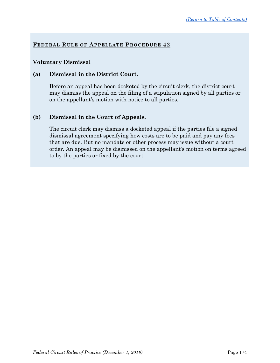### **Voluntary Dismissal**

### **(a) Dismissal in the District Court.**

Before an appeal has been docketed by the circuit clerk, the district court may dismiss the appeal on the filing of a stipulation signed by all parties or on the appellant's motion with notice to all parties.

### **(b) Dismissal in the Court of Appeals.**

The circuit clerk may dismiss a docketed appeal if the parties file a signed dismissal agreement specifying how costs are to be paid and pay any fees that are due. But no mandate or other process may issue without a court order. An appeal may be dismissed on the appellant's motion on terms agreed to by the parties or fixed by the court.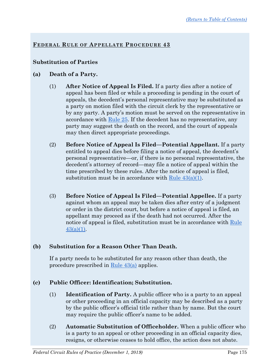# **Substitution of Parties**

## <span id="page-188-0"></span>**(a) Death of a Party.**

- (1) **After Notice of Appeal Is Filed.** If a party dies after a notice of appeal has been filed or while a proceeding is pending in the court of appeals, the decedent's personal representative may be substituted as a party on motion filed with the circuit clerk by the representative or by any party. A party's motion must be served on the representative in accordance with [Rule 25.](#page-80-0) If the decedent has no representative, any party may suggest the death on the record, and the court of appeals may then direct appropriate proceedings.
- (2) **Before Notice of Appeal Is Filed—Potential Appellant.** If a party entitled to appeal dies before filing a notice of appeal, the decedent's personal representative—or, if there is no personal representative, the decedent's attorney of record—may file a notice of appeal within the time prescribed by these rules. After the notice of appeal is filed, substitution must be in accordance with Rule  $43(a)(1)$ .
- (3) **Before Notice of Appeal Is Filed—Potential Appellee.** If a party against whom an appeal may be taken dies after entry of a judgment or order in the district court, but before a notice of appeal is filed, an appellant may proceed as if the death had not occurred. After the notice of appeal is filed, substitution must be in accordance with Rule  $43(a)(1)$ .

# **(b) Substitution for a Reason Other Than Death.**

If a party needs to be substituted for any reason other than death, the procedure prescribed in [Rule 43\(a\)](#page-188-0) applies.

# **(c) Public Officer: Identification; Substitution.**

- (1) **Identification of Party.** A public officer who is a party to an appeal or other proceeding in an official capacity may be described as a party by the public officer's official title rather than by name. But the court may require the public officer's name to be added.
- (2) **Automatic Substitution of Officeholder.** When a public officer who is a party to an appeal or other proceeding in an official capacity dies, resigns, or otherwise ceases to hold office, the action does not abate.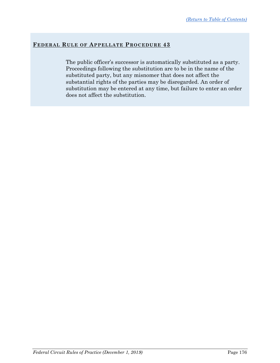The public officer's successor is automatically substituted as a party. Proceedings following the substitution are to be in the name of the substituted party, but any misnomer that does not affect the substantial rights of the parties may be disregarded. An order of substitution may be entered at any time, but failure to enter an order does not affect the substitution.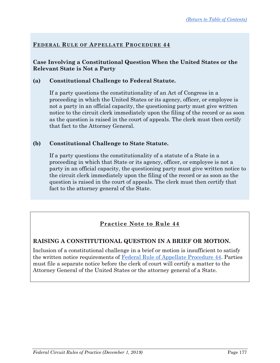## <span id="page-190-0"></span>**Case Involving a Constitutional Question When the United States or the Relevant State is Not a Party**

### **(a) Constitutional Challenge to Federal Statute.**

If a party questions the constitutionality of an Act of Congress in a proceeding in which the United States or its agency, officer, or employee is not a party in an official capacity, the questioning party must give written notice to the circuit clerk immediately upon the filing of the record or as soon as the question is raised in the court of appeals. The clerk must then certify that fact to the Attorney General.

### **(b) Constitutional Challenge to State Statute.**

If a party questions the constitutionality of a statute of a State in a proceeding in which that State or its agency, officer, or employee is not a party in an official capacity, the questioning party must give written notice to the circuit clerk immediately upon the filing of the record or as soon as the question is raised in the court of appeals. The clerk must then certify that fact to the attorney general of the State.

# **Practice Note to Rule 44**

# **RAISING A CONSTITUTIONAL QUESTION IN A BRIEF OR MOTION.**

Inclusion of a constitutional challenge in a brief or motion is insufficient to satisfy the written notice requirements of [Federal Rule of Appellate Procedure 44.](#page-190-0) Parties must file a separate notice before the clerk of court will certify a matter to the Attorney General of the United States or the attorney general of a State.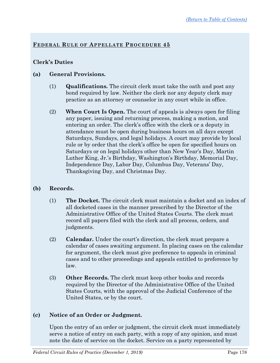# **Clerk's Duties**

# **(a) General Provisions.**

- (1) **Qualifications.** The circuit clerk must take the oath and post any bond required by law. Neither the clerk nor any deputy clerk may practice as an attorney or counselor in any court while in office.
- (2) **When Court Is Open.** The court of appeals is always open for filing any paper, issuing and returning process, making a motion, and entering an order. The clerk's office with the clerk or a deputy in attendance must be open during business hours on all days except Saturdays, Sundays, and legal holidays. A court may provide by local rule or by order that the clerk's office be open for specified hours on Saturdays or on legal holidays other than New Year's Day, Martin Luther King, Jr.'s Birthday, Washington's Birthday, Memorial Day, Independence Day, Labor Day, Columbus Day, Veterans' Day, Thanksgiving Day, and Christmas Day.

# **(b) Records.**

- (1) **The Docket.** The circuit clerk must maintain a docket and an index of all docketed cases in the manner prescribed by the Director of the Administrative Office of the United States Courts. The clerk must record all papers filed with the clerk and all process, orders, and judgments.
- (2) **Calendar.** Under the court's direction, the clerk must prepare a calendar of cases awaiting argument. In placing cases on the calendar for argument, the clerk must give preference to appeals in criminal cases and to other proceedings and appeals entitled to preference by law.
- (3) **Other Records.** The clerk must keep other books and records required by the Director of the Administrative Office of the United States Courts, with the approval of the Judicial Conference of the United States, or by the court.

# **(c) Notice of an Order or Judgment.**

Upon the entry of an order or judgment, the circuit clerk must immediately serve a notice of entry on each party, with a copy of any opinion, and must note the date of service on the docket. Service on a party represented by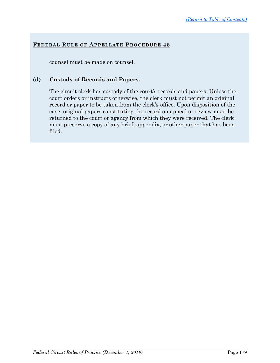counsel must be made on counsel.

# **(d) Custody of Records and Papers.**

The circuit clerk has custody of the court's records and papers. Unless the court orders or instructs otherwise, the clerk must not permit an original record or paper to be taken from the clerk's office. Upon disposition of the case, original papers constituting the record on appeal or review must be returned to the court or agency from which they were received. The clerk must preserve a copy of any brief, appendix, or other paper that has been filed.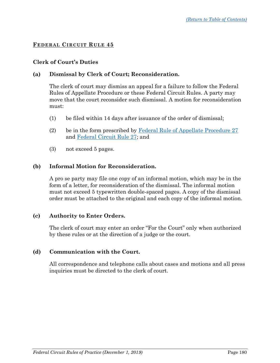# **Clerk of Court's Duties**

# **(a) Dismissal by Clerk of Court; Reconsideration.**

The clerk of court may dismiss an appeal for a failure to follow the Federal Rules of Appellate Procedure or these Federal Circuit Rules. A party may move that the court reconsider such dismissal. A motion for reconsideration must:

- (1) be filed within 14 days after issuance of the order of dismissal;
- (2) be in the form prescribed by Federal Rule of Appellate Procedure  $27$ and [Federal Circuit Rule 27;](#page-103-0) and
- (3) not exceed 5 pages.

# **(b) Informal Motion for Reconsideration.**

A pro se party may file one copy of an informal motion, which may be in the form of a letter, for reconsideration of the dismissal. The informal motion must not exceed 5 typewritten double-spaced pages. A copy of the dismissal order must be attached to the original and each copy of the informal motion.

### **(c) Authority to Enter Orders.**

The clerk of court may enter an order "For the Court" only when authorized by these rules or at the direction of a judge or the court.

# **(d) Communication with the Court.**

All correspondence and telephone calls about cases and motions and all press inquiries must be directed to the clerk of court.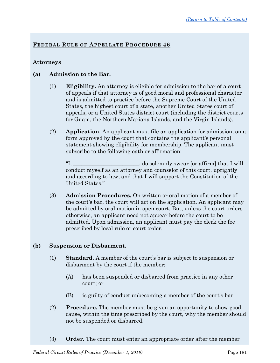### **Attorneys**

### <span id="page-194-0"></span>**(a) Admission to the Bar.**

- (1) **Eligibility.** An attorney is eligible for admission to the bar of a court of appeals if that attorney is of good moral and professional character and is admitted to practice before the Supreme Court of the United States, the highest court of a state, another United States court of appeals, or a United States district court (including the district courts for Guam, the Northern Mariana Islands, and the Virgin Islands).
- (2) **Application.** An applicant must file an application for admission, on a form approved by the court that contains the applicant's personal statement showing eligibility for membership. The applicant must subscribe to the following oath or affirmation:

"I, \_\_\_\_\_\_\_\_\_\_\_\_\_\_\_\_\_\_\_\_\_\_\_\_, do solemnly swear [or affirm] that I will conduct myself as an attorney and counselor of this court, uprightly and according to law; and that I will support the Constitution of the United States."

(3) **Admission Procedures.** On written or oral motion of a member of the court's bar, the court will act on the application. An applicant may be admitted by oral motion in open court. But, unless the court orders otherwise, an applicant need not appear before the court to be admitted. Upon admission, an applicant must pay the clerk the fee prescribed by local rule or court order.

### **(b) Suspension or Disbarment.**

- (1) **Standard.** A member of the court's bar is subject to suspension or disbarment by the court if the member:
	- (A) has been suspended or disbarred from practice in any other court; or
	- (B) is guilty of conduct unbecoming a member of the court's bar.
- (2) **Procedure.** The member must be given an opportunity to show good cause, within the time prescribed by the court, why the member should not be suspended or disbarred.
- (3) **Order.** The court must enter an appropriate order after the member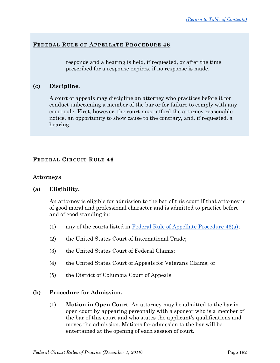responds and a hearing is held, if requested, or after the time prescribed for a response expires, if no response is made.

# **(c) Discipline.**

A court of appeals may discipline an attorney who practices before it for conduct unbecoming a member of the bar or for failure to comply with any court rule. First, however, the court must afford the attorney reasonable notice, an opportunity to show cause to the contrary, and, if requested, a hearing.

# <span id="page-195-1"></span>**FEDERAL CIRCUIT RULE 46**

### **Attorneys**

### <span id="page-195-0"></span>**(a) Eligibility.**

An attorney is eligible for admission to the bar of this court if that attorney is of good moral and professional character and is admitted to practice before and of good standing in:

- (1) any of the courts listed in Federal Rule of Appellate Procedure  $46(a)$ ;
- (2) the United States Court of International Trade;
- (3) the United States Court of Federal Claims;
- (4) the United States Court of Appeals for Veterans Claims; or
- (5) the District of Columbia Court of Appeals.

# **(b) Procedure for Admission.**

(1) **Motion in Open Court**. An attorney may be admitted to the bar in open court by appearing personally with a sponsor who is a member of the bar of this court and who states the applicant's qualifications and moves the admission. Motions for admission to the bar will be entertained at the opening of each session of court.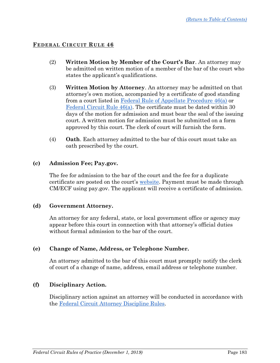- (2) **Written Motion by Member of the Court's Bar**. An attorney may be admitted on written motion of a member of the bar of the court who states the applicant's qualifications.
- (3) **Written Motion by Attorney**. An attorney may be admitted on that attorney's own motion, accompanied by a certificate of good standing from a court listed in [Federal Rule of Appellate Procedure 46\(a\)](#page-194-0) or [Federal Circuit Rule 46\(a\).](#page-195-0) The certificate must be dated within 30 days of the motion for admission and must bear the seal of the issuing court. A written motion for admission must be submitted on a form approved by this court. The clerk of court will furnish the form.
- (4) **Oath**. Each attorney admitted to the bar of this court must take an oath prescribed by the court.

### **(c) Admission Fee; Pay.gov.**

The fee for admission to the bar of the court and the fee for a duplicate certificate are posted on the court's [website.](http://www.cafc.uscourts.gov/) Payment must be made through CM/ECF using pay.gov. The applicant will receive a certificate of admission.

#### **(d) Government Attorney.**

An attorney for any federal, state, or local government office or agency may appear before this court in connection with that attorney's official duties without formal admission to the bar of the court.

### **(e) Change of Name, Address, or Telephone Number.**

An attorney admitted to the bar of this court must promptly notify the clerk of court of a change of name, address, email address or telephone number.

# **(f) Disciplinary Action.**

Disciplinary action against an attorney will be conducted in accordance with the [Federal Circuit Attorney Discipline Rules.](#page-216-0)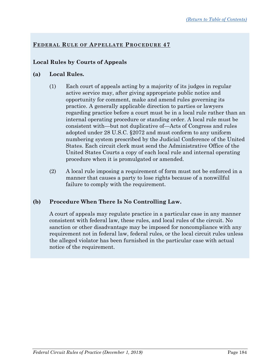# **Local Rules by Courts of Appeals**

### **(a) Local Rules.**

- (1) Each court of appeals acting by a majority of its judges in regular active service may, after giving appropriate public notice and opportunity for comment, make and amend rules governing its practice. A generally applicable direction to parties or lawyers regarding practice before a court must be in a local rule rather than an internal operating procedure or standing order. A local rule must be consistent with—but not duplicative of—Acts of Congress and rules adopted under 28 U.S.C. §2072 and must conform to any uniform numbering system prescribed by the Judicial Conference of the United States. Each circuit clerk must send the Administrative Office of the United States Courts a copy of each local rule and internal operating procedure when it is promulgated or amended.
- (2) A local rule imposing a requirement of form must not be enforced in a manner that causes a party to lose rights because of a nonwillful failure to comply with the requirement.

# **(b) Procedure When There Is No Controlling Law.**

A court of appeals may regulate practice in a particular case in any manner consistent with federal law, these rules, and local rules of the circuit. No sanction or other disadvantage may be imposed for noncompliance with any requirement not in federal law, federal rules, or the local circuit rules unless the alleged violator has been furnished in the particular case with actual notice of the requirement.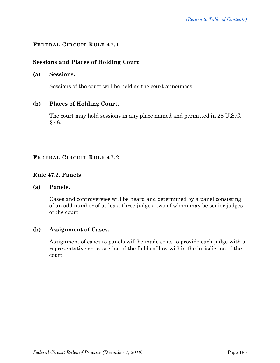### **Sessions and Places of Holding Court**

#### **(a) Sessions.**

Sessions of the court will be held as the court announces.

### **(b) Places of Holding Court.**

The court may hold sessions in any place named and permitted in 28 U.S.C. § 48.

### **FEDERAL CIRCUIT RULE 47.2**

### **Rule 47.2. Panels**

#### **(a) Panels.**

Cases and controversies will be heard and determined by a panel consisting of an odd number of at least three judges, two of whom may be senior judges of the court.

#### **(b) Assignment of Cases.**

Assignment of cases to panels will be made so as to provide each judge with a representative cross-section of the fields of law within the jurisdiction of the court.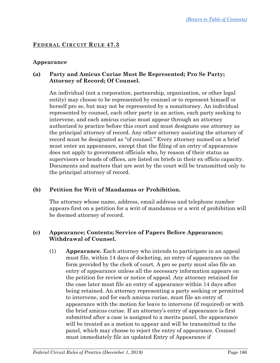# **Appearance**

# **(a) Party and Amicus Curiae Must Be Represented; Pro Se Party; Attorney of Record; Of Counsel.**

An individual (not a corporation, partnership, organization, or other legal entity) may choose to be represented by counsel or to represent himself or herself pro se, but may not be represented by a nonattorney. An individual represented by counsel, each other party in an action, each party seeking to intervene, and each amicus curiae must appear through an attorney authorized to practice before this court and must designate one attorney as the principal attorney of record. Any other attorney assisting the attorney of record must be designated as "of counsel." Every attorney named on a brief must enter an appearance, except that the filing of an entry of appearance does not apply to government officials who, by reason of their status as supervisors or heads of offices, are listed on briefs in their ex officio capacity. Documents and matters that are sent by the court will be transmitted only to the principal attorney of record.

# **(b) Petition for Writ of Mandamus or Prohibition.**

The attorney whose name, address, email address and telephone number appears first on a petition for a writ of mandamus or a writ of prohibition will be deemed attorney of record.

# **(c) Appearance; Contents; Service of Papers Before Appearance; Withdrawal of Counsel.**

(1) **Appearance.** Each attorney who intends to participate in an appeal must file, within 14 days of docketing, an entry of appearance on the form provided by the clerk of court. A pro se party must also file an entry of appearance unless all the necessary information appears on the petition for review or notice of appeal. Any attorney retained for the case later must file an entry of appearance within 14 days after being retained. An attorney representing a party seeking or permitted to intervene, and for each amicus curiae, must file an entry of appearance with the motion for leave to intervene (if required) or with the brief amicus curiae. If an attorney's entry of appearance is first submitted after a case is assigned to a merits panel, the appearance will be treated as a motion to appear and will be transmitted to the panel, which may choose to reject the entry of appearance. Counsel must immediately file an updated Entry of Appearance if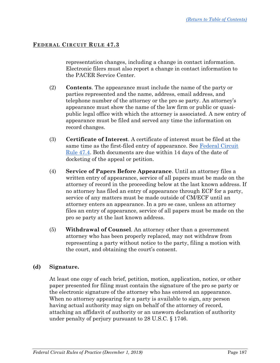representation changes, including a change in contact information. Electronic filers must also report a change in contact information to the PACER Service Center.

- (2) **Contents**. The appearance must include the name of the party or parties represented and the name, address, email address, and telephone number of the attorney or the pro se party. An attorney's appearance must show the name of the law firm or public or quasipublic legal office with which the attorney is associated. A new entry of appearance must be filed and served any time the information on record changes.
- (3) **Certificate of Interest**. A certificate of interest must be filed at the same time as the first-filed entry of appearance. See [Federal Circuit](#page-202-0)  [Rule 47.4.](#page-202-0) Both documents are due within 14 days of the date of docketing of the appeal or petition.
- (4) **Service of Papers Before Appearance**. Until an attorney files a written entry of appearance, service of all papers must be made on the attorney of record in the proceeding below at the last known address. If no attorney has filed an entry of appearance through ECF for a party, service of any matters must be made outside of CM/ECF until an attorney enters an appearance. In a pro se case, unless an attorney files an entry of appearance, service of all papers must be made on the pro se party at the last known address.
- (5) **Withdrawal of Counsel**. An attorney other than a government attorney who has been properly replaced, may not withdraw from representing a party without notice to the party, filing a motion with the court, and obtaining the court's consent.

### **(d) Signature.**

At least one copy of each brief, petition, motion, application, notice, or other paper presented for filing must contain the signature of the pro se party or the electronic signature of the attorney who has entered an appearance. When no attorney appearing for a party is available to sign, any person having actual authority may sign on behalf of the attorney of record, attaching an affidavit of authority or an unsworn declaration of authority under penalty of perjury pursuant to 28 U.S.C. § 1746.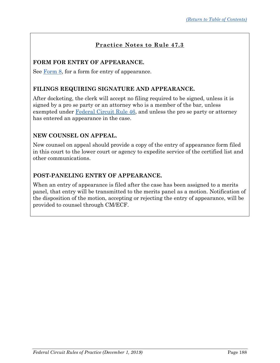# **Practice Notes to Rule 47.3**

# **FORM FOR ENTRY OF APPEARANCE.**

See [Form 8,](http://www.cafc.uscourts.gov/sites/default/files/rules-of-practice/forms/form8.pdf) for a form for entry of appearance.

# **FILINGS REQUIRING SIGNATURE AND APPEARANCE.**

After docketing, the clerk will accept no filing required to be signed, unless it is signed by a pro se party or an attorney who is a member of the bar, unless exempted under [Federal Circuit Rule 46,](#page-195-1) and unless the pro se party or attorney has entered an appearance in the case.

# **NEW COUNSEL ON APPEAL.**

New counsel on appeal should provide a copy of the entry of appearance form filed in this court to the lower court or agency to expedite service of the certified list and other communications.

# **POST-PANELING ENTRY OF APPEARANCE.**

When an entry of appearance is filed after the case has been assigned to a merits panel, that entry will be transmitted to the merits panel as a motion. Notification of the disposition of the motion, accepting or rejecting the entry of appearance, will be provided to counsel through CM/ECF.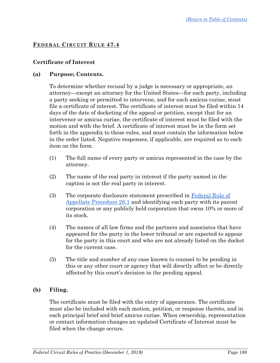# <span id="page-202-0"></span>**Certificate of Interest**

### <span id="page-202-1"></span>**(a) Purpose; Contents.**

To determine whether recusal by a judge is necessary or appropriate, an attorney—except an attorney for the United States—for each party, including a party seeking or permitted to intervene, and for each amicus curiae, must file a certificate of interest. The certificate of interest must be filed within 14 days of the date of docketing of the appeal or petition, except that for an intervenor or amicus curiae, the certificate of interest must be filed with the motion and with the brief. A certificate of interest must be in the form set forth in the appendix to these rules, and must contain the information below in the order listed. Negative responses, if applicable, are required as to each item on the form.

- (1) The full name of every party or amicus represented in the case by the attorney.
- (2) The name of the real party in interest if the party named in the caption is not the real party in interest.
- (3) The corporate disclosure statement prescribed in [Federal Rule of](#page-97-0)  [Appellate Procedure 26.1](#page-97-0) and identifying each party with its parent corporation or any publicly held corporation that owns 10% or more of its stock.
- (4) The names of all law firms and the partners and associates that have appeared for the party in the lower tribunal or are expected to appear for the party in this court and who are not already listed on the docket for the current case.
- (5) The title and number of any case known to counsel to be pending in this or any other court or agency that will directly affect or be directly affected by this court's decision in the pending appeal.

# **(b) Filing.**

The certificate must be filed with the entry of appearance. The certificate must also be included with each motion, petition, or response thereto, and in each principal brief and brief amicus curiae. When ownership, representation or contact information changes an updated Certificate of Interest must be filed when the change occurs.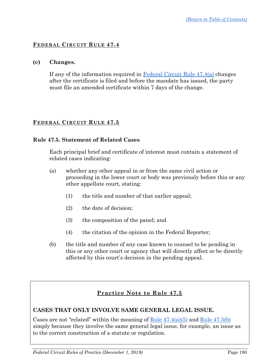### **(c) Changes.**

If any of the information required in [Federal Circuit Rule 47.4\(a\)](#page-202-1) changes after the certificate is filed and before the mandate has issued, the party must file an amended certificate within 7 days of the change.

# <span id="page-203-0"></span>**FEDERAL CIRCUIT RULE 47.5**

### **Rule 47.5. Statement of Related Cases**

Each principal brief and certificate of interest must contain a statement of related cases indicating:

- (a) whether any other appeal in or from the same civil action or proceeding in the lower court or body was previously before this or any other appellate court, stating:
	- (1) the title and number of that earlier appeal;
	- (2) the date of decision;
	- (3) the composition of the panel; and
	- (4) the citation of the opinion in the Federal Reporter;
- (b) the title and number of any case known to counsel to be pending in this or any other court or agency that will directly affect or be directly affected by this court's decision in the pending appeal.

# **Practice Note to Rule 47.5**

# **CASES THAT ONLY INVOLVE SAME GENERAL LEGAL ISSUE.**

Cases are not "related" within the meaning of  $\frac{\text{Rule } 47.4(a)(5)}{\text{And } Rule \ 47.5(b)}$ simply because they involve the same general legal issue, for example, an issue as to the correct construction of a statute or regulation.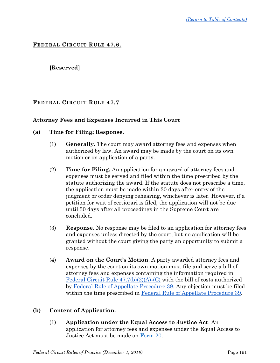# **[Reserved]**

# **FEDERAL CIRCUIT RULE 47.7**

### **Attorney Fees and Expenses Incurred in This Court**

### **(a) Time for Filing; Response.**

- (1) **Generally.** The court may award attorney fees and expenses when authorized by law. An award may be made by the court on its own motion or on application of a party.
- (2) **Time for Filing.** An application for an award of attorney fees and expenses must be served and filed within the time prescribed by the statute authorizing the award. If the statute does not prescribe a time, the application must be made within 30 days after entry of the judgment or order denying rehearing, whichever is later. However, if a petition for writ of certiorari is filed, the application will not be due until 30 days after all proceedings in the Supreme Court are concluded.
- (3) **Response**. No response may be filed to an application for attorney fees and expenses unless directed by the court, but no application will be granted without the court giving the party an opportunity to submit a response.
- (4) **Award on the Court's Motion**. A party awarded attorney fees and expenses by the court on its own motion must file and serve a bill of attorney fees and expenses containing the information required in [Federal Circuit Rule 47.7\(b\)\(2\)\(A\)-\(C\)](#page-204-0) with the bill of costs authorized by [Federal Rule of Appellate Procedure 39.](#page-176-0) Any objection must be filed within the time prescribed in [Federal Rule of Appellate Procedure 39.](#page-176-0)

### <span id="page-204-0"></span>**(b) Content of Application.**

(1) **Application under the Equal Access to Justice Act**. An application for attorney fees and expenses under the Equal Access to Justice Act must be made on [Form 20.](http://www.cafc.uscourts.gov/rules-of-practice/forms)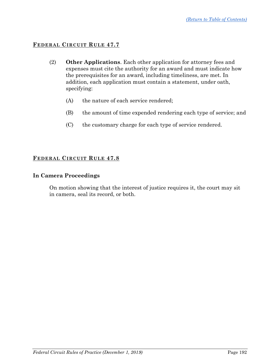- (2) **Other Applications**. Each other application for attorney fees and expenses must cite the authority for an award and must indicate how the prerequisites for an award, including timeliness, are met. In addition, each application must contain a statement, under oath, specifying:
	- (A) the nature of each service rendered;
	- (B) the amount of time expended rendering each type of service; and
	- (C) the customary charge for each type of service rendered.

# **FEDERAL CIRCUIT RULE 47.8**

### **In Camera Proceedings**

On motion showing that the interest of justice requires it, the court may sit in camera, seal its record, or both.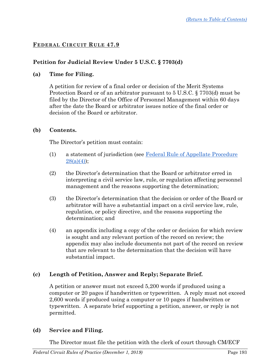# **Petition for Judicial Review Under 5 U.S.C. § 7703(d)**

# **(a) Time for Filing.**

A petition for review of a final order or decision of the Merit Systems Protection Board or of an arbitrator pursuant to 5 U.S.C. § 7703(d) must be filed by the Director of the Office of Personnel Management within 60 days after the date the Board or arbitrator issues notice of the final order or decision of the Board or arbitrator.

### **(b) Contents.**

The Director's petition must contain:

- (1) a statement of jurisdiction (see [Federal Rule of Appellate Procedure](#page-110-0)   $28(a)(4)$ ;
- (2) the Director's determination that the Board or arbitrator erred in interpreting a civil service law, rule, or regulation affecting personnel management and the reasons supporting the determination;
- (3) the Director's determination that the decision or order of the Board or arbitrator will have a substantial impact on a civil service law, rule, regulation, or policy directive, and the reasons supporting the determination; and
- (4) an appendix including a copy of the order or decision for which review is sought and any relevant portion of the record on review; the appendix may also include documents not part of the record on review that are relevant to the determination that the decision will have substantial impact.

# **(c) Length of Petition, Answer and Reply; Separate Brief.**

A petition or answer must not exceed 5,200 words if produced using a computer or 20 pages if handwritten or typewritten. A reply must not exceed 2,600 words if produced using a computer or 10 pages if handwritten or typewritten. A separate brief supporting a petition, answer, or reply is not permitted.

# **(d) Service and Filing.**

The Director must file the petition with the clerk of court through CM/ECF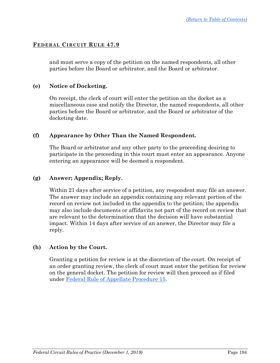and must serve a copy of the petition on the named respondents, all other parties before the Board or arbitrator, and the Board or arbitrator.

## **(e) Notice of Docketing.**

On receipt, the clerk of court will enter the petition on the docket as a miscellaneous case and notify the Director, the named respondents, all other parties before the Board or arbitrator, and the Board or arbitrator of the docketing date.

### **(f) Appearance by Other Than the Named Respondent.**

The Board or arbitrator and any other party to the proceeding desiring to participate in the proceeding in this court must enter an appearance. Anyone entering an appearance will be deemed a respondent.

### **(g) Answer; Appendix; Reply.**

Within 21 days after service of a petition, any respondent may file an answer. The answer may include an appendix containing any relevant portion of the record on review not included in the appendix to the petition; the appendix may also include documents or affidavits not part of the record on review that are relevant to the determination that the decision will have substantial impact. Within 14 days after service of an answer, the Director may file a reply.

### **(h) Action by the Court.**

Granting a petition for review is at the discretion of the court. On receipt of an order granting review, the clerk of court must enter the petition for review on the general docket. The petition for review will then proceed as if filed under [Federal Rule of Appellate Procedure 15.](#page-52-0)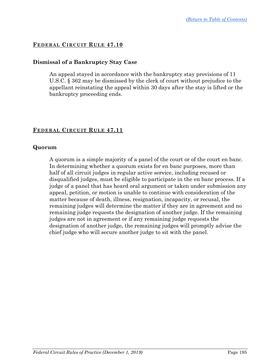## **Dismissal of a Bankruptcy Stay Case**

An appeal stayed in accordance with the bankruptcy stay provisions of 11 U.S.C. § 362 may be dismissed by the clerk of court without prejudice to the appellant reinstating the appeal within 30 days after the stay is lifted or the bankruptcy proceeding ends.

# **FEDERAL CIRCUIT RULE 47.11**

# **Quorum**

A quorum is a simple majority of a panel of the court or of the court en banc. In determining whether a quorum exists for en banc purposes, more than half of all circuit judges in regular active service, including recused or disqualified judges, must be eligible to participate in the en banc process. If a judge of a panel that has heard oral argument or taken under submission any appeal, petition, or motion is unable to continue with consideration of the matter because of death, illness, resignation, incapacity, or recusal, the remaining judges will determine the matter if they are in agreement and no remaining judge requests the designation of another judge. If the remaining judges are not in agreement or if any remaining judge requests the designation of another judge, the remaining judges will promptly advise the chief judge who will secure another judge to sit with the panel.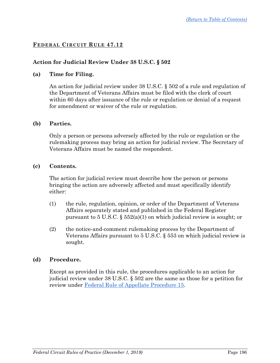# **Action for Judicial Review Under 38 U.S.C. § 502**

### **(a) Time for Filing.**

An action for judicial review under 38 U.S.C. § 502 of a rule and regulation of the Department of Veterans Affairs must be filed with the clerk of court within 60 days after issuance of the rule or regulation or denial of a request for amendment or waiver of the rule or regulation.

### **(b) Parties.**

Only a person or persons adversely affected by the rule or regulation or the rulemaking process may bring an action for judicial review. The Secretary of Veterans Affairs must be named the respondent.

### **(c) Contents.**

The action for judicial review must describe how the person or persons bringing the action are adversely affected and must specifically identify either:

- (1) the rule, regulation, opinion, or order of the Department of Veterans Affairs separately stated and published in the Federal Register pursuant to 5 U.S.C.  $\S$  552(a)(1) on which judicial review is sought; or
- (2) the notice-and-comment rulemaking process by the Department of Veterans Affairs pursuant to 5 U.S.C. § 553 on which judicial review is sought.

### **(d) Procedure.**

Except as provided in this rule, the procedures applicable to an action for judicial review under 38 U.S.C. § 502 are the same as those for a petition for review under [Federal Rule of Appellate Procedure 15.](#page-52-0)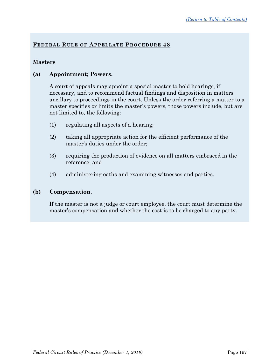### **Masters**

### **(a) Appointment; Powers.**

A court of appeals may appoint a special master to hold hearings, if necessary, and to recommend factual findings and disposition in matters ancillary to proceedings in the court. Unless the order referring a matter to a master specifies or limits the master's powers, those powers include, but are not limited to, the following:

- (1) regulating all aspects of a hearing;
- (2) taking all appropriate action for the efficient performance of the master's duties under the order;
- (3) requiring the production of evidence on all matters embraced in the reference; and
- (4) administering oaths and examining witnesses and parties.

#### **(b) Compensation.**

If the master is not a judge or court employee, the court must determine the master's compensation and whether the cost is to be charged to any party.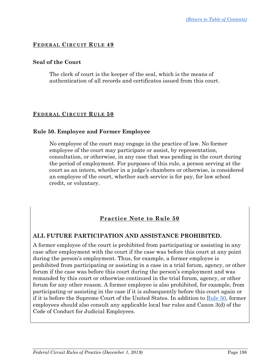### **Seal of the Court**

The clerk of court is the keeper of the seal, which is the means of authentication of all records and certificates issued from this court.

### <span id="page-211-0"></span>**FEDERAL CIRCUIT RULE 50**

### **Rule 50. Employee and Former Employee**

No employee of the court may engage in the practice of law. No former employee of the court may participate or assist, by representation, consultation, or otherwise, in any case that was pending in the court during the period of employment. For purposes of this rule, a person serving at the court as an intern, whether in a judge's chambers or otherwise, is considered an employee of the court, whether such service is for pay, for law school credit, or voluntary.

# **Practice Note to Rule 50**

### **ALL FUTURE PARTICIPATION AND ASSISTANCE PROHIBITED.**

A former employee of the court is prohibited from participating or assisting in any case after employment with the court if the case was before this court at any point during the person's employment. Thus, for example, a former employee is prohibited from participating or assisting in a case in a trial forum, agency, or other forum if the case was before this court during the person's employment and was remanded by this court or otherwise continued in the trial forum, agency, or other forum for any other reason. A former employee is also prohibited, for example, from participating or assisting in the case if it is subsequently before this court again or if it is before the Supreme Court of the United States. In addition to [Rule 50,](#page-211-0) former employees should also consult any applicable local bar rules and Canon 3(d) of the Code of Conduct for Judicial Employees.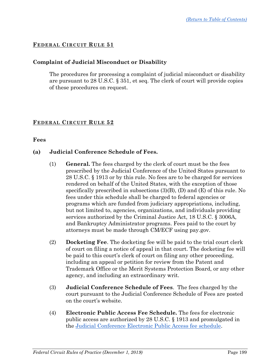## **Complaint of Judicial Misconduct or Disability**

The procedures for processing a complaint of judicial misconduct or disability are pursuant to 28 U.S.C. § 351, et seq. The clerk of court will provide copies of these procedures on request.

# **FEDERAL CIRCUIT RULE 52**

### **Fees**

### **(a) Judicial Conference Schedule of Fees.**

- (1) **General.** The fees charged by the clerk of court must be the fees prescribed by the Judicial Conference of the United States pursuant to 28 U.S.C. § 1913 or by this rule. No fees are to be charged for services rendered on behalf of the United States, with the exception of those specifically prescribed in subsections  $(3)(B)$ ,  $(D)$  and  $(E)$  of this rule. No fees under this schedule shall be charged to federal agencies or programs which are funded from judiciary appropriations, including, but not limited to, agencies, organizations, and individuals providing services authorized by the Criminal Justice Act, 18 U.S.C. § 3006A, and Bankruptcy Administrator programs. Fees paid to the court by attorneys must be made through CM/ECF using pay.gov.
- (2) **Docketing Fee**. The docketing fee will be paid to the trial court clerk of court on filing a notice of appeal in that court. The docketing fee will be paid to this court's clerk of court on filing any other proceeding, including an appeal or petition for review from the Patent and Trademark Office or the Merit Systems Protection Board, or any other agency, and including an extraordinary writ.
- (3) **Judicial Conference Schedule of Fees**. The fees charged by the court pursuant to the Judicial Conference Schedule of Fees are posted on the court's website.
- (4) **Electronic Public Access Fee Schedule.** The fees for electronic public access are authorized by 28 U.S.C. § 1913 and promulgated in the [Judicial Conference Electronic Public Access fee schedule.](http://www.uscourts.gov/services-forms/fees/electronic-public-access-fee-schedule)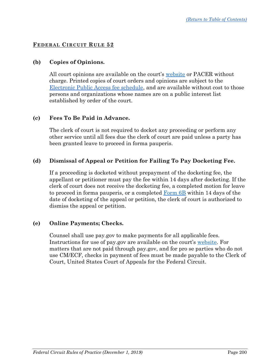## **(b) Copies of Opinions.**

All court opinions are available on the court's [website](http://www.cafc.uscourts.gov/) or PACER without charge. Printed copies of court orders and opinions are subject to the [Electronic Public Access fee schedule,](http://www.uscourts.gov/services-forms/fees/electronic-public-access-fee-schedule) and are available without cost to those persons and organizations whose names are on a public interest list established by order of the court.

# **(c) Fees To Be Paid in Advance.**

The clerk of court is not required to docket any proceeding or perform any other service until all fees due the clerk of court are paid unless a party has been granted leave to proceed in forma pauperis.

# **(d) Dismissal of Appeal or Petition for Failing To Pay Docketing Fee.**

If a proceeding is docketed without prepayment of the docketing fee, the appellant or petitioner must pay the fee within 14 days after docketing. If the clerk of court does not receive the docketing fee, a completed motion for leave to proceed in forma pauperis, or a completed [Form 6B](http://www.cafc.uscourts.gov/rules-of-practice/forms) within 14 days of the date of docketing of the appeal or petition, the clerk of court is authorized to dismiss the appeal or petition.

### **(e) Online Payments; Checks.**

Counsel shall use pay.gov to make payments for all applicable fees. Instructions for use of pay.gov are available on the court's [website.](http://www.cafc.uscourts.gov/) For matters that are not paid through pay.gov, and for pro se parties who do not use CM/ECF, checks in payment of fees must be made payable to the Clerk of Court, United States Court of Appeals for the Federal Circuit.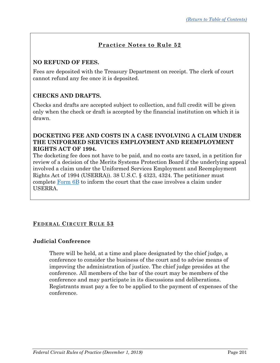# **Practice Notes to Rule 52**

# **NO REFUND OF FEES.**

Fees are deposited with the Treasury Department on receipt. The clerk of court cannot refund any fee once it is deposited.

# **CHECKS AND DRAFTS.**

Checks and drafts are accepted subject to collection, and full credit will be given only when the check or draft is accepted by the financial institution on which it is drawn.

### **DOCKETING FEE AND COSTS IN A CASE INVOLVING A CLAIM UNDER THE UNIFORMED SERVICES EMPLOYMENT AND REEMPLOYMENT RIGHTS ACT OF 1994.**

The docketing fee does not have to be paid, and no costs are taxed, in a petition for review of a decision of the Merits Systems Protection Board if the underlying appeal involved a claim under the Uniformed Services Employment and Reemployment Rights Act of 1994 (USERRA)). 38 U.S.C. § 4323, 4324. The petitioner must complete [Form 6B](http://www.cafc.uscourts.gov/rules-of-practice/forms) to inform the court that the case involves a claim under USERRA.

# **FEDERAL CIRCUIT RULE 53**

### **Judicial Conference**

There will be held, at a time and place designated by the chief judge, a conference to consider the business of the court and to advise means of improving the administration of justice. The chief judge presides at the conference. All members of the bar of the court may be members of the conference and may participate in its discussions and deliberations. Registrants must pay a fee to be applied to the payment of expenses of the conference.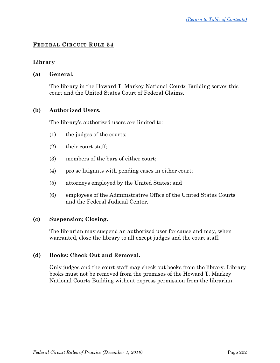### **Library**

### **(a) General.**

The library in the Howard T. Markey National Courts Building serves this court and the United States Court of Federal Claims.

### **(b) Authorized Users.**

The library's authorized users are limited to:

- (1) the judges of the courts;
- (2) their court staff;
- (3) members of the bars of either court;
- (4) pro se litigants with pending cases in either court;
- (5) attorneys employed by the United States; and
- (6) employees of the Administrative Office of the United States Courts and the Federal Judicial Center.

### **(c) Suspension; Closing.**

The librarian may suspend an authorized user for cause and may, when warranted, close the library to all except judges and the court staff.

### **(d) Books: Check Out and Removal.**

Only judges and the court staff may check out books from the library. Library books must not be removed from the premises of the Howard T. Markey National Courts Building without express permission from the librarian.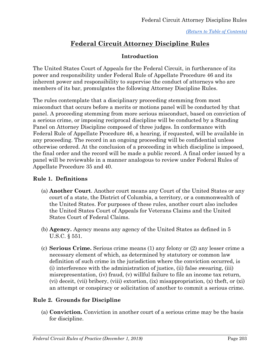# **[Federal Circuit Attorney Discipline Rules](#page-0-0)**

# **Introduction**

The United States Court of Appeals for the Federal Circuit, in furtherance of its power and responsibility under Federal Rule of Appellate Procedure 46 and its inherent power and responsibility to supervise the conduct of attorneys who are members of its bar, promulgates the following Attorney Discipline Rules.

The rules contemplate that a disciplinary proceeding stemming from most misconduct that occurs before a merits or motions panel will be conducted by that panel. A proceeding stemming from more serious misconduct, based on conviction of a serious crime, or imposing reciprocal discipline will be conducted by a Standing Panel on Attorney Discipline composed of three judges. In conformance with Federal Rule of Appellate Procedure 46, a hearing, if requested, will be available in any proceeding. The record in an ongoing proceeding will be confidential unless otherwise ordered. At the conclusion of a proceeding in which discipline is imposed, the final order and the record will be made a public record. A final order issued by a panel will be reviewable in a manner analogous to review under Federal Rules of Appellate Procedure 35 and 40.

## **Rule 1. Definitions**

- (a) **Another Court**. Another court means any Court of the United States or any court of a state, the District of Columbia, a territory, or a commonwealth of the United States. For purposes of these rules, another court also includes the United States Court of Appeals for Veterans Claims and the United States Court of Federal Claims.
- (b) **Agency.** Agency means any agency of the United States as defined in 5 U.S.C. § 551.
- (c) **Serious Crime.** Serious crime means (1) any felony or (2) any lesser crime a necessary element of which, as determined by statutory or common law definition of such crime in the jurisdiction where the conviction occurred, is (i) interference with the administration of justice, (ii) false swearing, (iii) misrepresentation, (iv) fraud, (v) willful failure to file an income tax return, (vi) deceit, (vii) bribery, (viii) extortion, (ix) misappropriation, (x) theft, or (xi) an attempt or conspiracy or solicitation of another to commit a serious crime.

# **Rule 2. Grounds for Discipline**

(a) **Conviction.** Conviction in another court of a serious crime may be the basis for discipline.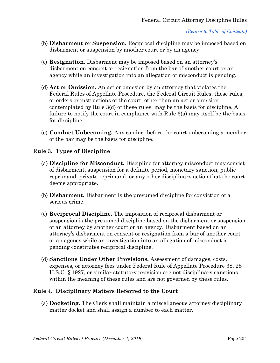- (b) **Disbarment or Suspension.** Reciprocal discipline may be imposed based on disbarment or suspension by another court or by an agency.
- (c) **Resignation.** Disbarment may be imposed based on an attorney's disbarment on consent or resignation from the bar of another court or an agency while an investigation into an allegation of misconduct is pending.
- (d) **Act or Omission.** An act or omission by an attorney that violates the Federal Rules of Appellate Procedure, the Federal Circuit Rules, these rules, or orders or instructions of the court, other than an act or omission contemplated by Rule 3(d) of these rules, may be the basis for discipline. A failure to notify the court in compliance with Rule 6(a) may itself be the basis for discipline.
- (e) **Conduct Unbecoming.** Any conduct before the court unbecoming a member of the bar may be the basis for discipline.

## **Rule 3. Types of Discipline**

- (a) **Discipline for Misconduct.** Discipline for attorney misconduct may consist of disbarment, suspension for a definite period, monetary sanction, public reprimand, private reprimand, or any other disciplinary action that the court deems appropriate.
- (b) **Disbarment.** Disbarment is the presumed discipline for conviction of a serious crime.
- (c) **Reciprocal Discipline.** The imposition of reciprocal disbarment or suspension is the presumed discipline based on the disbarment or suspension of an attorney by another court or an agency. Disbarment based on an attorney's disbarment on consent or resignation from a bar of another court or an agency while an investigation into an allegation of misconduct is pending constitutes reciprocal discipline.
- (d) **Sanctions Under Other Provisions.** Assessment of damages, costs, expenses, or attorney fees under Federal Rule of Appellate Procedure 38, 28 U.S.C. § 1927, or similar statutory provision are not disciplinary sanctions within the meaning of these rules and are not governed by these rules.

#### **Rule 4. Disciplinary Matters Referred to the Court**

(a) **Docketing.** The Clerk shall maintain a miscellaneous attorney disciplinary matter docket and shall assign a number to each matter.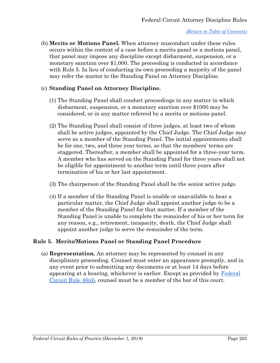(b) **Merits or Motions Panel.** When attorney misconduct under these rules occurs within the context of a case before a merits panel or a motions panel, that panel may impose any discipline except disbarment, suspension, or a monetary sanction over \$1,000. The proceeding is conducted in accordance with Rule 5. In lieu of conducting its own proceeding a majority of the panel may refer the matter to the Standing Panel on Attorney Discipline.

#### (c) **Standing Panel on Attorney Discipline.**

- (1) The Standing Panel shall conduct proceedings in any matter in which disbarment, suspension, or a monetary sanction over \$1000 may be considered, or in any matter referred by a merits or motions panel.
- (2) The Standing Panel shall consist of three judges, at least two of whom shall be active judges, appointed by the Chief Judge. The Chief Judge may serve as a member of the Standing Panel. The initial appointments shall be for one, two, and three year terms, so that the members' terms are staggered. Thereafter, a member shall be appointed for a three-year term. A member who has served on the Standing Panel for three years shall not be eligible for appointment to another term until three years after termination of his or her last appointment.
- (3) The chairperson of the Standing Panel shall be the senior active judge.
- (4) If a member of the Standing Panel is unable or unavailable to hear a particular matter, the Chief Judge shall appoint another judge to be a member of the Standing Panel for that matter. If a member of the Standing Panel is unable to complete the remainder of his or her term for any reason, e.g., retirement, incapacity, death, the Chief Judge shall appoint another judge to serve the remainder of the term.

#### **Rule 5. Merits/Motions Panel or Standing Panel Procedure**

(a) **Representation.** An attorney may be represented by counsel in any disciplinary proceeding. Counsel must enter an appearance promptly, and in any event prior to submitting any documents or at least 14 days before appearing at a hearing, whichever is earlier. Except as provided by [Federal](#page-197-0)  Circuit Rule  $46(d)$ , counsel must be a member of the bar of this court.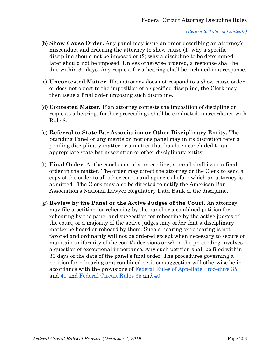- (b) **Show Cause Order.** Any panel may issue an order describing an attorney's misconduct and ordering the attorney to show cause (1) why a specific discipline should not be imposed or (2) why a discipline to be determined later should not be imposed. Unless otherwise ordered, a response shall be due within 30 days. Any request for a hearing shall be included in a response.
- (c) **Uncontested Matter.** If an attorney does not respond to a show cause order or does not object to the imposition of a specified discipline, the Clerk may then issue a final order imposing such discipline.
- (d) **Contested Matter.** If an attorney contests the imposition of discipline or requests a hearing, further proceedings shall be conducted in accordance with Rule 8.
- (e) **Referral to State Bar Association or Other Disciplinary Entity.** The Standing Panel or any merits or motions panel may in its discretion refer a pending disciplinary matter or a matter that has been concluded to an appropriate state bar association or other disciplinary entity.
- (f) **Final Order.** At the conclusion of a proceeding, a panel shall issue a final order in the matter. The order may direct the attorney or the Clerk to send a copy of the order to all other courts and agencies before which an attorney is admitted. The Clerk may also be directed to notify the American Bar Association's National Lawyer Regulatory Data Bank of the discipline.
- (g) **Review by the Panel or the Active Judges of the Court.** An attorney may file a petition for rehearing by the panel or a combined petition for rehearing by the panel and suggestion for rehearing by the active judges of the court, or a majority of the active judges may order that a disciplinary matter be heard or reheard by them. Such a hearing or rehearing is not favored and ordinarily will not be ordered except when necessary to secure or maintain uniformity of the court's decisions or when the proceeding involves a question of exceptional importance. Any such petition shall be filed within 30 days of the date of the panel's final order. The procedures governing a petition for rehearing or a combined petition/suggestion will otherwise be in accordance with the provisions of [Federal Rules of Appellate Procedure 35](#page-190-0) and  $40$  and [Federal Circuit Rules 35](#page-103-0) and  $40$ .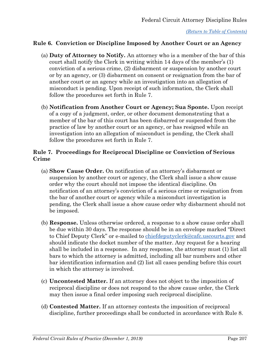## **Rule 6. Conviction or Discipline Imposed by Another Court or an Agency**

- (a) **Duty of Attorney to Notify.** An attorney who is a member of the bar of this court shall notify the Clerk in writing within 14 days of the member's (1) conviction of a serious crime, (2) disbarment or suspension by another court or by an agency, or (3) disbarment on consent or resignation from the bar of another court or an agency while an investigation into an allegation of misconduct is pending. Upon receipt of such information, the Clerk shall follow the procedures set forth in Rule 7.
- (b) **Notification from Another Court or Agency; Sua Sponte.** Upon receipt of a copy of a judgment, order, or other document demonstrating that a member of the bar of this court has been disbarred or suspended from the practice of law by another court or an agency, or has resigned while an investigation into an allegation of misconduct is pending, the Clerk shall follow the procedures set forth in Rule 7.

## **Rule 7. Proceedings for Reciprocal Discipline or Conviction of Serious Crime**

- (a) **Show Cause Order.** On notification of an attorney's disbarment or suspension by another court or agency, the Clerk shall issue a show cause order why the court should not impose the identical discipline. On notification of an attorney's conviction of a serious crime or resignation from the bar of another court or agency while a misconduct investigation is pending, the Clerk shall issue a show cause order why disbarment should not be imposed.
- (b) **Response.** Unless otherwise ordered, a response to a show cause order shall be due within 30 days. The response should be in an envelope marked "Direct to Chief Deputy Clerk" or e-mailed to [chiefdeputyclerk@cafc.uscourts.gov](mailto:chiefdeputyclerk@cafc.uscourts.gov) and should indicate the docket number of the matter. Any request for a hearing shall be included in a response. In any response, the attorney must (1) list all bars to which the attorney is admitted, including all bar numbers and other bar identification information and (2) list all cases pending before this court in which the attorney is involved.
- (c) **Uncontested Matter.** If an attorney does not object to the imposition of reciprocal discipline or does not respond to the show cause order, the Clerk may then issue a final order imposing such reciprocal discipline.
- (d) **Contested Matter.** If an attorney contests the imposition of reciprocal discipline, further proceedings shall be conducted in accordance with Rule 8.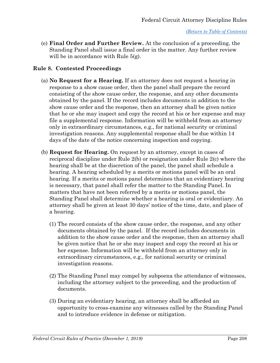(e) **Final Order and Further Review.** At the conclusion of a proceeding, the Standing Panel shall issue a final order in the matter. Any further review will be in accordance with Rule 5(g).

## **Rule 8. Contested Proceedings**

- (a) **No Request for a Hearing.** If an attorney does not request a hearing in response to a show cause order, then the panel shall prepare the record consisting of the show cause order, the response, and any other documents obtained by the panel. If the record includes documents in addition to the show cause order and the response, then an attorney shall be given notice that he or she may inspect and copy the record at his or her expense and may file a supplemental response. Information will be withheld from an attorney only in extraordinary circumstances, e.g., for national security or criminal investigation reasons. Any supplemental response shall be due within 14 days of the date of the notice concerning inspection and copying.
- (b) **Request for Hearing.** On request by an attorney, except in cases of reciprocal discipline under Rule 2(b) or resignation under Rule 2(c) where the hearing shall be at the discretion of the panel, the panel shall schedule a hearing. A hearing scheduled by a merits or motions panel will be an oral hearing. If a merits or motions panel determines that an evidentiary hearing is necessary, that panel shall refer the matter to the Standing Panel. In matters that have not been referred by a merits or motions panel, the Standing Panel shall determine whether a hearing is oral or evidentiary. An attorney shall be given at least 30 days' notice of the time, date, and place of a hearing.
	- (1) The record consists of the show cause order, the response, and any other documents obtained by the panel. If the record includes documents in addition to the show cause order and the response, then an attorney shall be given notice that he or she may inspect and copy the record at his or her expense. Information will be withheld from an attorney only in extraordinary circumstances, e.g., for national security or criminal investigation reasons.
	- (2) The Standing Panel may compel by subpoena the attendance of witnesses, including the attorney subject to the proceeding, and the production of documents.
	- (3) During an evidentiary hearing, an attorney shall be afforded an opportunity to cross-examine any witnesses called by the Standing Panel and to introduce evidence in defense or mitigation.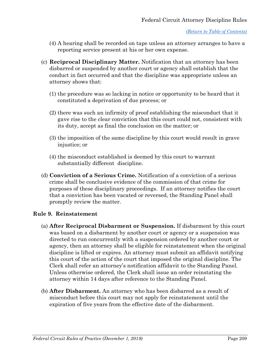- (4) A hearing shall be recorded on tape unless an attorney arranges to have a reporting service present at his or her own expense.
- (c) **Reciprocal Disciplinary Matter.** Notification that an attorney has been disbarred or suspended by another court or agency shall establish that the conduct in fact occurred and that the discipline was appropriate unless an attorney shows that:
	- (1) the procedure was so lacking in notice or opportunity to be heard that it constituted a deprivation of due process; or
	- (2) there was such an infirmity of proof establishing the misconduct that it gave rise to the clear conviction that this court could not, consistent with its duty, accept as final the conclusion on the matter; or
	- (3) the imposition of the same discipline by this court would result in grave injustice; or
	- (4) the misconduct established is deemed by this court to warrant substantially different discipline.
- (d) **Conviction of a Serious Crime.** Notification of a conviction of a serious crime shall be conclusive evidence of the commission of that crime for purposes of these disciplinary proceedings. If an attorney notifies the court that a conviction has been vacated or reversed, the Standing Panel shall promptly review the matter.

## **Rule 9. Reinstatement**

- (a) **After Reciprocal Disbarment or Suspension.** If disbarment by this court was based on a disbarment by another court or agency or a suspension was directed to run concurrently with a suspension ordered by another court or agency, then an attorney shall be eligible for reinstatement when the original discipline is lifted or expires. An attorney must submit an affidavit notifying this court of the action of the court that imposed the original discipline. The Clerk shall refer an attorney's notification affidavit to the Standing Panel. Unless otherwise ordered, the Clerk shall issue an order reinstating the attorney within 14 days after reference to the Standing Panel.
- (b) **After Disbarment.** An attorney who has been disbarred as a result of misconduct before this court may not apply for reinstatement until the expiration of five years from the effective date of the disbarment.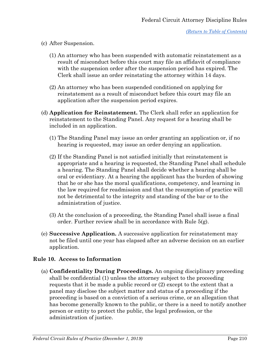- (c) After Suspension.
	- (1) An attorney who has been suspended with automatic reinstatement as a result of misconduct before this court may file an affidavit of compliance with the suspension order after the suspension period has expired. The Clerk shall issue an order reinstating the attorney within 14 days.
	- (2) An attorney who has been suspended conditioned on applying for reinstatement as a result of misconduct before this court may file an application after the suspension period expires.
- (d) **Application for Reinstatement.** The Clerk shall refer an application for reinstatement to the Standing Panel. Any request for a hearing shall be included in an application.
	- (1) The Standing Panel may issue an order granting an application or, if no hearing is requested, may issue an order denying an application.
	- (2) If the Standing Panel is not satisfied initially that reinstatement is appropriate and a hearing is requested, the Standing Panel shall schedule a hearing. The Standing Panel shall decide whether a hearing shall be oral or evidentiary. At a hearing the applicant has the burden of showing that he or she has the moral qualifications, competency, and learning in the law required for readmission and that the resumption of practice will not be detrimental to the integrity and standing of the bar or to the administration of justice.
	- (3) At the conclusion of a proceeding, the Standing Panel shall issue a final order. Further review shall be in accordance with Rule 5(g).
- (e) **Successive Application.** A successive application for reinstatement may not be filed until one year has elapsed after an adverse decision on an earlier application.

#### **Rule 10. Access to Information**

(a) **Confidentiality During Proceedings.** An ongoing disciplinary proceeding shall be confidential (1) unless the attorney subject to the proceeding requests that it be made a public record or (2) except to the extent that a panel may disclose the subject matter and status of a proceeding if the proceeding is based on a conviction of a serious crime, or an allegation that has become generally known to the public, or there is a need to notify another person or entity to protect the public, the legal profession, or the administration of justice.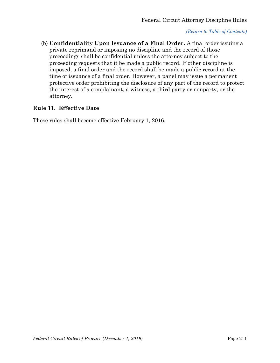(b) **Confidentiality Upon Issuance of a Final Order.** A final order issuing a private reprimand or imposing no discipline and the record of those proceedings shall be confidential unless the attorney subject to the proceeding requests that it be made a public record. If other discipline is imposed, a final order and the record shall be made a public record at the time of issuance of a final order. However, a panel may issue a permanent protective order prohibiting the disclosure of any part of the record to protect the interest of a complainant, a witness, a third party or nonparty, or the attorney.

#### **Rule 11. Effective Date**

These rules shall become effective February 1, 2016.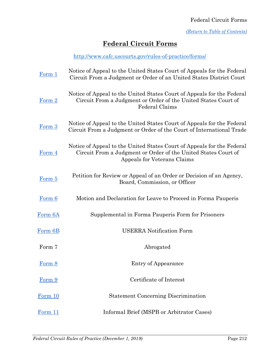# **Federal Circuit Forms**

# <http://www.cafc.uscourts.gov/rules-of-practice/forms/>

| Form 1  | Notice of Appeal to the United States Court of Appeals for the Federal<br>Circuit From a Judgment or Order of an United States District Court                           |
|---------|-------------------------------------------------------------------------------------------------------------------------------------------------------------------------|
| Form 2  | Notice of Appeal to the United States Court of Appeals for the Federal<br>Circuit From a Judgment or Order of the United States Court of<br>Federal Claims              |
| Form 3  | Notice of Appeal to the United States Court of Appeals for the Federal<br>Circuit From a Judgment or Order of the Court of International Trade                          |
| Form 4  | Notice of Appeal to the United States Court of Appeals for the Federal<br>Circuit From a Judgment or Order of the United States Court of<br>Appeals for Veterans Claims |
| Form 5  | Petition for Review or Appeal of an Order or Decision of an Agency,<br>Board, Commission, or Officer                                                                    |
| Form 6  | Motion and Declaration for Leave to Proceed in Forma Pauperis                                                                                                           |
| Form 6A | Supplemental in Forma Pauperis Form for Prisoners                                                                                                                       |
| Form 6B | <b>USERRA</b> Notification Form                                                                                                                                         |
| Form 7  | Abrogated                                                                                                                                                               |
| Form 8  | <b>Entry of Appearance</b>                                                                                                                                              |
| Form 9  | Certificate of Interest                                                                                                                                                 |
| Form 10 | <b>Statement Concerning Discrimination</b>                                                                                                                              |
| Form 11 | Informal Brief (MSPB or Arbitrator Cases)                                                                                                                               |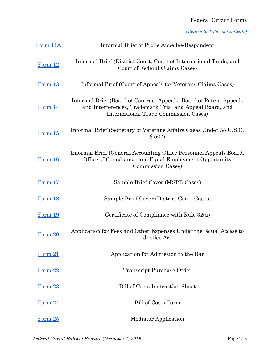## Federal Circuit Forms

*[\(Return to Table of Contents\)](#page-4-0)*

| <u>Form 11A</u> | Informal Brief of ProSe Appellee/Respondent                                                                                                                             |
|-----------------|-------------------------------------------------------------------------------------------------------------------------------------------------------------------------|
| $Form 12$       | Informal Brief (District Court, Court of International Trade, and<br>Court of Federal Claims Cases)                                                                     |
| <u>Form 13</u>  | Informal Brief (Court of Appeals for Veterans Claims Cases)                                                                                                             |
| Form $14$       | Informal Brief (Board of Contract Appeals, Board of Patent Appeals<br>and Interferences, Trademark Trial and Appeal Board, and<br>International Trade Commission Cases) |
| Form $15$       | Informal Brief (Secretary of Veterans Affairs Cases Under 38 U.S.C.<br>§ 502                                                                                            |
| Form $16$       | Informal Brief (General Accounting Office Personnel Appeals Board,<br>Office of Compliance, and Equal Employment Opportunity<br>Commission Cases)                       |
| Form $17$       | Sample Brief Cover (MSPB Cases)                                                                                                                                         |
| <u>Form 18</u>  | Sample Brief Cover (District Court Cases)                                                                                                                               |
| <u>Form 19</u>  | Certificate of Compliance with Rule 32(a)                                                                                                                               |
| Form 20         | Application for Fees and Other Expenses Under the Equal Access to<br>Justice Act                                                                                        |
| $Form 21$       | Application for Admission to the Bar                                                                                                                                    |
| $Form 22$       | Transcript Purchase Order                                                                                                                                               |
| <u>Form 23</u>  | <b>Bill of Costs Instruction Sheet</b>                                                                                                                                  |
| <u>Form 24</u>  | <b>Bill of Costs Form</b>                                                                                                                                               |
| <u>Form 25</u>  | <b>Mediator Application</b>                                                                                                                                             |